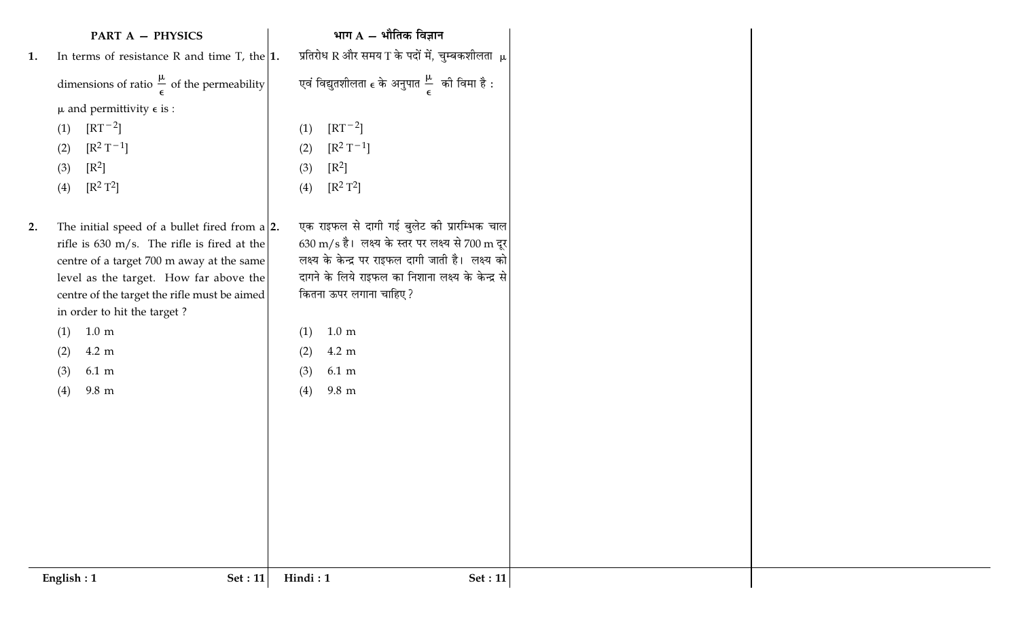|    | <b>PART A - PHYSICS</b>                                                                  | भाग $A - \hat{A}$ गीतिक विज्ञान                                                                                   |
|----|------------------------------------------------------------------------------------------|-------------------------------------------------------------------------------------------------------------------|
| 1. | In terms of resistance R and time T, the $ 1$ .                                          | प्रतिरोध R और समय T के पदों में, चुम्बकशीलता $\mu$                                                                |
|    | dimensions of ratio $\frac{\mu}{\epsilon}$ of the permeability                           | एवं विद्युतशीलता $\epsilon$ के अनुपात $\frac{\mu}{\epsilon}$ की विमा है :                                         |
|    | $\mu$ and permittivity $\epsilon$ is :                                                   |                                                                                                                   |
|    | $\left[\text{RT}^{-2}\right]$<br>(1)                                                     | $\left[\mathrm{RT}^{-2}\right]$<br>(1)                                                                            |
|    | $[R^2T^{-1}]$<br>(2)                                                                     | $[R^2T^{-1}]$<br>(2)                                                                                              |
|    | $[R^2]$<br>(3)                                                                           | $[R^2]$<br>(3)                                                                                                    |
|    | $[R^2T^2]$<br>(4)                                                                        | $[R^2T^2]$<br>(4)                                                                                                 |
|    |                                                                                          |                                                                                                                   |
| 2. | The initial speed of a bullet fired from $a 2$ .                                         | एक राइफल से दागी गई बुलेट की प्रारम्भिक चाल                                                                       |
|    | rifle is 630 m/s. The rifle is fired at the<br>centre of a target 700 m away at the same | $630 \text{ m/s}$ है। लक्ष्य के स्तर पर लक्ष्य से 700 m दूर<br>लक्ष्य के केन्द्र पर राइफल दागी जाती है। लक्ष्य को |
|    | level as the target. How far above the                                                   | दागने के लिये राइफल का निशाना लक्ष्य के केन्द्र से                                                                |
|    | centre of the target the rifle must be aimed                                             | कितना ऊपर लगाना चाहिए?                                                                                            |
|    | in order to hit the target?                                                              |                                                                                                                   |
|    | $1.0 \text{ m}$<br>(1)                                                                   | $1.0 \text{ m}$<br>(1)                                                                                            |
|    | 4.2 m<br>(2)                                                                             | 4.2 m<br>(2)                                                                                                      |
|    | $6.1 \text{ m}$<br>(3)                                                                   | $6.1 \text{ m}$<br>(3)                                                                                            |
|    | $9.8\,$ m<br>(4)                                                                         | $9.8\,$ m<br>(4)                                                                                                  |
|    |                                                                                          |                                                                                                                   |
|    |                                                                                          |                                                                                                                   |
|    |                                                                                          |                                                                                                                   |
|    |                                                                                          |                                                                                                                   |
|    |                                                                                          |                                                                                                                   |
|    |                                                                                          |                                                                                                                   |
|    |                                                                                          |                                                                                                                   |
|    |                                                                                          |                                                                                                                   |
|    | English: 1<br><b>Set</b> : 11                                                            | Hindi: 1<br>Set : 11                                                                                              |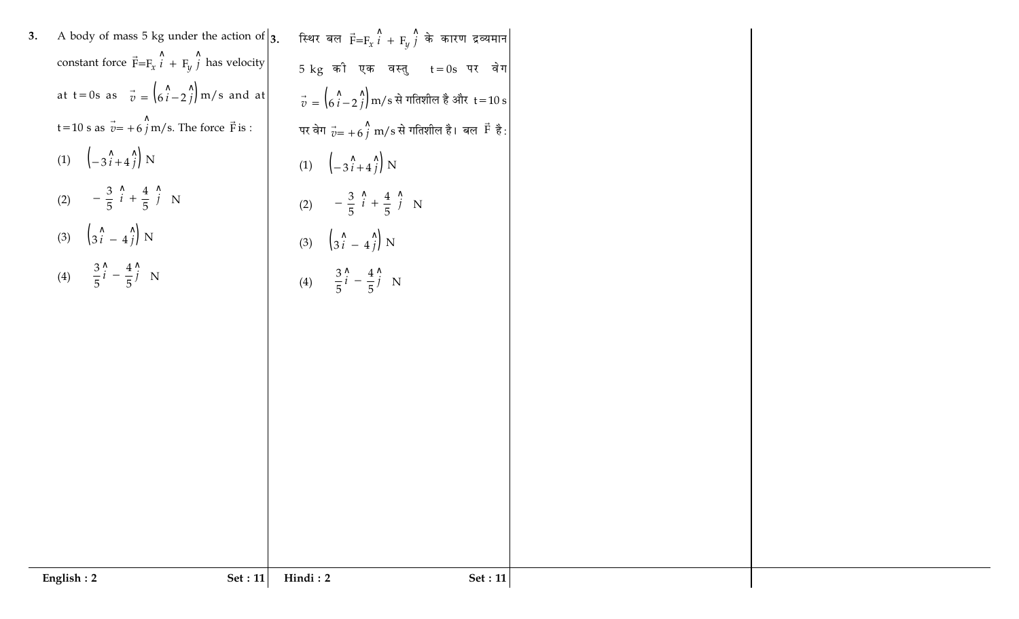|    | English: 2<br><b>Set</b> : 11                                        | Hindi: 2<br><b>Set</b> : 11                                          |
|----|----------------------------------------------------------------------|----------------------------------------------------------------------|
|    |                                                                      |                                                                      |
|    |                                                                      |                                                                      |
|    |                                                                      |                                                                      |
|    |                                                                      |                                                                      |
|    |                                                                      |                                                                      |
|    |                                                                      |                                                                      |
|    |                                                                      |                                                                      |
|    |                                                                      |                                                                      |
|    |                                                                      | (4) $\left(\frac{3}{5}\hat{i} - \frac{4}{5}\hat{j}\right)N$          |
|    | (4) $\left(\frac{3}{5}\hat{i} - \frac{4}{5}\hat{j}\right)N$          |                                                                      |
|    | (3) $\left(3\hat{i} - 4\hat{j}\right)$ N                             | (3) $\left(3\right)$ $\left(3\right)$ $\left(4\right)$ N             |
|    | (2) $\left(-\frac{3}{5}\hat{i} + \frac{4}{5}\hat{j}\right)N$         | (2) $\left(-\frac{3}{5} \hat{i} + \frac{4}{5} \hat{j}\right)N$       |
|    | (1) $\left(-3\hat{i}+4\hat{j}\right)$ N                              | (1) $\left(-3\hat{i}+4\hat{j}\right)$ N                              |
|    | t=10 s as $\vec{v}$ = +6 $\hat{j}$ m/s. The force $\vec{F}$ is :     | पर वेग $\vec{v} = +6\hat{j}$ m/s से गतिशील है। बल $\vec{F}$ है:      |
|    | at t = 0s as $\vec{v} = \left(\hat{6i} - \hat{2j}\right)$ m/s and at | $\vec{v} = (\vec{b} \hat{i} - 2 \hat{j})$ m/s से गतिशील है और t=10 s |
|    | constant force $\vec{F} = F_x \hat{i} + F_y \hat{j}$ has velocity    | $5 kg$ की एक वस्तु $t = 0s$ पर वेग                                   |
| 3. | A body of mass 5 kg under the action of $\vert$ 3.                   | स्थिर बल $\vec{F} = F_x \hat{i} + F_y \hat{j}$ के कारण द्रव्यमान     |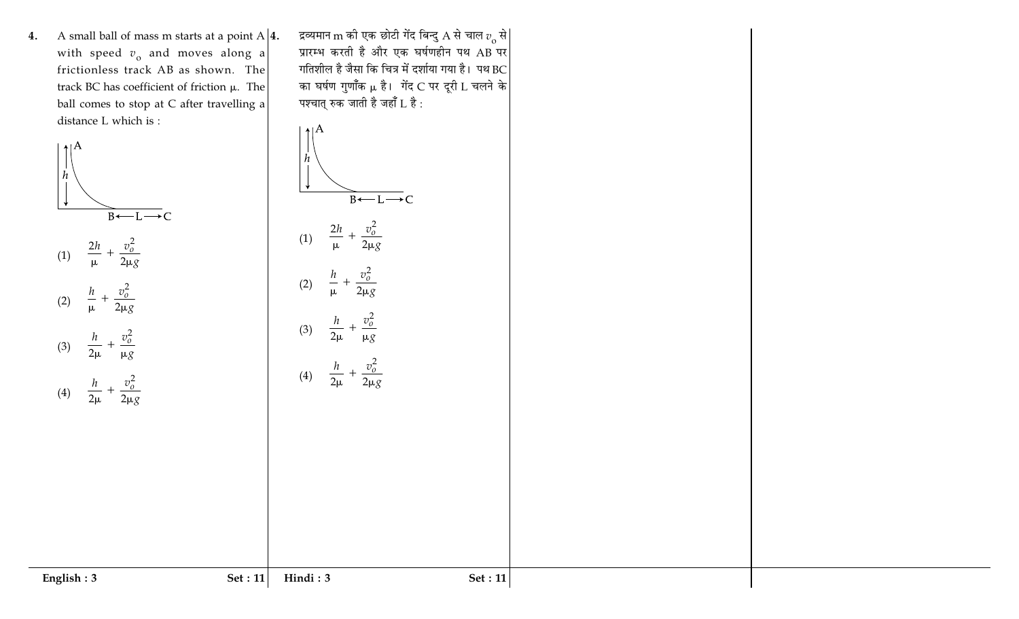4. A small ball of mass m starts at a point  $A|4$ . with speed  $v_0$  and moves along a frictionless track AB as shown. The track BC has coefficient of friction  $\mu$ . The ball comes to stop at C after travelling a distance L which is :

द्रव्यमान $\,$ m को एक छोटी गेंद बिन्दु  $\rm A$  से चाल  $v^{}_{\rm o}$  से $\,$ प्रारम्भ करती है और एक घर्षणहीन पथ AB पर गतिशील है जैसा कि चित्र में दर्शाया गया है। पथ $\, {\rm BC} \, | \,$ का घर्षण गुणाँक µ है। गेंद C पर दूरी L चलने के पश्चात् रुक जाती है जहाँ L है :



English: 3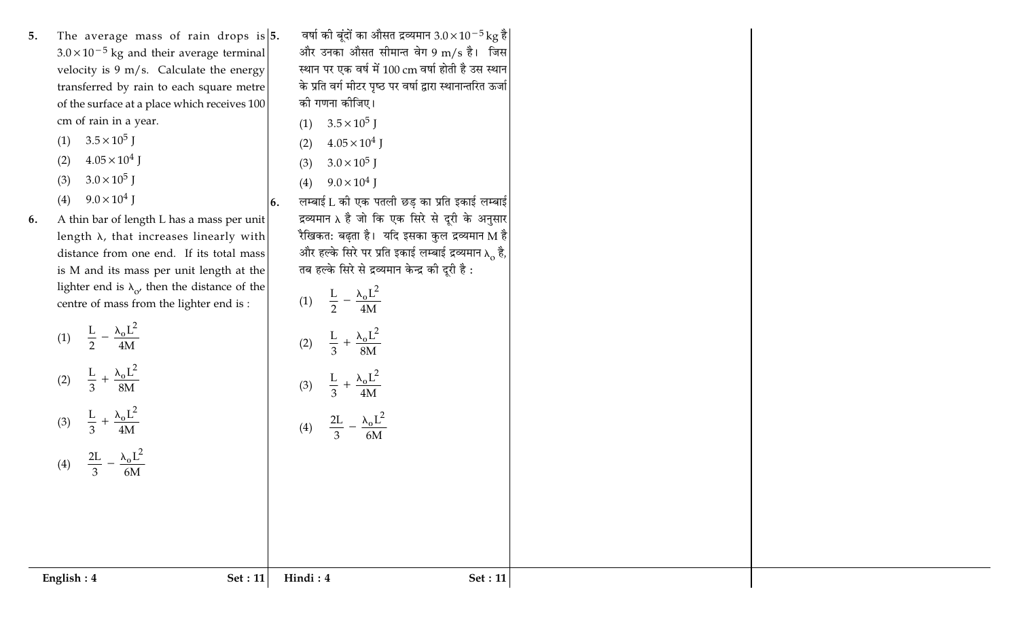The average mass of rain drops is  $|5$ . 5.  $3.0 \times 10^{-5}$  kg and their average terminal velocity is  $9 \text{ m/s}$ . Calculate the energy transferred by rain to each square metre of the surface at a place which receives 100 cm of rain in a year.

(1)  $3.5 \times 10^5$  J

- $4.05 \times 10^4$  J  $(2)$
- $3.0 \times 10^5$  J  $(3)$
- $9.0 \times 10^4$  J  $(4)$

(4)  $\frac{2L}{3} - \frac{\lambda_0 L^2}{6M}$ 

English: 4

A thin bar of length L has a mass per unit 6. length  $\lambda$ , that increases linearly with distance from one end. If its total mass is M and its mass per unit length at the lighter end is  $\lambda_{\alpha}$ , then the distance of the centre of mass from the lighter end is :

> (1)  $\frac{L}{2} - \frac{\lambda_0 L^2}{4M}$ (2)  $\frac{L}{3} + \frac{\lambda_0 L^2}{8M}$ (3)  $\frac{L}{3} + \frac{\lambda_0 L^2}{4M}$

वर्षा की बूंदों का औसत द्रव्यमान  $3.0 \times 10^{-5} \text{kg}$  है और उनका औसत सीमान्त वेग 9 m/s है। जिस स्थान पर एक वर्ष में 100 cm वर्षा होती है उस स्थान के प्रति वर्ग मीटर पृष्ठ पर वर्षा द्वारा स्थानान्तरित ऊर्जा की गणना कीजिए।

- (1)  $3.5 \times 10^5$  J
- $4.05 \times 10^4$  J  $(2)$
- $3.0 \times 10^5$  J  $(3)$
- (4)  $9.0 \times 10^4$  J

(1)  $\frac{L}{2} - \frac{\lambda_0 L^2}{4M}$ 

(2)  $\frac{L}{3} + \frac{\lambda_0 L^2}{8M}$ 

(3)  $\frac{L}{3} + \frac{\lambda_0 L^2}{4M}$ 

(4)  $\frac{2L}{3} - \frac{\lambda_0 L^2}{6M}$ 

Hindi: 4

Set: 11

लम्बाई L की एक पतली छड का प्रति इकाई लम्बाई  $\vert 6. \vert$ द्रव्यमान  $\lambda$  है जो कि एक सिरे से दूरी के अनुसार रैखिकत: बढ़ता है। यदि इसका कुल द्रव्यमान M है और हल्के सिरे पर प्रति इकाई लम्बाई द्रव्यमान  $\lambda_0$  है, तब हल्के सिरे से द्रव्यमान केन्द्र की दूरी है :

Set: 11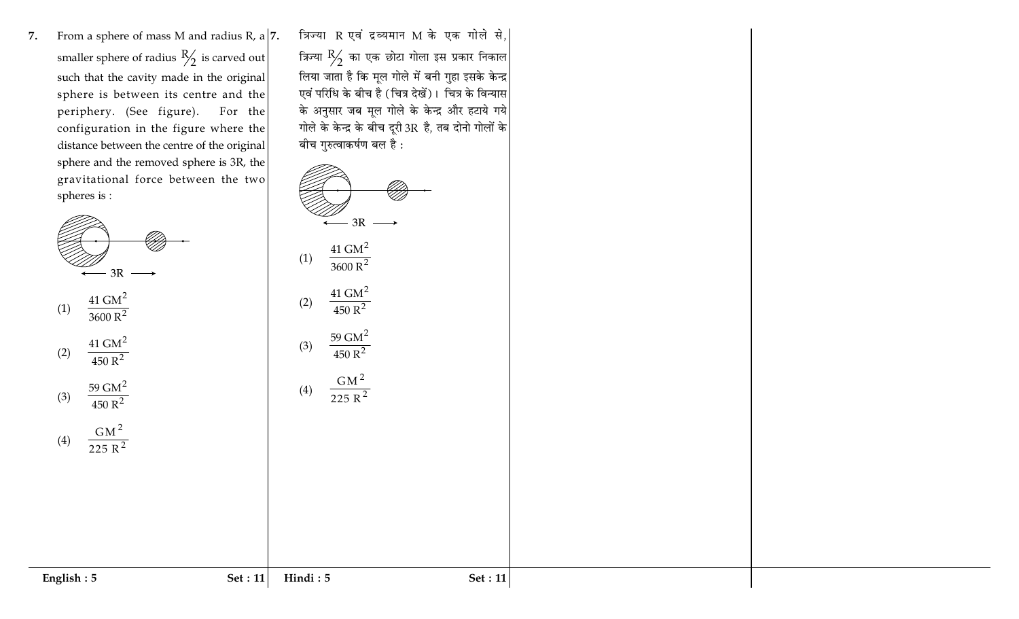From a sphere of mass M and radius R, a  $|7$ . 7. smaller sphere of radius  $\frac{R}{2}$  is carved out such that the cavity made in the original sphere is between its centre and the periphery. (See figure). For the configuration in the figure where the distance between the centre of the original sphere and the removed sphere is 3R, the gravitational force between the two spheres is:



$$
(1) \quad \frac{41 \text{ GM}^2}{3600 \text{ R}^2}
$$

(2) 
$$
\frac{41 \text{ GM}^2}{450 \text{ R}^2}
$$

(3) 
$$
\frac{59 \text{ GM}^2}{450 \text{ R}^2}
$$

$$
(4) \quad \frac{\text{GM}^2}{225 \text{ R}^2}
$$

English:  $5$ 

त्रिज्या R एवं द्रव्यमान M के एक गोले से, त्रिज्या  $\frac{R}{2}$  का एक छोटा गोला इस प्रकार निकाल लिया जाता है कि मूल गोले में बनी गुहा इसके केन्द्र एवं परिधि के बीच है (चित्र देखें)। चित्र के विन्यास के अनुसार जब मूल गोले के केन्द्र और हटाये गये गोले के केन्द्र के बीच दूरी 3R है, तब दोनो गोलों के बीच गुरुत्वाकर्षण बल है :



**Set: 11** 

Hindi: 5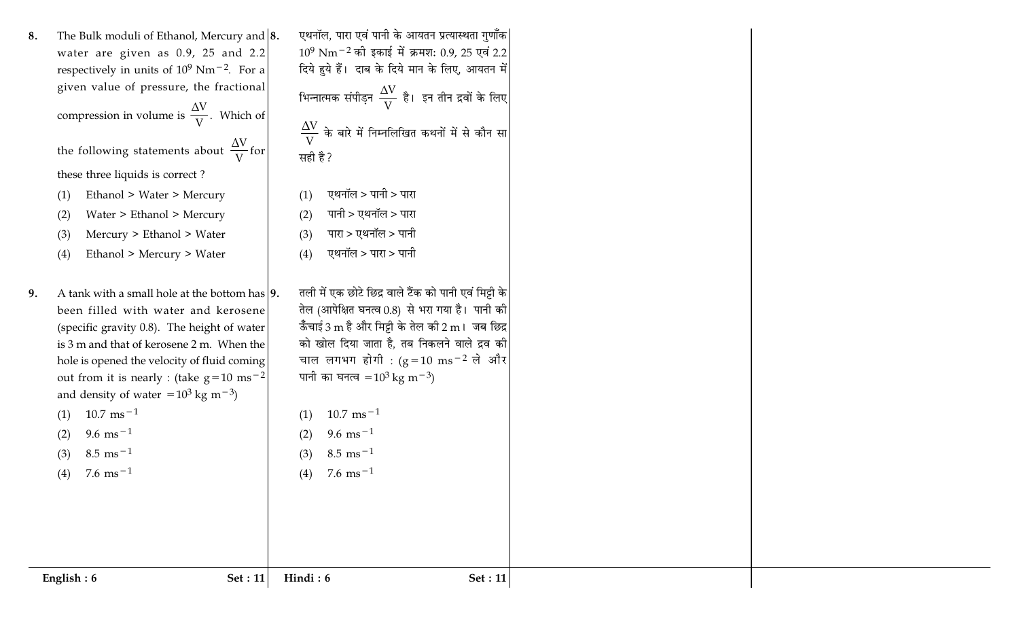| The Bulk moduli of Ethanol, Mercury and $ 8$ .<br>8.<br>water are given as $0.9$ , 25 and 2.2<br>respectively in units of $10^9$ Nm <sup>-2</sup> . For a<br>given value of pressure, the fractional<br>compression in volume is $\frac{\Delta V}{V}$ . Which of<br>the following statements about $\frac{\Delta V}{V}$ for<br>these three liquids is correct?<br>Ethanol > Water > Mercury<br>(1)<br>Water > Ethanol > Mercury<br>(2)<br>Mercury > Ethanol > Water<br>(3)<br>Ethanol > Mercury > Water<br>(4) | एथनॉल, पारा एवं पानी के आयतन प्रत्यास्थता गुणॉॅंक <br>$10^9$ Nm <sup>-2</sup> की इकाई में क्रमश: 0.9, 25 एवं 2.2<br>दिये हुये हैं। दाब के दिये मान के लिए, आयतन में<br>भिन्नात्मक संपीड़न $\frac{\Delta \rm V}{\rm V}$ है। इन तीन द्रवों के लिए<br>$\frac{\Delta \rm V}{\rm V}$ के बारे में निम्नलिखित कथनों में से कौन सा<br>सही है?<br>एथनॉल > पानी > पारा<br>(1)<br>पानी > एथनॉल > पारा<br>(2)<br>पारा > एथनॉल > पानी<br>(3)<br>एथनॉल > पारा > पानी<br>(4) |
|----------------------------------------------------------------------------------------------------------------------------------------------------------------------------------------------------------------------------------------------------------------------------------------------------------------------------------------------------------------------------------------------------------------------------------------------------------------------------------------------------------------|---------------------------------------------------------------------------------------------------------------------------------------------------------------------------------------------------------------------------------------------------------------------------------------------------------------------------------------------------------------------------------------------------------------------------------------------------------------|
| A tank with a small hole at the bottom has $ 9$ .<br>9.<br>been filled with water and kerosene<br>(specific gravity 0.8). The height of water<br>is 3 m and that of kerosene 2 m. When the<br>hole is opened the velocity of fluid coming<br>out from it is nearly : (take $g=10$ ms <sup>-2</sup><br>and density of water = $10^3$ kg m <sup>-3</sup> )<br>$10.7 \text{ ms}^{-1}$<br>(1)<br>$9.6 \text{ ms}^{-1}$<br>(2)<br>$8.5 \text{ ms}^{-1}$<br>(3)<br>(4) $7.6 \text{ ms}^{-1}$                         | तली में एक छोटे छिद्र वाले टैंक को पानी एवं मिट्टी के<br>तेल (आपेक्षित घनत्व 0.8) से भरा गया है। पानी की<br>ऊँचाई 3 m है और मिट्टी के तेल की 2 m। जब छिद्र<br>को खोल दिया जाता है, तब निकलने वाले द्रव की<br>चाल लगभग होगी : $(g=10 \text{ ms}^{-2} \text{ m/s}^{-1})$<br>पानी का घनत्व = $10^3$ kg m <sup>-3</sup> )<br>$10.7 \text{ ms}^{-1}$<br>(1)<br>$9.6 \text{ ms}^{-1}$<br>(2)<br>$8.5 \text{ ms}^{-1}$<br>(3)<br>(4) $7.6 \text{ ms}^{-1}$           |
| English: 6<br><b>Set</b> : 11                                                                                                                                                                                                                                                                                                                                                                                                                                                                                  | Hindi: 6<br>Set: 11                                                                                                                                                                                                                                                                                                                                                                                                                                           |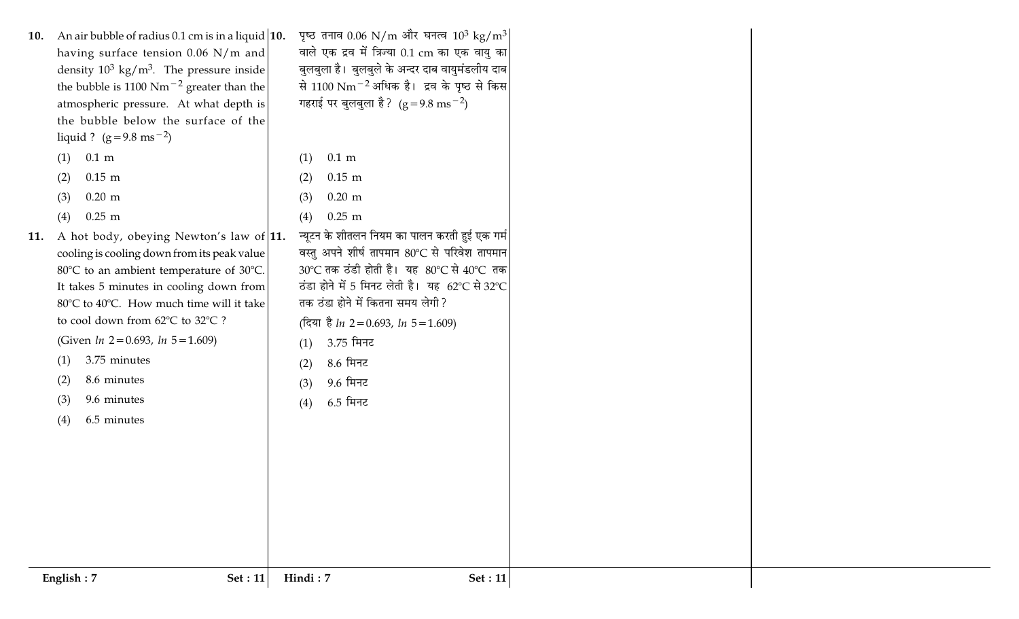| An air bubble of radius 0.1 cm is in a liquid $ 10.1\rangle$<br>10.<br>having surface tension 0.06 N/m and<br>density $10^3$ kg/m <sup>3</sup> . The pressure inside<br>the bubble is 1100 Nm <sup><math>-2</math></sup> greater than the<br>atmospheric pressure. At what depth is<br>the bubble below the surface of the<br>liquid ? $(g=9.8 \text{ ms}^{-2})$<br>$0.1 \text{ m}$<br>(1) | पृष्ठ तनाव $0.06 \text{ N/m}$ और घनत्व $10^3 \text{ kg/m}^3$<br>वाले एक द्रव में त्रिज्या 0.1 cm का एक वायु का <br>बुलबुला है। बुलबुले के अन्दर दाब वायुमंडलीय दाब<br>से 1100 Nm <sup>-2</sup> अधिक है। द्रव के पृष्ठ से किस<br>गहराई पर बुलबुला है? $(g=9.8 \text{ ms}^{-2})$<br>$0.1 \text{ m}$<br>(1) |  |
|--------------------------------------------------------------------------------------------------------------------------------------------------------------------------------------------------------------------------------------------------------------------------------------------------------------------------------------------------------------------------------------------|----------------------------------------------------------------------------------------------------------------------------------------------------------------------------------------------------------------------------------------------------------------------------------------------------------|--|
| $0.15$ m<br>(2)                                                                                                                                                                                                                                                                                                                                                                            | $0.15$ m<br>(2)                                                                                                                                                                                                                                                                                          |  |
| $0.20 \text{ m}$<br>(3)                                                                                                                                                                                                                                                                                                                                                                    | $0.20$ m<br>(3)                                                                                                                                                                                                                                                                                          |  |
| $0.25$ m<br>(4)                                                                                                                                                                                                                                                                                                                                                                            | $0.25$ m<br>(4)                                                                                                                                                                                                                                                                                          |  |
| 11. A hot body, obeying Newton's law of  11.<br>cooling is cooling down from its peak value<br>80°C to an ambient temperature of 30°C.<br>It takes 5 minutes in cooling down from<br>80°C to 40°C. How much time will it take<br>to cool down from 62°C to 32°C ?                                                                                                                          | न्यूटन के शीतलन नियम का पालन करती हुई एक गर्म<br>वस्तु अपने शीर्ष तापमान 80°C से परिवेश तापमान<br>30℃ तक ठंडी होती है। यह 80℃ से 40℃ तक<br>ठंडा होने में 5 मिनट लेती है। यह 62°C से 32°C<br>तक ठंडा होने में कितना समय लेगी?<br>(दिया है <i>ln</i> 2=0.693, <i>ln</i> 5=1.609)                           |  |
| (Given $ln 2 = 0.693$ , $ln 5 = 1.609$ )                                                                                                                                                                                                                                                                                                                                                   | 3.75 मिनट<br>(1)                                                                                                                                                                                                                                                                                         |  |
| 3.75 minutes<br>(1)                                                                                                                                                                                                                                                                                                                                                                        | 8.6 मिनट<br>(2)                                                                                                                                                                                                                                                                                          |  |
| 8.6 minutes<br>(2)                                                                                                                                                                                                                                                                                                                                                                         | 9.6 मिनट<br>(3)                                                                                                                                                                                                                                                                                          |  |
| 9.6 minutes<br>(3)                                                                                                                                                                                                                                                                                                                                                                         | $6.5$ मिनट<br>(4)                                                                                                                                                                                                                                                                                        |  |
| 6.5 minutes<br>(4)                                                                                                                                                                                                                                                                                                                                                                         |                                                                                                                                                                                                                                                                                                          |  |
| English: 7<br><b>Set</b> : 11                                                                                                                                                                                                                                                                                                                                                              | Hindi: 7<br>Set: 11                                                                                                                                                                                                                                                                                      |  |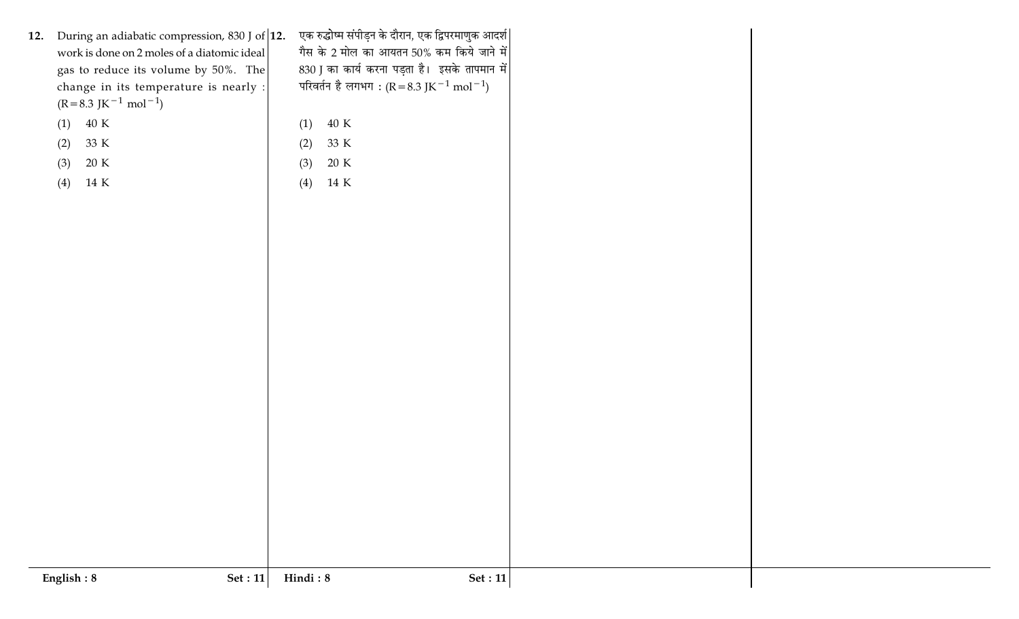|     | English: 8<br>Set : $11$                                                                         | Hindi: $\boldsymbol{8}$<br>Set : $11$                                                             |  |
|-----|--------------------------------------------------------------------------------------------------|---------------------------------------------------------------------------------------------------|--|
|     |                                                                                                  |                                                                                                   |  |
|     |                                                                                                  |                                                                                                   |  |
|     |                                                                                                  |                                                                                                   |  |
|     |                                                                                                  |                                                                                                   |  |
|     |                                                                                                  |                                                                                                   |  |
|     |                                                                                                  |                                                                                                   |  |
|     |                                                                                                  |                                                                                                   |  |
|     |                                                                                                  |                                                                                                   |  |
|     |                                                                                                  |                                                                                                   |  |
|     |                                                                                                  |                                                                                                   |  |
|     |                                                                                                  |                                                                                                   |  |
|     |                                                                                                  |                                                                                                   |  |
|     |                                                                                                  |                                                                                                   |  |
|     |                                                                                                  |                                                                                                   |  |
|     |                                                                                                  |                                                                                                   |  |
|     |                                                                                                  |                                                                                                   |  |
|     |                                                                                                  |                                                                                                   |  |
|     | (4)<br>14 K                                                                                      | 14 K<br>(4)                                                                                       |  |
|     | 20 K<br>(3)                                                                                      | (3)<br>20 K                                                                                       |  |
|     | 33 K<br>(2)                                                                                      | (2)<br>33 K                                                                                       |  |
|     | 40 K<br>(1)                                                                                      | $40~\mathrm{K}$<br>(1)                                                                            |  |
|     | $(R=8.3 \text{ JK}^{-1} \text{ mol}^{-1})$                                                       |                                                                                                   |  |
|     | change in its temperature is nearly :                                                            | परिवर्तन है लगभग : (R = 8.3 JK $^{-1}$ mol $^{-1}$ )                                              |  |
|     | gas to reduce its volume by $50\%$ . The                                                         | 830 J का कार्य करना पड़ता है। इसके तापमान में                                                     |  |
| 12. | During an adiabatic compression, 830 J of $ 12$ .<br>work is done on 2 moles of a diatomic ideal | एक रुद्धोष्म संपीड़न के दौरान, एक द्विपरमाणुक आदर्श <br>गैस के 2 मोल का आयतन 50% कम किये जाने में |  |
|     |                                                                                                  |                                                                                                   |  |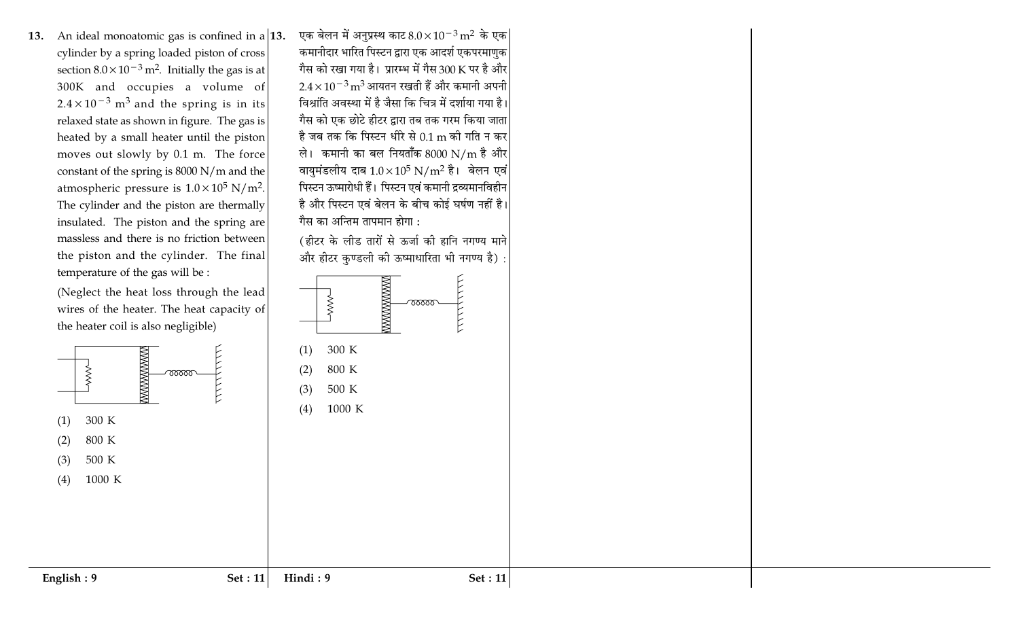13. An ideal monoatomic gas is confined in a  $|13$ . cylinder by a spring loaded piston of cross section  $8.0 \times 10^{-3}$  m<sup>2</sup>. Initially the gas is at 300K and occupies a volume of  $2.4 \times 10^{-3}$  m<sup>3</sup> and the spring is in its relaxed state as shown in figure. The gas is heated by a small heater until the piston moves out slowly by 0.1 m. The force constant of the spring is 8000 N/m and the atmospheric pressure is  $1.0 \times 10^5$  N/m<sup>2</sup>. The cylinder and the piston are thermally insulated. The piston and the spring are massless and there is no friction between the piston and the cylinder. The final temperature of the gas will be :



एक बेलन में अनुप्रस्थ काट  $8.0 \times 10^{-3} \,\text{m}^2$  के एक $|$ 

कमानीदार भारित पिस्टन द्वारा एक आदर्श एकपरमाणुक

गैस को रखा गया है। प्रारम्भ में गैस 300 K पर है और

 $2.4 \times 10^{-3}$  m $^3$  आयतन रखती हैं और कमानी अपनी

विश्रांति अवस्था में है जैसा कि चित्र में दर्शाया गया है। गैस को एक छोटे हीटर द्वारा तब तक गरम किया जाता

है जब तक कि पिस्टन धीरे से 0.1 m की गति न कर

ले। कमानी का बल नियताँक 8000 N/m है और

वायुमंडलीय दाब  $1.0 \times 10^5$  N/m<sup>2</sup> है। बेलन एवं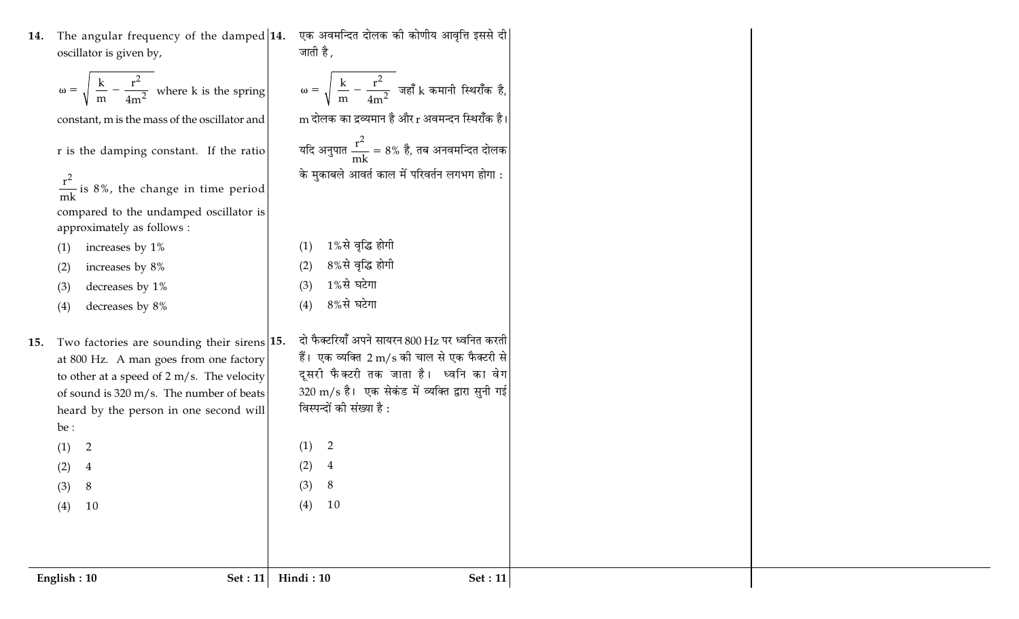14. The angular frequency of the damped  $|14$ . oscillator is given by,

|  |  | $-\frac{1}{4m^2}$ where k is the spring |  |
|--|--|-----------------------------------------|--|
|--|--|-----------------------------------------|--|

constant, m is the mass of the oscillator and

r is the damping constant. If the ratio

 $rac{r^2}{mk}$  is 8%, the change in time period compared to the undamped oscillator is approximately as follows :

increases by 1%  $(1)$ 

increases by 8%  $(2)$ 

decreases by 1%  $(3)$ 

decreases by 8%  $(4)$ 

15. Two factories are sounding their sirens 15. at 800 Hz. A man goes from one factory to other at a speed of  $2 \text{ m/s}$ . The velocity 320 m/s है। एक सेकंड में व्यक्ति द्वारा सुनी गई of sound is  $320 \text{ m/s}$ . The number of beats विस्पन्दों की संख्या है : heard by the person in one second will be : 2  $(1)$ 2  $(1)$  $(2)$  $\overline{4}$  $(2)$  $\overline{4}$ 

एक अवमन्दित दोलक की कोणीय आवृत्ति इससे दी जाती है ,  $\omega = \sqrt{\left(\frac{k}{m} - \frac{r^2}{4m^2}\right)}$ जहाँ k कमानी स्थिराँक है,  ${\rm m}$  दोलक का द्रव्यमान है और  ${\rm r}$  अवमन्दन स्थिराँक है। यदि अनुपात  $\frac{r^2}{mk} = 8\%$  है, तब अनवमन्दित दोलक के मुकाबले आवर्त काल में परिवर्तन लगभग होगा : 1%से वृद्धि होगी  $(1)$ 8%से वृद्धि होगी  $(2)$ 1%से घटेगा  $(3)$ 8%से घटेगा  $(4)$ दो फैक्टरियाँ अपने सायरन 800 Hz पर ध्वनित करती हैं। एक व्यक्ति 2 m/s की चाल से एक फैक्टरी से दूसरी फैक्टरी तक जाता है। ध्वनि का वेग

 $(3)$ 

8

 $(4)$  10

 $(3)$ 

8

 $(4)$  10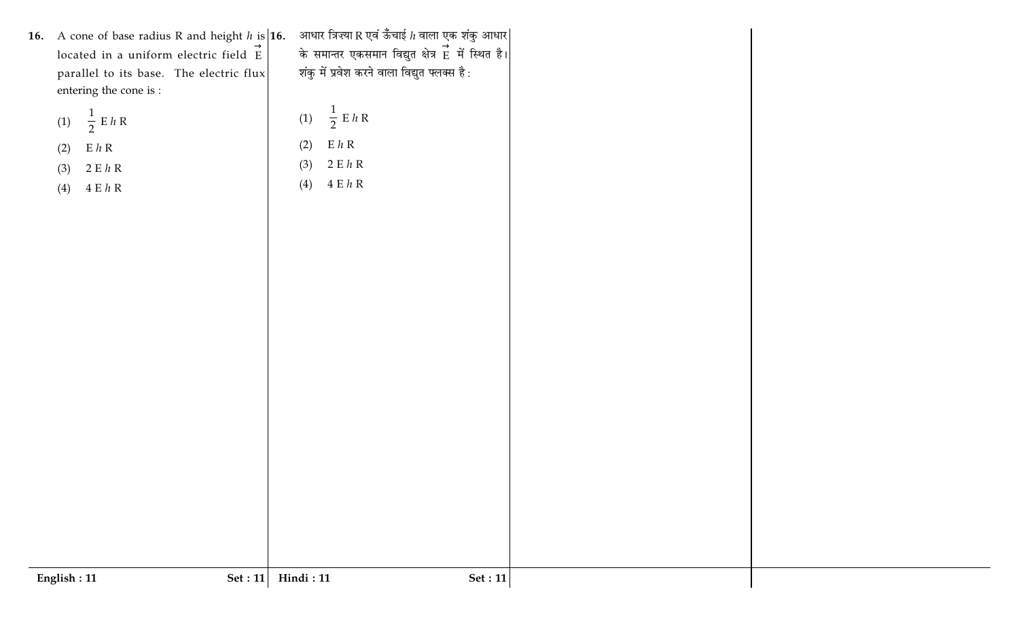| 16. | A cone of base radius R and height $h$ is <b>16.</b><br>located in a uniform electric field E<br>parallel to its base. The electric flux<br>entering the cone is : | आधार त्रिज्या R एवं ऊँँचाई $h$ वाला एक शंकु आधार $\vert$<br>के समान्तर एकसमान विद्युत क्षेत्र Eे में स्थित है।<br>शंकु में प्रवेश करने वाला विद्युत फ्लक्स है: |
|-----|--------------------------------------------------------------------------------------------------------------------------------------------------------------------|----------------------------------------------------------------------------------------------------------------------------------------------------------------|
|     | (1) $\frac{1}{2}$ E h R                                                                                                                                            | (1) $\frac{1}{2}$ E h R                                                                                                                                        |
|     | E h R<br>(2)                                                                                                                                                       | $E$ $h$ $R$<br>(2)                                                                                                                                             |
|     | 2EhR<br>(3)                                                                                                                                                        | 2EhR<br>(3)                                                                                                                                                    |
|     | 4EhR<br>(4)                                                                                                                                                        | 4EhR<br>(4)                                                                                                                                                    |
|     |                                                                                                                                                                    |                                                                                                                                                                |

English: 11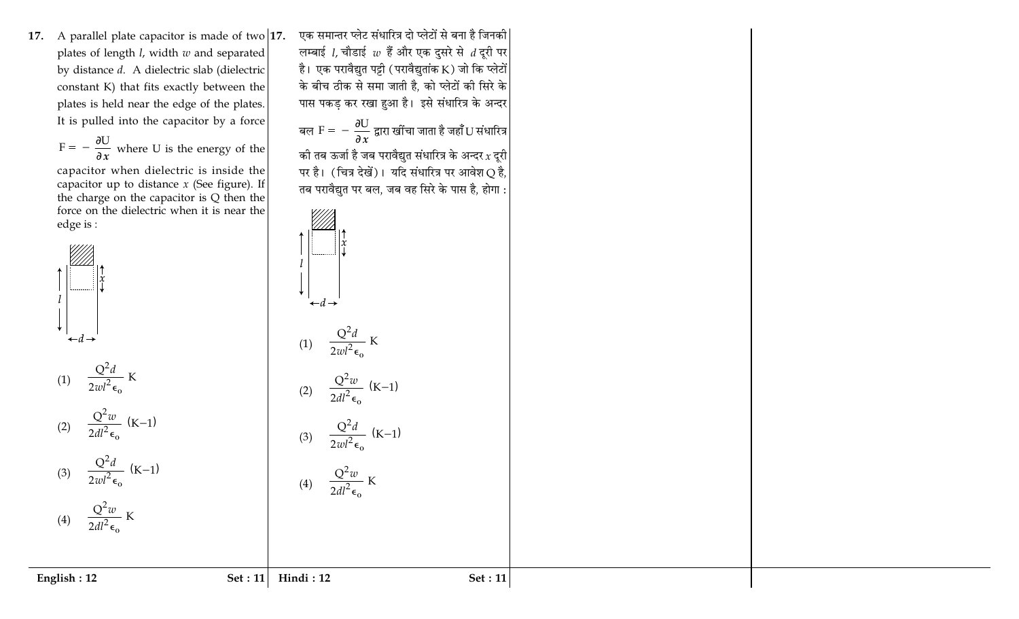**17.** A parallel plate capacitor is made of two  $\vert$ **1** plates of length *l,* width  $w$  and separated by distance *d*. A dielectric slab (dielectric constant K) that fits exactly between the plates is held near the edge of the plates. It is pulled into the capacitor by a force

$$
F = -\frac{\partial U}{\partial x}
$$
 where U is the energy of the

capacitor when dielectric is inside the capacitor up to distance  $x$  (See figure). If the charge on the capacitor is  $Q$  then the force on the dielectric when it is near the edge is:



7. एक समान्तर प्लेट संधारित्र दो प्लेटों से बना है जिनकी लम्बाई *।,* चौडाई  $w$  हैं और एक दुसरे से  $\,$  दूरी पर है। एक परावैद्युत पट्टी ( परावैद्युतांक K ) जो कि प्लेटों के बीच ठीक से समा जाती है, को प्लेटों की सिरे के पास पकड़ कर रखा हुआ है। इसे संधारित्र के अन्दर

बल 
$$
F = -\frac{\partial U}{\partial x}
$$
 द्वारा खींचा जाता है जहाँ ॅ) संधारित्र

को तब ऊर्जा है जब परावैद्युत संधारित्र के अन्दर $\,x\,$ दूरी पर है। (चित्र देखें)। यदि संधारित्र पर आवेश $\operatorname{Q}$  है, तब परावैद्युत पर बल, जब वह सिरे के पास है, होगा :



$$
(4) \qquad \frac{Q^2 w}{2dl^2 \epsilon_0} \text{ K}
$$

**Hindi:1**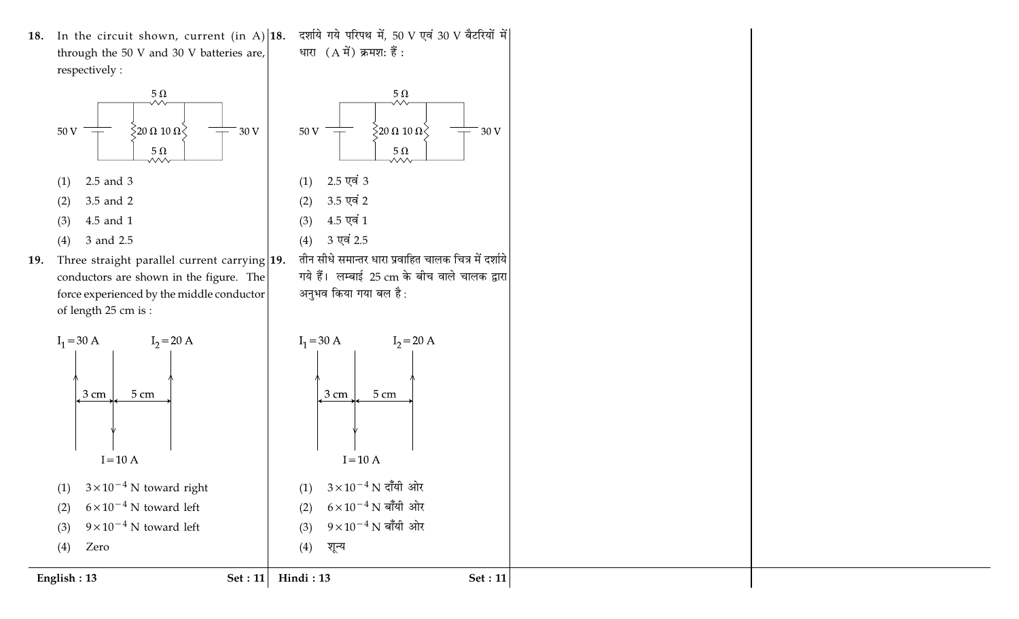18. In the circuit shown, current (in A)  $|18$ . through the 50 V and 30 V batteries are, respectively:



5 cm

 $3\times10^{-4}$  N toward right

 $6 \times 10^{-4}$  N toward left

 $9 \times 10^{-4}$  N toward left

Set :  $11$ 

Hindi: 13

3 cm

Zero

 $(1)$ 

 $(2)$ 

 $(3)$  $(4)$ 

English: 13

 $I = 10 A$ 



Set :  $11$ 

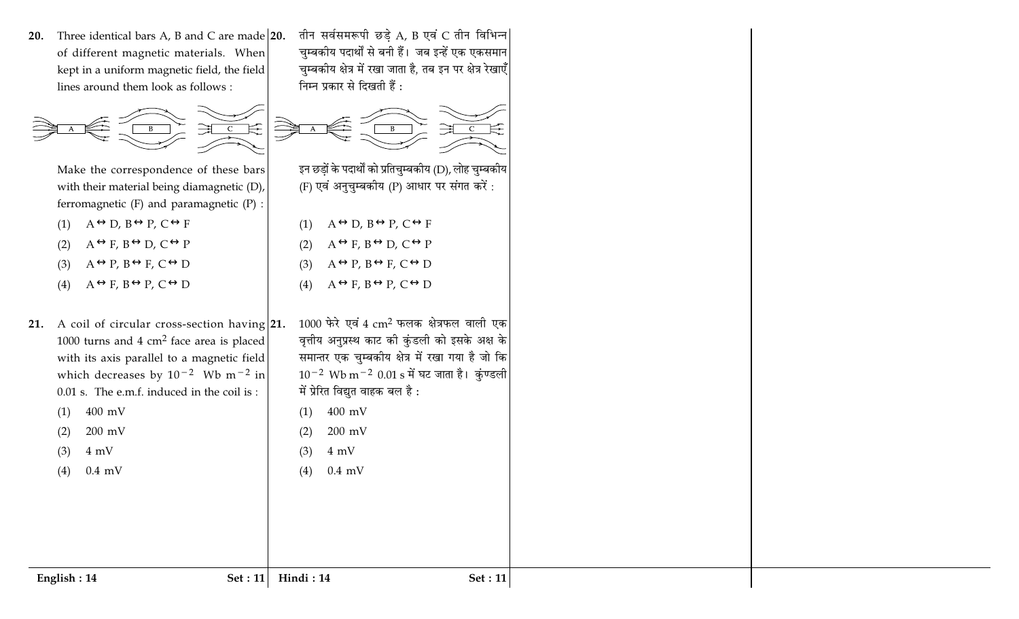20. Three identical bars A, B and C are made  $|20$ . of different magnetic materials. When kept in a uniform magnetic field, the field lines around them look as follows:



Make the correspondence of these bars with their material being diamagnetic (D), ferromagnetic  $(F)$  and paramagnetic  $(P)$ :

- $A \leftrightarrow D$ ,  $B \leftrightarrow P$ ,  $C \leftrightarrow F$  $(1)$
- $A \leftrightarrow F$ ,  $B \leftrightarrow D$ ,  $C \leftrightarrow P$  $(2)$
- $A \leftrightarrow P$ ,  $B \leftrightarrow F$ ,  $C \leftrightarrow D$  $(3)$
- $(4)$  $A \leftrightarrow F$ ,  $B \leftrightarrow P$ ,  $C \leftrightarrow D$
- 21. A coil of circular cross-section having 21. 1000 turns and 4  $cm<sup>2</sup>$  face area is placed with its axis parallel to a magnetic field which decreases by  $10^{-2}$  Wb m<sup>-2</sup> in 0.01 s. The e.m.f. induced in the coil is: 400 mV  $(1)$ 
	- $200$  mV  $(2)$
	- $4 \text{ mV}$  $(3)$

English: 14

 $0.4$  mV  $(4)$ 

तीन सर्वसमरूपी छड़े A, B एवं C तीन विभिन्न चुम्बकीय पदार्थों से बनी हैं। जब इन्हें एक एकसमान चुम्बकीय क्षेत्र में रखा जाता है, तब इन पर क्षेत्र रेखाएँ निम्न प्रकार से दिखती हैं:



इन छडों के पदार्थों को प्रतिचम्बकीय (D), लोह चम्बकीय (F) एवं अनुचुम्बकीय (P) आधार पर संगत करें:

- $A \leftrightarrow D$ ,  $B \leftrightarrow P$ ,  $C \leftrightarrow F$  $(1)$
- $A \leftrightarrow F$ ,  $B \leftrightarrow D$ ,  $C \leftrightarrow P$  $(2)$
- $A \leftrightarrow P$ ,  $B \leftrightarrow F$ ,  $C \leftrightarrow D$  $(3)$
- $(4)$  $A \leftrightarrow F$ ,  $B \leftrightarrow P$ ,  $C \leftrightarrow D$
- $1000$  फेरे एवं 4  $\text{cm}^2$  फलक क्षेत्रफल वाली एक वृत्तीय अनुप्रस्थ काट की कुंडली को इसके अक्ष के समान्तर एक चुम्बकीय क्षेत्र में रखा गया है जो कि  $10^{-2}$  Wb m<sup>-2</sup> 0.01 s में घट जाता है। कुंण्डली में प्रेरित विद्युत वाहक बल है:
	- 400 mV  $(1)$

 $0.4$  mV

- $200$  mV  $(2)$
- $(3)$  $4 \text{ mV}$

 $(4)$ 

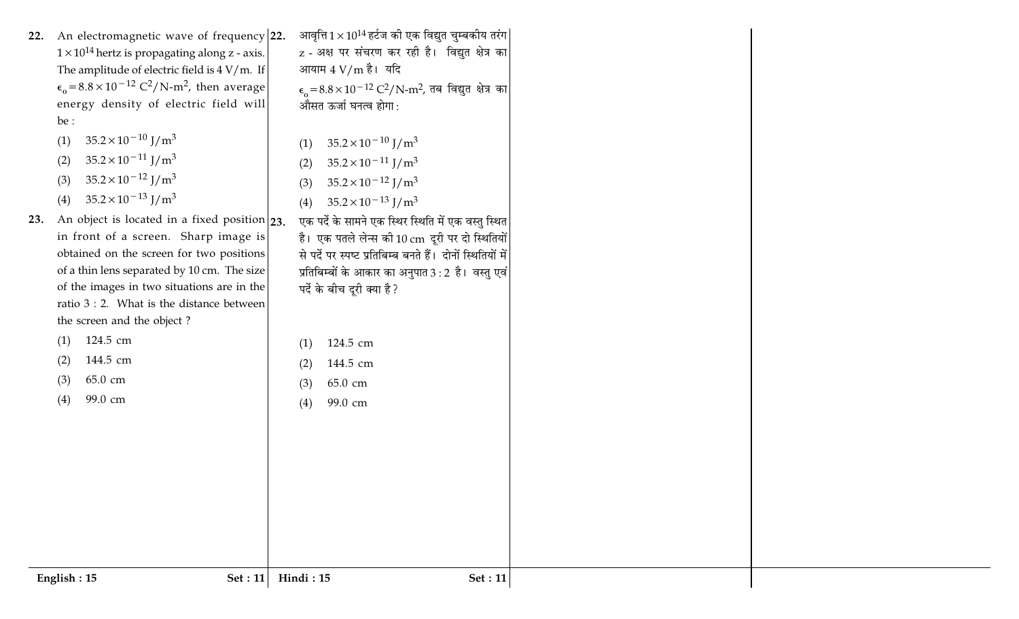| An electromagnetic wave of frequency 22.<br>22.<br>$1 \times 10^{14}$ hertz is propagating along z - axis.<br>The amplitude of electric field is $4 V/m$ . If<br>$\epsilon_0 = 8.8 \times 10^{-12} \text{ C}^2/\text{N-m}^2$ , then average<br>energy density of electric field will<br>be :<br>$35.2 \times 10^{-10}$ J/m <sup>3</sup><br>(1)<br>$35.2 \times 10^{-11}$ J/m <sup>3</sup><br>(2)<br>$35.2 \times 10^{-12}$ J/m <sup>3</sup><br>(3)<br>$35.2 \times 10^{-13}$ J/m <sup>3</sup><br>(4)<br>An object is located in a fixed position $ 23$ .<br>23.<br>in front of a screen. Sharp image is<br>obtained on the screen for two positions<br>of a thin lens separated by 10 cm. The size<br>of the images in two situations are in the | आवृत्ति $1 \times 10^{14}$ हर्टज की एक विद्युत चुम्बकीय तरंग<br>z - अक्ष पर संचरण कर रही है। विद्युत क्षेत्र का<br>आयाम $4 \text{ V/m}$ है। यदि<br>$\epsilon_0 = 8.8 \times 10^{-12} \text{ C}^2/\text{N-m}^2$ , तब विद्युत क्षेत्र का<br>औसत ऊर्जा घनत्व होगा :<br>$35.2 \times 10^{-10}$ J/m <sup>3</sup><br>(1)<br>$35.2 \times 10^{-11}$ J/m <sup>3</sup><br>(2)<br>$35.2 \times 10^{-12}$ J/m <sup>3</sup><br>(3)<br>$35.2 \times 10^{-13}$ J/m <sup>3</sup><br>(4)<br>एक पर्दे के सामने एक स्थिर स्थिति में एक वस्तु स्थित<br>है। एक पतले लेन्स की 10 cm दूरी पर दो स्थितियों<br>से पर्दे पर स्पष्ट प्रतिबिम्ब बनते हैं। दोनों स्थितियों में<br>प्रतिबिम्बों के आकार का अनुपात 3 : 2 है। वस्तु एवं <br>पर्दे के बीच दूरी क्या है ? |  |
|--------------------------------------------------------------------------------------------------------------------------------------------------------------------------------------------------------------------------------------------------------------------------------------------------------------------------------------------------------------------------------------------------------------------------------------------------------------------------------------------------------------------------------------------------------------------------------------------------------------------------------------------------------------------------------------------------------------------------------------------------|------------------------------------------------------------------------------------------------------------------------------------------------------------------------------------------------------------------------------------------------------------------------------------------------------------------------------------------------------------------------------------------------------------------------------------------------------------------------------------------------------------------------------------------------------------------------------------------------------------------------------------------------------------------------------------------------------------------------------------------|--|
|                                                                                                                                                                                                                                                                                                                                                                                                                                                                                                                                                                                                                                                                                                                                                  |                                                                                                                                                                                                                                                                                                                                                                                                                                                                                                                                                                                                                                                                                                                                          |  |
| ratio $3:2$ . What is the distance between<br>the screen and the object?                                                                                                                                                                                                                                                                                                                                                                                                                                                                                                                                                                                                                                                                         |                                                                                                                                                                                                                                                                                                                                                                                                                                                                                                                                                                                                                                                                                                                                          |  |
| 124.5 cm<br>(1)                                                                                                                                                                                                                                                                                                                                                                                                                                                                                                                                                                                                                                                                                                                                  | 124.5 cm<br>(1)                                                                                                                                                                                                                                                                                                                                                                                                                                                                                                                                                                                                                                                                                                                          |  |
| 144.5 cm<br>(2)                                                                                                                                                                                                                                                                                                                                                                                                                                                                                                                                                                                                                                                                                                                                  | 144.5 cm<br>(2)                                                                                                                                                                                                                                                                                                                                                                                                                                                                                                                                                                                                                                                                                                                          |  |
| 65.0 cm<br>(3)                                                                                                                                                                                                                                                                                                                                                                                                                                                                                                                                                                                                                                                                                                                                   | 65.0 cm<br>(3)                                                                                                                                                                                                                                                                                                                                                                                                                                                                                                                                                                                                                                                                                                                           |  |
| 99.0 cm<br>(4)                                                                                                                                                                                                                                                                                                                                                                                                                                                                                                                                                                                                                                                                                                                                   | 99.0 cm<br>(4)                                                                                                                                                                                                                                                                                                                                                                                                                                                                                                                                                                                                                                                                                                                           |  |
|                                                                                                                                                                                                                                                                                                                                                                                                                                                                                                                                                                                                                                                                                                                                                  |                                                                                                                                                                                                                                                                                                                                                                                                                                                                                                                                                                                                                                                                                                                                          |  |
|                                                                                                                                                                                                                                                                                                                                                                                                                                                                                                                                                                                                                                                                                                                                                  |                                                                                                                                                                                                                                                                                                                                                                                                                                                                                                                                                                                                                                                                                                                                          |  |
|                                                                                                                                                                                                                                                                                                                                                                                                                                                                                                                                                                                                                                                                                                                                                  |                                                                                                                                                                                                                                                                                                                                                                                                                                                                                                                                                                                                                                                                                                                                          |  |
|                                                                                                                                                                                                                                                                                                                                                                                                                                                                                                                                                                                                                                                                                                                                                  |                                                                                                                                                                                                                                                                                                                                                                                                                                                                                                                                                                                                                                                                                                                                          |  |
|                                                                                                                                                                                                                                                                                                                                                                                                                                                                                                                                                                                                                                                                                                                                                  |                                                                                                                                                                                                                                                                                                                                                                                                                                                                                                                                                                                                                                                                                                                                          |  |
| English: 15<br><b>Set</b> : 11                                                                                                                                                                                                                                                                                                                                                                                                                                                                                                                                                                                                                                                                                                                   | Hindi: 15<br><b>Set</b> : 11                                                                                                                                                                                                                                                                                                                                                                                                                                                                                                                                                                                                                                                                                                             |  |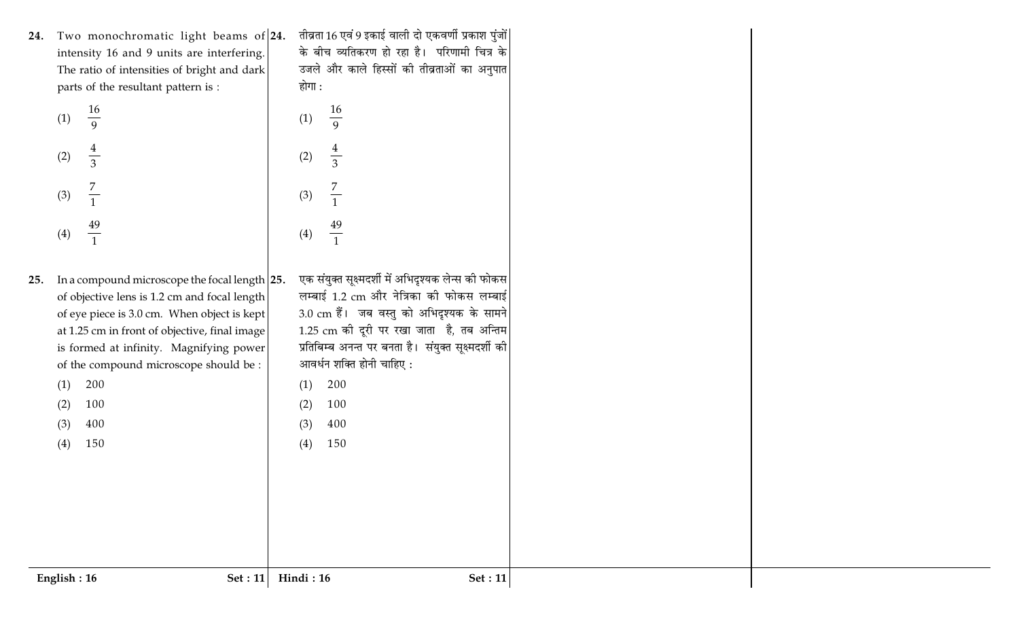24. Two monochromatic light beams of 24. intensity 16 and 9 units are interfering. The ratio of intensities of bright and dark parts of the resultant pattern is :

| (1) | $\frac{16}{9}$                   | (1) |
|-----|----------------------------------|-----|
| (2) | $\frac{4}{3}$                    | (2) |
| (3) | $\overline{7}$<br>$\overline{1}$ | (3) |
| (4) | $\frac{49}{1}$                   | (4) |

25. In a compound microscope the focal length  $|25$ . of objective lens is 1.2 cm and focal length of eye piece is 3.0 cm. When object is kept at 1.25 cm in front of objective, final image is formed at infinity. Magnifying power of the compound microscope should be: 200  $(1)$ 

तीव्रता 16 एवं 9 इकाई वाली दो एकवर्णी प्रकाश पुंजों| के बीच व्यतिकरण हो रहा है। परिणामी चित्र के उजले और काले हिस्सों की तीव्रताओं का अनुपात होगा :

16

 $\frac{1}{9}$ 

 $\frac{4}{3}$ 

 $\frac{7}{1}$  $(3)$  $\frac{49}{1}$  $(4)$ एक संयुक्त सूक्ष्मदर्शी में अभिदृश्यक लेन्स की फोकस लम्बाई 1.2 cm और नेत्रिका की फोकस लम्बाई 3.0 cm हैं। जब वस्तु को अभिदृश्यक के सामने 1.25 cm की दूरी पर रखा जाता है, तब अन्तिम प्रतिबिम्ब अनन्त पर बनता है। संयुक्त सूक्ष्मदर्शी की आवर्धन शक्ति होनी चाहिए :

- $(1)$  $(2)$ 
	- $(3)$ 400

200

100

 $(4)$ 150

100

400

150

 $(2)$ 

 $(3)$  $(4)$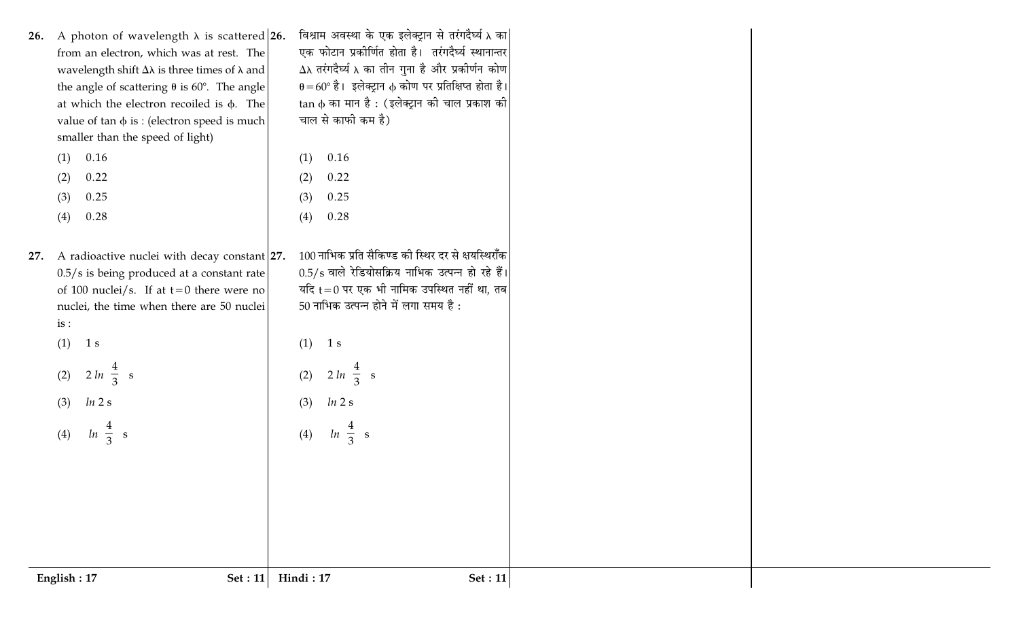| English: 17<br>Set : 11                               | Hindi: 17<br>Set: 11                                                                                                                                                                                                                                                                                                                                                                                                                             |
|-------------------------------------------------------|--------------------------------------------------------------------------------------------------------------------------------------------------------------------------------------------------------------------------------------------------------------------------------------------------------------------------------------------------------------------------------------------------------------------------------------------------|
|                                                       |                                                                                                                                                                                                                                                                                                                                                                                                                                                  |
|                                                       | $ln\left(\frac{4}{3}\right)s$<br>(4)                                                                                                                                                                                                                                                                                                                                                                                                             |
| $\ln 2$ s<br>(3)                                      | $\ln 2$ s<br>(3)                                                                                                                                                                                                                                                                                                                                                                                                                                 |
| (2)                                                   | $2 ln \left( \frac{4}{3} \right)$ s<br>(2)                                                                                                                                                                                                                                                                                                                                                                                                       |
| (1)<br>1 s                                            | (1)<br>1 s                                                                                                                                                                                                                                                                                                                                                                                                                                       |
| is:                                                   | 50 नाभिक उत्पन्न होने में लगा समय है:                                                                                                                                                                                                                                                                                                                                                                                                            |
| of 100 nuclei/s. If at $t=0$ there were no            | यदि $t = 0$ पर एक भी नामिक उपस्थित नहीं था, तब                                                                                                                                                                                                                                                                                                                                                                                                   |
|                                                       | 100 नाभिक प्रति सैकिण्ड की स्थिर दर से क्षयस्थिराँक<br>$0.5/s$ वाले रेडियोसक्रिय नाभिक उत्पन्न हो रहे हैं।                                                                                                                                                                                                                                                                                                                                       |
|                                                       |                                                                                                                                                                                                                                                                                                                                                                                                                                                  |
|                                                       | (3)<br>0.28<br>(4)                                                                                                                                                                                                                                                                                                                                                                                                                               |
|                                                       | 0.22<br>(2)<br>0.25                                                                                                                                                                                                                                                                                                                                                                                                                              |
| 0.16<br>(1)                                           | 0.16<br>(1)                                                                                                                                                                                                                                                                                                                                                                                                                                      |
| smaller than the speed of light)                      |                                                                                                                                                                                                                                                                                                                                                                                                                                                  |
| at which the electron recoiled is $\phi$ . The        | tan φ का मान है : (इलेक्ट्रान की चाल प्रकाश की <br>चाल से काफी कम है)                                                                                                                                                                                                                                                                                                                                                                            |
| the angle of scattering $\theta$ is 60°. The angle    | $\theta = 60^\circ$ है। इलेक्ट्रान $\phi$ कोण पर प्रतिक्षिप्त होता है।                                                                                                                                                                                                                                                                                                                                                                           |
|                                                       | $\Delta \lambda$ तरंगदैर्घ्य $\lambda$ का तीन गुना है और प्रकीर्णन कोण                                                                                                                                                                                                                                                                                                                                                                           |
| 26. A photon of wavelength $\lambda$ is scattered 26. | विश्राम अवस्था के एक इलेक्ट्रान से तरंगदैर्घ्य λ का <br>एक फोटान प्रकीर्णित होता है। तरंगदैर्घ्य स्थानान्तर                                                                                                                                                                                                                                                                                                                                      |
|                                                       | from an electron, which was at rest. The<br>wavelength shift $\Delta\lambda$ is three times of $\lambda$ and<br>value of $\tan \phi$ is : (electron speed is much)<br>(2)<br>0.22<br>0.25<br>(3)<br>(4)<br>0.28<br>27. A radioactive nuclei with decay constant 27.<br>$0.5/s$ is being produced at a constant rate<br>nuclei, the time when there are 50 nuclei<br>$2 ln \left( \frac{4}{3} \right)$ s<br>$ln\left(\frac{4}{3}\right)$ s<br>(4) |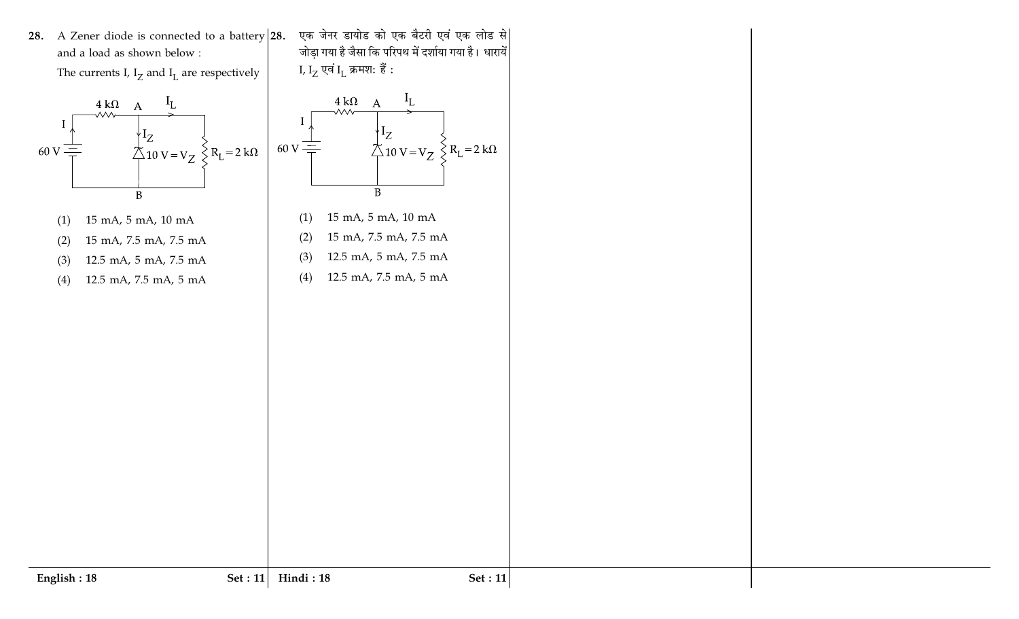28. A Zener diode is connected to a battery  $|28$ . and a load as shown below:

The currents I,  $I_Z$  and  $I_L$  are respectively



- $(1)$ 15 mA, 5 mA, 10 mA
- 15 mA, 7.5 mA, 7.5 mA  $(2)$
- 12.5 mA, 5 mA, 7.5 mA  $(3)$
- 12.5 mA, 7.5 mA, 5 mA  $(4)$



एक जेनर डायोड को एक बैटरी एवं एक लोड से जोड़ा गया है जैसा कि परिपथ में दर्शाया गया है। धारायें

- 15 mA, 5 mA, 10 mA  $(1)$
- 15 mA, 7.5 mA, 7.5 mA  $(2)$
- 12.5 mA, 5 mA, 7.5 mA  $(3)$
- 12.5 mA, 7.5 mA, 5 mA  $(4)$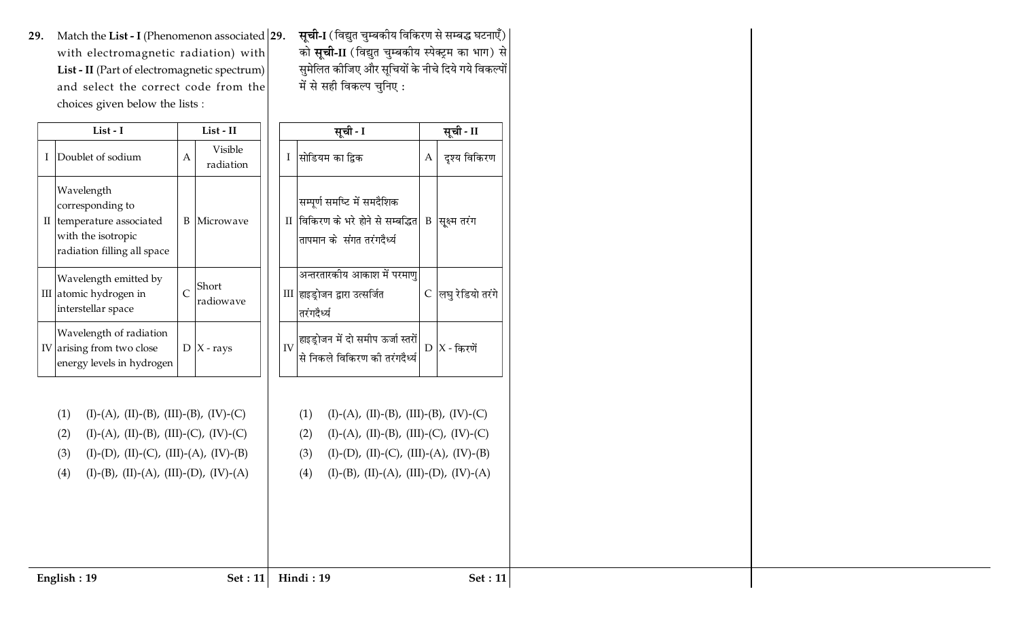29. Match the List - I (Phenomenon associated  $|29.$ with electromagnetic radiation) with List - II (Part of electromagnetic spectrum) and select the correct code from the choices given below the lists :

|   | List - I                                                                                                      |   | List - II            |  |
|---|---------------------------------------------------------------------------------------------------------------|---|----------------------|--|
| I | Doublet of sodium                                                                                             | А | Visible<br>radiation |  |
| П | Wavelength<br>corresponding to<br>temperature associated<br>with the isotropic<br>radiation filling all space | B | Microwave            |  |
|   | Wavelength emitted by<br>III atomic hydrogen in<br>interstellar space                                         | Ċ | Short<br>radiowave   |  |
|   | Wavelength of radiation<br>IV arising from two close<br>energy levels in hydrogen                             | D | $X$ - rays           |  |

**सूची-I** (विद्युत चुम्बकीय विकिरण से सम्बद्ध घटनाएँ) को **सूची-II** (विद्युत चुम्बकीय स्पेक्ट्रम का भाग) से सुमेलित कीजिए और सूचियों के नीचे दिये गये विकल्पों में से सही विकल्प चुनिए :

|                      | सूची - I                                                                                     |   | सूची - II        |  |
|----------------------|----------------------------------------------------------------------------------------------|---|------------------|--|
| T                    | सोडियम का द्विक                                                                              | A | दृश्य विकिरण     |  |
| $\scriptstyle\rm II$ | सम्पूर्ण समष्टि में समदैशिक<br>विकिरण के भरे होने से सम्बद्धित<br>तापमान के संगत तरंगदैर्ध्य | B | सूक्ष्म तरंग     |  |
|                      | अन्तरतारकीय आकाश में परमाणु<br>III  हाइड्रोजन द्वारा उत्सर्जित<br>तरंगदैर्ध्य                | С | लघु रेडियो तरंगे |  |
| IV                   | हाइड्रोजन में दो समीप ऊर्जा स्तरों<br>.<br>से निकले विकिरण की तरंगदैर्ध्य                    |   | $D$ $X$ - किरणें |  |

 $(I)-(D), (II)-(C), (III)-(A), (IV)-(B)$ 

 $(I)-(B)$ ,  $(II)-(A)$ ,  $(III)-(D)$ ,  $(IV)-(A)$ 

 $(3)$ 

 $(4)$ 

Hindi: 19

 $(I)-(D), (II)-(C), (III)-(A), (IV)-(B)$  $(3)$ 

 $(I)-(A), (II)-(B), (III)-(B), (IV)-(C)$ 

 $(I)-(A)$ ,  $(II)-(B)$ ,  $(III)-(C)$ ,  $(IV)-(C)$ 

 $(I)-(B)$ ,  $(II)-(A)$ ,  $(III)-(D)$ ,  $(IV)-(A)$  $(4)$ 

 $(1)$ 

 $(2)$ 

English: 19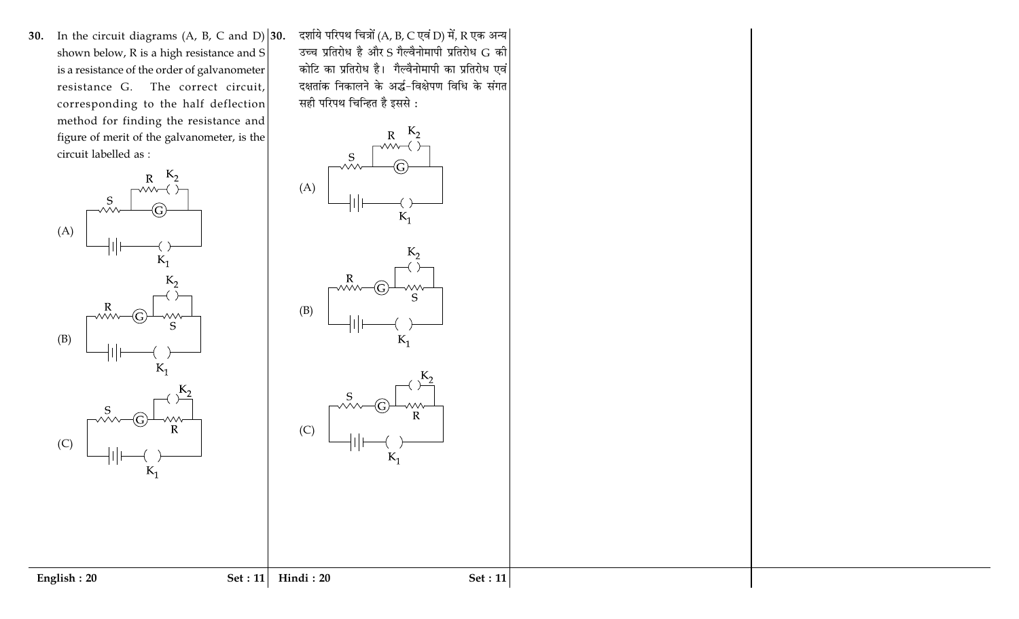30. In the circuit diagrams (A, B, C and D)  $|30$ . shown below, R is a high resistance and S is a resistance of the order of galvanometer resistance G. The correct circuit, corresponding to the half deflection method for finding the resistance and figure of merit of the galvanometer, is the circuit labelled as :



दर्शाये परिपथ चित्रों (A, B, C एवं D) में, R एक अन्य उच्च प्रतिरोध है और S गैल्वैनोमापी प्रतिरोध G की कोटि का प्रतिरोध है। गैल्वैनोमापी का प्रतिरोध एवं दक्षतांक निकालने के अर्द्ध-विक्षेपण विधि के संगत सही परिपथ चिन्हित है इससे :

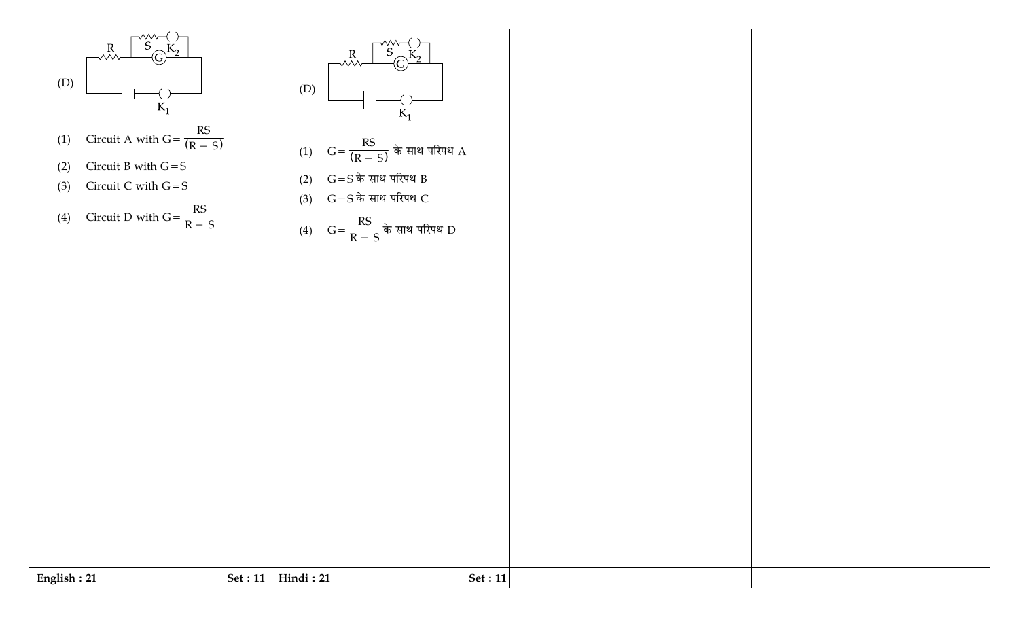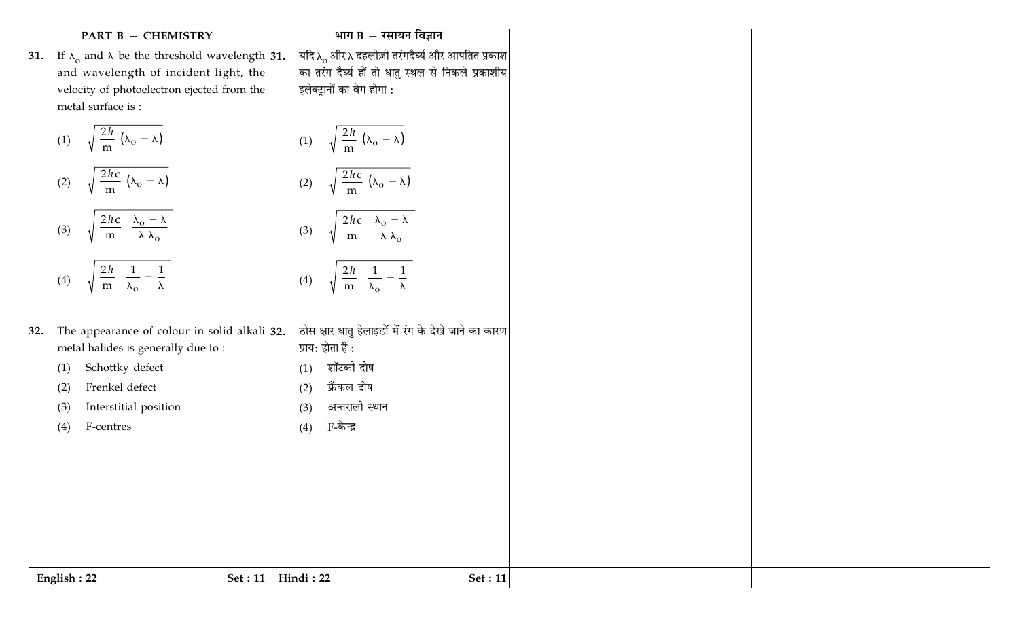## **PART B - CHEMISTRY**

31. If  $\lambda_0$  and  $\lambda$  be the threshold wavelength 31. and wavelength of incident light, the velocity of photoelectron ejected from the metal surface is :

(1) 
$$
\sqrt{\frac{2h}{m} (\lambda_o - \lambda)}
$$

$$
(2) \quad \sqrt{\frac{2hc}{m} (\lambda_o - \lambda)}
$$

(3) 
$$
\sqrt{\frac{2hc}{m} \left( \frac{\lambda_o - \lambda}{\lambda \lambda_o} \right)}
$$

$$
(4) \qquad \sqrt{\frac{2h}{m} \left( \frac{1}{\lambda_o} - \frac{1}{\lambda} \right)}
$$

- 32. The appearance of colour metal halides is generally
	- Schottky defect  $(1)$
	- $(2)$ Frenkel defect
	- Interstitial position  $(3)$
	- F-centres  $(4)$

English: 22

## भाग  $B - \overline{x}$ सायन विज्ञान

यदि $\lambda_\mathrm{o}$ और  $\lambda$  दहलीज़ी तरंगदैर्घ्य और आपतित प्रकाश का तरंग दैर्घ्य हों तो धातु स्थल से निकले प्रकाशीय इलेक्ट्रानों का वेग होगा :

(1) 
$$
\sqrt{\frac{2h}{m} (\lambda_o - \lambda)}
$$

$$
(2) \qquad \sqrt{\frac{2hc}{m} \left( \lambda_o - \lambda \right)}
$$

(3) 
$$
\sqrt{\frac{2hc}{m} \left( \frac{\lambda_0 - \lambda}{\lambda \lambda_0} \right)}
$$

$$
(4) \qquad \sqrt{\frac{2h}{m} \left( \frac{1}{\lambda_o} - \frac{1}{\lambda} \right)}
$$

Set :  $11$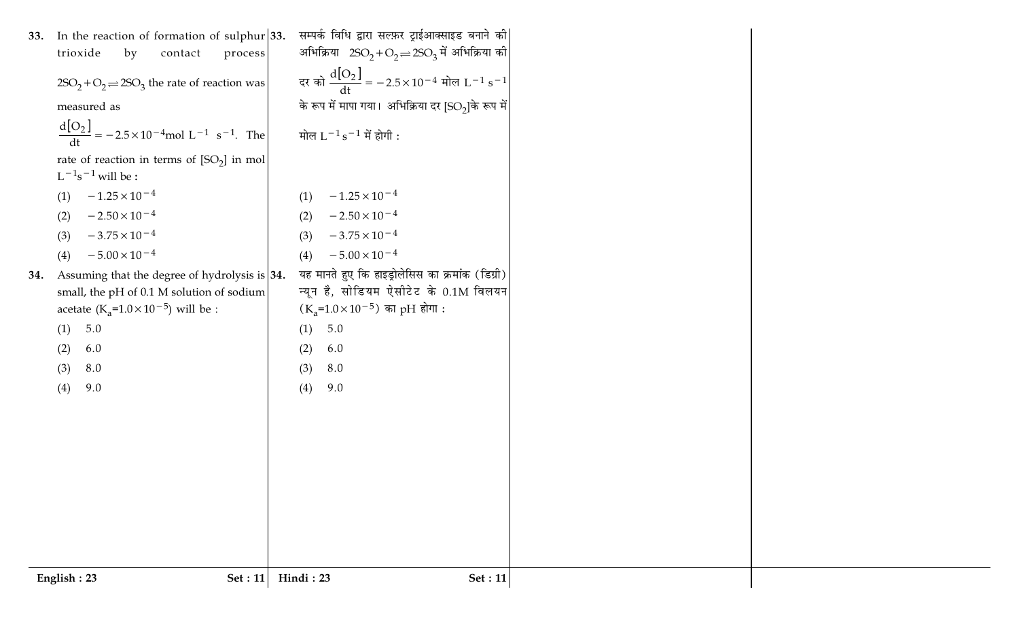|     | English: 23<br>Set: 11                                                                        | Hindi: 23<br>Set: 11                                                                      |
|-----|-----------------------------------------------------------------------------------------------|-------------------------------------------------------------------------------------------|
|     |                                                                                               |                                                                                           |
|     | (4)<br>9.0                                                                                    | (4)<br>9.0                                                                                |
|     | 8.0<br>(3)                                                                                    | 8.0<br>(3)                                                                                |
|     | 6.0<br>(2)                                                                                    | 6.0<br>(2)                                                                                |
|     | acetate (K <sub>a</sub> =1.0×10 <sup>-5</sup> ) will be :<br>(1) 5.0                          | $(K_a=1.0\times10^{-5})$ का pH होगा :<br>5.0<br>(1)                                       |
| 34. | Assuming that the degree of hydrolysis is $ 34.$<br>small, the pH of 0.1 M solution of sodium | यह मानते हुए कि हाइड्रोलेसिस का क्रमांक (डिग्री)<br>न्यून है, सोडियम ऐसीटेट के 0.1M विलयन |
|     | $-5.00 \times 10^{-4}$<br>(4)                                                                 | $-5.00 \times 10^{-4}$<br>(4)                                                             |
|     | $-3.75 \times 10^{-4}$<br>(3)                                                                 | $-3.75 \times 10^{-4}$<br>(3)                                                             |
|     | $-2.50 \times 10^{-4}$<br>(2)                                                                 | $-2.50 \times 10^{-4}$<br>(2)                                                             |
|     | $-1.25 \times 10^{-4}$<br>(1)                                                                 | $-1.25 \times 10^{-4}$<br>(1)                                                             |
|     | rate of reaction in terms of $[SO_2]$ in mol<br>$L^{-1}s^{-1}$ will be :                      |                                                                                           |
|     | $\frac{d[O_2]}{dt} = -2.5 \times 10^{-4} \text{mol L}^{-1} \text{ s}^{-1}. \text{ The}$       | मोल $L^{-1}s^{-1}$ में होगी :                                                             |
|     | measured as                                                                                   | के रूप में मापा गया। अभिक्रिया दर [SO2]के रूप में                                         |
|     | $2SO_2 + O_2 \rightleftharpoons 2SO_3$ the rate of reaction was                               | दर को $\frac{d[O_2]}{dt}$ = $-2.5 \times 10^{-4}$ मोल L <sup>-1</sup> s <sup>-1</sup>     |
|     | trioxide<br>by<br>contact<br>process                                                          | अभिक्रिया $2SO_2 + O_2 \rightleftharpoons 2SO_3$ में अभिक्रिया की                         |
| 33. | In the reaction of formation of sulphur $ 33$ .                                               | सम्पर्क विधि द्वारा सल्फ़र ट्राईआक्साइड बनाने की                                          |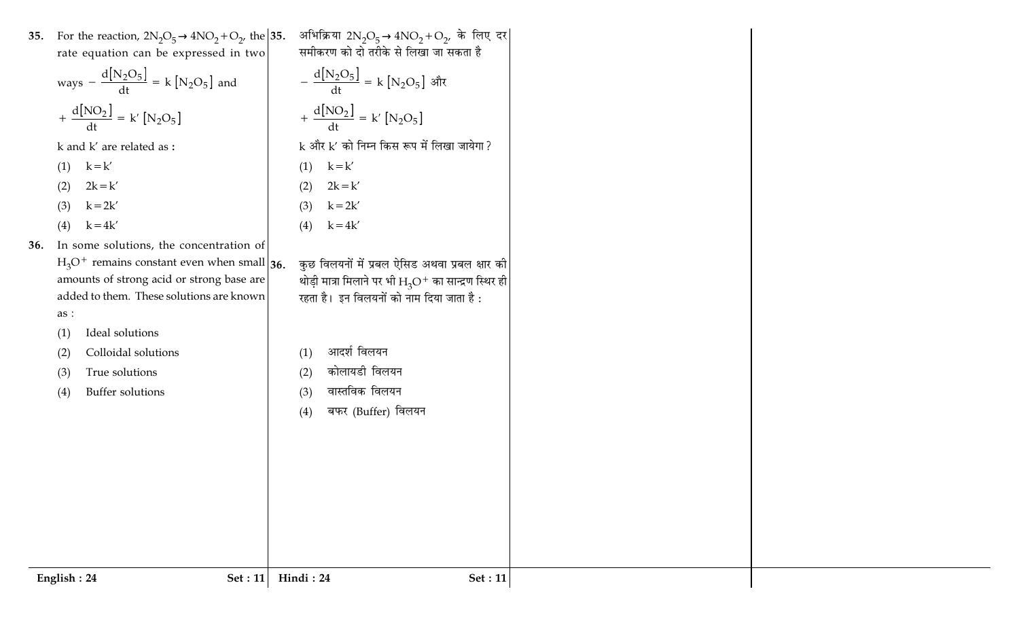|     | 35. For the reaction, $2N_2O_5 \rightarrow 4NO_2 + O_2$ , the 35.<br>rate equation can be expressed in two | अभिक्रिया 2N <sub>2</sub> O <sub>5</sub> →4NO <sub>2</sub> + O <sub>2</sub> , के लिए दर<br>समीकरण को दो तरीके से लिखा जा सकता है |                |
|-----|------------------------------------------------------------------------------------------------------------|----------------------------------------------------------------------------------------------------------------------------------|----------------|
|     | ways $-\frac{d[N_2O_5]}{dt} = k[N_2O_5]$ and                                                               | $-\frac{d[N_2O_5]}{dt} = k[N_2O_5]$ और                                                                                           |                |
|     | + $\frac{d[NO_2]}{dt}$ = k' [N <sub>2</sub> O <sub>5</sub> ]                                               | + $\frac{d[NO_2]}{dt}$ = k' $[N_2O_5]$                                                                                           |                |
|     | k and k' are related as:                                                                                   | k और k' को निम्न किस रूप में लिखा जायेगा?                                                                                        |                |
|     | $k = k'$<br>(1)                                                                                            | $k = k'$<br>(1)                                                                                                                  |                |
|     | $2k = k'$<br>(2)                                                                                           | $2k = k'$<br>(2)                                                                                                                 |                |
|     | $k = 2k'$<br>(3)                                                                                           | $k = 2k'$<br>(3)                                                                                                                 |                |
|     | $k = 4k'$<br>(4)                                                                                           | $k = 4k'$<br>(4)                                                                                                                 |                |
| 36. | In some solutions, the concentration of                                                                    |                                                                                                                                  |                |
|     | $H_3O^+$ remains constant even when small 36.                                                              | कुछ विलयनों में प्रबल ऐसिड अथवा प्रबल क्षार की                                                                                   |                |
|     | amounts of strong acid or strong base are                                                                  | थोड़ी मात्रा मिलाने पर भी $\rm H_3O^+$ का सान्द्रण स्थिर ही                                                                      |                |
|     | added to them. These solutions are known                                                                   | रहता है। इन विलयनों को नाम दिया जाता है :                                                                                        |                |
|     | as :                                                                                                       |                                                                                                                                  |                |
|     | Ideal solutions<br>(1)                                                                                     | आदर्श विलयन                                                                                                                      |                |
|     | Colloidal solutions<br>(2)                                                                                 | (1)<br>कोलायडी विलयन                                                                                                             |                |
|     | True solutions<br>(3)                                                                                      | (2)                                                                                                                              |                |
|     | Buffer solutions<br>(4)                                                                                    | वास्तविक विलयन<br>(3)                                                                                                            |                |
|     |                                                                                                            | बफर (Buffer) विलयन<br>(4)                                                                                                        |                |
|     |                                                                                                            |                                                                                                                                  |                |
|     |                                                                                                            |                                                                                                                                  |                |
|     |                                                                                                            |                                                                                                                                  |                |
|     |                                                                                                            |                                                                                                                                  |                |
|     |                                                                                                            |                                                                                                                                  |                |
|     |                                                                                                            |                                                                                                                                  |                |
|     |                                                                                                            |                                                                                                                                  |                |
|     | English: 24<br><b>Set</b> : 11                                                                             | Hindi: 24                                                                                                                        | <b>Set: 11</b> |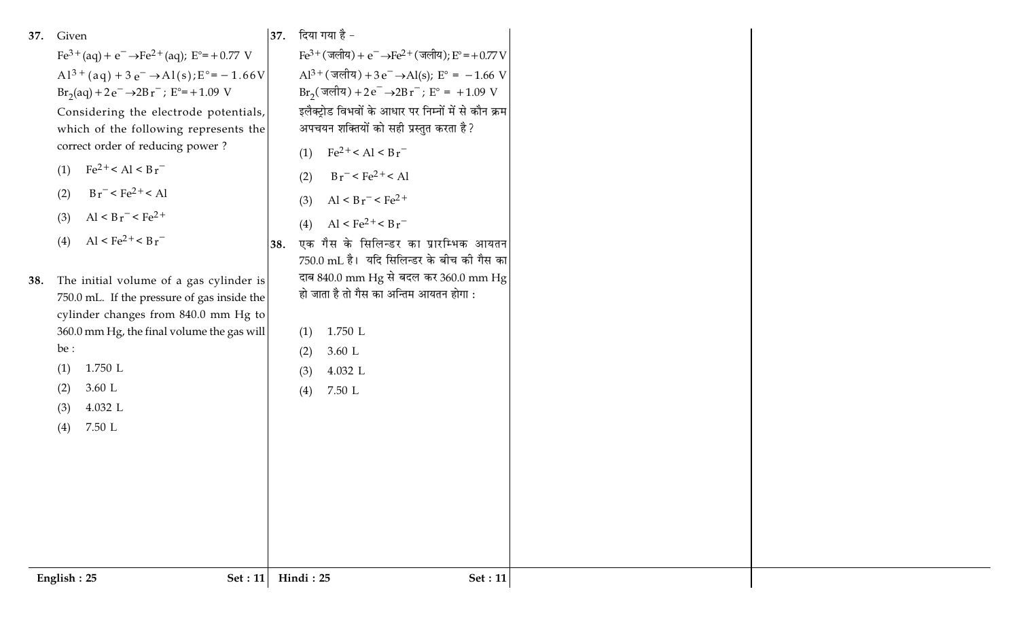| Given<br>37.<br>$Fe^{3+}(aq) + e^{-} \rightarrow Fe^{2+}(aq)$ ; $E^{\circ} = +0.77$ V<br>$Al^{3+}(aq) + 3e^- \rightarrow Al(s); E^{\circ} = -1.66V$<br>$Br_2(aq) + 2e^- \rightarrow 2Br^-$ ; $E^{\circ} = +1.09$ V<br>Considering the electrode potentials,<br>which of the following represents the<br>correct order of reducing power?<br>$Fe^{2+} < Al < Br^{-}$<br>(1)<br>$Br^-$ < $Fe^{2+}$ < Al<br>(2)<br>Al < $Br^-$ < $Fe^{2+}$<br>(3)<br>Al < $Fe^{2+}$ < $Br^-$<br>(4)<br>The initial volume of a gas cylinder is<br>38.<br>750.0 mL. If the pressure of gas inside the<br>cylinder changes from 840.0 mm Hg to<br>360.0 mm Hg, the final volume the gas will<br>be :<br>$1.750$ L<br>(1)<br>3.60 L<br>(2)<br>4.032 L<br>(3) | 37. दिया गया है -<br>$Fe^{3+}$ (जलीय) + $e^ \rightarrow Fe^{2+}$ (जलीय); $E^{\circ}$ = +0.77 V<br>$Al^{3+}$ (जलीय) + 3 e <sup>-</sup> →Al(s); E <sup>o</sup> = -1.66 V<br>$Br_2(\overline{3}$ लीय) +2 $e^-$ →2Br <sup>-</sup> ; $E^\circ = +1.09$ V<br>इलैक्ट्रोड विभवों के आधार पर निम्नों में से कौन क्रम<br>अपचयन शक्तियों को सही प्रस्तुत करता है?<br>$Fe^{2+} < Al < Br^{-}$<br>(1)<br>$Br^-$ < $Fe^{2+}$ < Al<br>(2)<br>$Al < Br^- < Fe2+$<br>(3)<br>Al < $Fe^{2+}$ < $Br^-$<br>(4)<br>एक गैस के सिलिन्डर का प्रारम्भिक आयतन<br>38.<br>750.0 mL है। यदि सिलिन्डर के बीच की गैस का<br>दाब 840.0 mm Hg से बदल कर 360.0 mm Hg<br>हो जाता है तो गैस का अन्तिम आयतन होगा :<br>1.750 L<br>(1)<br>3.60 L<br>(2)<br>4.032 L<br>(3)<br>7.50 L<br>(4) |  |
|----------------------------------------------------------------------------------------------------------------------------------------------------------------------------------------------------------------------------------------------------------------------------------------------------------------------------------------------------------------------------------------------------------------------------------------------------------------------------------------------------------------------------------------------------------------------------------------------------------------------------------------------------------------------------------------------------------------------------------------|---------------------------------------------------------------------------------------------------------------------------------------------------------------------------------------------------------------------------------------------------------------------------------------------------------------------------------------------------------------------------------------------------------------------------------------------------------------------------------------------------------------------------------------------------------------------------------------------------------------------------------------------------------------------------------------------------------------------------------------------------|--|
|                                                                                                                                                                                                                                                                                                                                                                                                                                                                                                                                                                                                                                                                                                                                        |                                                                                                                                                                                                                                                                                                                                                                                                                                                                                                                                                                                                                                                                                                                                                   |  |
| 7.50 L<br>(4)                                                                                                                                                                                                                                                                                                                                                                                                                                                                                                                                                                                                                                                                                                                          |                                                                                                                                                                                                                                                                                                                                                                                                                                                                                                                                                                                                                                                                                                                                                   |  |
|                                                                                                                                                                                                                                                                                                                                                                                                                                                                                                                                                                                                                                                                                                                                        |                                                                                                                                                                                                                                                                                                                                                                                                                                                                                                                                                                                                                                                                                                                                                   |  |
| Set : $11$<br>English: 25                                                                                                                                                                                                                                                                                                                                                                                                                                                                                                                                                                                                                                                                                                              | Hindi: 25<br>Set: 11                                                                                                                                                                                                                                                                                                                                                                                                                                                                                                                                                                                                                                                                                                                              |  |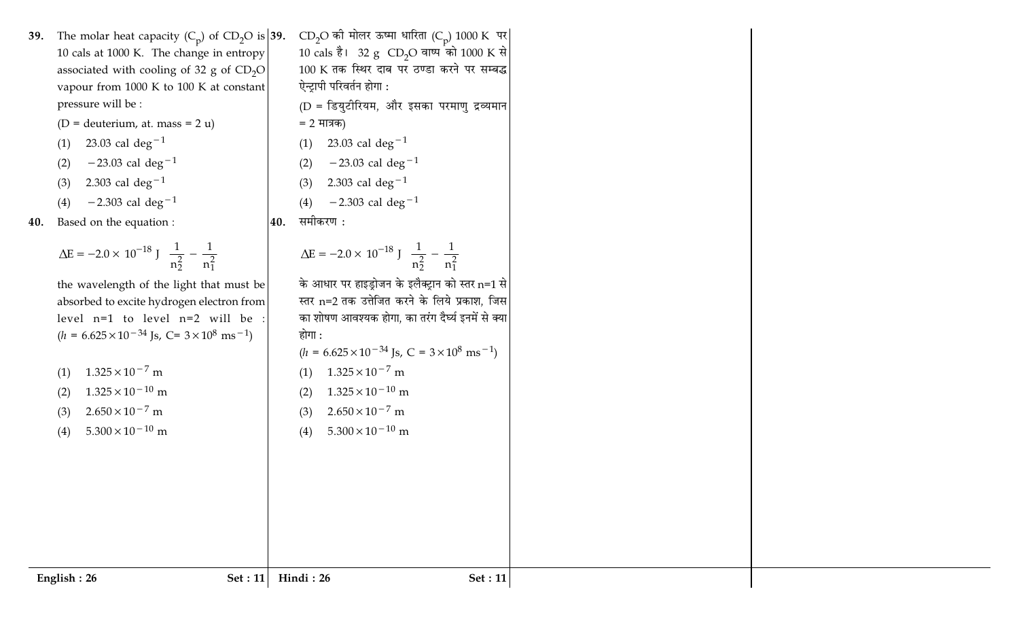- 39. The molar heat capacity  $(C_p)$  of  $CD_2O$  is 39. 10 cals at 1000 K. The change in entropy associated with cooling of 32 g of  $CD<sub>2</sub>O$ vapour from 1000 K to 100 K at constant pressure will be :
	- (D = deuterium, at. mass =  $2 u$ )
	- 23.03 cal deg<sup>-1</sup>  $(1)$
	- $-23.03$  cal deg<sup>-1</sup>  $(2)$
	- 2.303 cal deg<sup>-1</sup>  $(3)$
	- $-2.303$  cal deg<sup>-1</sup>  $(4)$
- 40. Based on the equation :

$$
\Delta E = -2.0 \times 10^{-18} \text{ J} \left( \frac{1}{n_2^2} - \frac{1}{n_1^2} \right)
$$

the wavelength of the light that must be absorbed to excite hydrogen electron from level  $n=1$  to level  $n=2$  will be :  $(h = 6.625 \times 10^{-34} \text{Js}, C = 3 \times 10^8 \text{ ms}^{-1})$ 

- $1.325 \times 10^{-7}$  m  $(1)$
- $1.325 \times 10^{-10}$  m  $(2)$
- $2.650 \times 10^{-7}$  m  $(3)$
- $5.300 \times 10^{-10}$  m  $(4)$

 $CD_2O$  की मोलर ऊष्मा धारिता (Cp) 1000 K पर 10 cals है। 32 g CD<sub>2</sub>O वाष्प को 1000 K से  $100 \text{ K}$  तक स्थिर दाब पर ठण्डा करने पर सम्बद्ध ऐन्ट्रापी परिवर्तन होगा :

- (D = डियुटीरियम, और इसका परमाणु द्रव्यमान = 2 मात्रक)
- 23.03 cal deg<sup>-1</sup>  $(1)$
- $-23.03$  cal deg<sup>-1</sup>  $(2)$
- 2.303 cal deg<sup>-1</sup>  $(3)$
- $-2.303$  cal deg<sup>-1</sup>  $(4)$
- समीकरण : 40.

$$
\Delta E = -2.0 \times 10^{-18} \text{ J} \left( \frac{1}{n_2^2} - \frac{1}{n_1^2} \right)
$$

के आधार पर हाइड्रोजन के इलैक्ट्रान को स्तर n=1 से स्तर n=2 तक उत्तेजित करने के लिये प्रकाश, जिस का शोषण आवश्यक होगा, का तरंग दैर्घ्य इनमें से क्या होगा :

- $(h = 6.625 \times 10^{-34}$  Js, C =  $3 \times 10^8$  ms<sup>-1</sup>)
- $1.325 \times 10^{-7}$  m  $(1)$
- $1.325 \times 10^{-10}$  m  $(2)$
- $2.650 \times 10^{-7}$  m  $(3)$
- $5.300 \times 10^{-10}$  m  $(4)$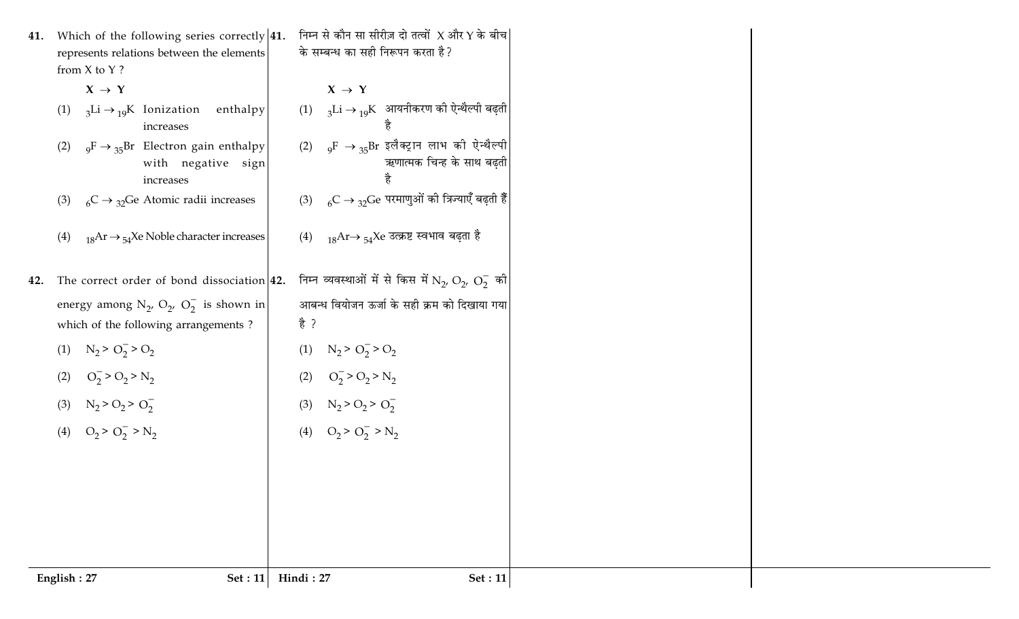| 41. |             | Which of the following series correctly $ 41$ .<br>represents relations between the elements<br>from X to Y ? | निम्न से कौन सा सीरीज़ दो तत्वों $X$ और $Y$ के बीच $\mid$<br>के सम्बन्ध का सही निरूपन करता है?                    |
|-----|-------------|---------------------------------------------------------------------------------------------------------------|-------------------------------------------------------------------------------------------------------------------|
|     |             | $X \rightarrow Y$                                                                                             | $X \rightarrow Y$                                                                                                 |
|     | (1)         | $_3$ Li $\rightarrow$ 19K Ionization enthalpy<br>increases                                                    | (1) $\sigma_3$ Li → $_{19}$ K आयनीकरण की ऐन्थैल्पी बढ़ती                                                          |
|     | (2)         | $_{9}F \rightarrow _{35}Br$ Electron gain enthalpy<br>with negative sign<br>increases                         | (2) <sub>9</sub> F $\rightarrow$ <sub>35</sub> Br इलैक्ट्रान लाभ की ऐन्थैल्पी<br>ऋणात्मक चिन्ह के साथ बढ़ती<br>है |
|     | (3)         | ${}_{6}C \rightarrow {}_{32}Ge$ Atomic radii increases                                                        | (3) ${}_{6}C \rightarrow {}_{32}Ge$ परमाणुओं की त्रिज्याएँ बढ़ती हैं                                              |
|     | (4)         | $_{18}Ar \rightarrow_{54}Xe$ Noble character increases                                                        | (4) $_{18}$ Ar→ $_{54}$ Xe उत्क्रष्ट स्वभाव बढ़ता है                                                              |
| 42. |             | The correct order of bond dissociation 42.                                                                    | निम्न व्यवस्थाओं में से किस में $\mathrm{N}_2$ , $\mathrm{O}_2$ , $\mathrm{O}_2^-$ की                             |
|     |             | energy among $N_{2}$ , $O_{2}$ , $O_{2}^{-}$ is shown in<br>which of the following arrangements?              | आबन्ध वियोजन ऊर्जा के सही क्रम को दिखाया गया<br>है ?                                                              |
|     | (1)         | $N_2 > O_2^- > O_2$                                                                                           | $N_2 > O_2 > O_2$<br>(1)                                                                                          |
|     | (2)         | $O_2^-$ > $O_2$ > $N_2$                                                                                       | $O_2^-$ > $O_2$ > $N_2$<br>(2)                                                                                    |
|     |             | (3) $N_2 > O_2 > O_2^-$                                                                                       | $N_2 > O_2 > O_2^-$<br>(3)                                                                                        |
|     |             | (4) $O_2 > O_2^- > N_2$                                                                                       | $O_2 > O_2^->N_2$<br>(4)                                                                                          |
|     |             |                                                                                                               |                                                                                                                   |
|     |             |                                                                                                               |                                                                                                                   |
|     |             |                                                                                                               |                                                                                                                   |
|     |             |                                                                                                               |                                                                                                                   |
|     | English: 27 | Set : $11$                                                                                                    | Hindi: 27<br><b>Set</b> : 11                                                                                      |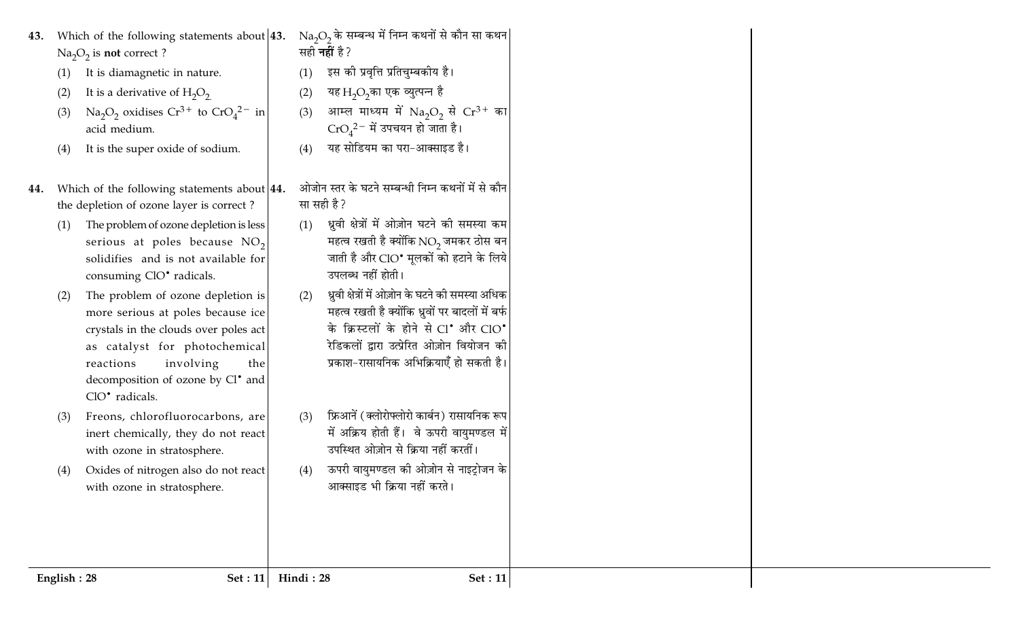- 43. Which of the following statements about  $|43$ .  $Na<sub>2</sub>O<sub>2</sub>$  is not correct ?
	- It is diamagnetic in nature.  $(1)$
	- It is a derivative of  $H_2O_2$  $(2)$
	- Na<sub>2</sub>O<sub>2</sub> oxidises Cr<sup>3+</sup> to CrO<sub>4</sub><sup>2-</sup> in  $(3)$ acid medium.
	- It is the super oxide of sodium.  $(4)$
- 44. Which of the following statements about 44. the depletion of ozone layer is correct?
	- The problem of ozone depletion is less  $(1)$ serious at poles because  $NO<sub>2</sub>$ solidifies and is not available for consuming ClO<sup>•</sup> radicals.
	- The problem of ozone depletion is  $(2)$ more serious at poles because ice crystals in the clouds over poles act as catalyst for photochemical involving reactions the decomposition of ozone by Cl' and ClO<sup>•</sup> radicals.
	- Freons, chlorofluorocarbons, are  $(3)$ inert chemically, they do not react with ozone in stratosphere.
	- Oxides of nitrogen also do not react  $(4)$ with ozone in stratosphere.
- $\text{Na}_2\text{O}_2$  के सम्बन्ध में निम्न कथनों से कौन सा कथन सही **नहीं** है ?
	- इस को प्रवृत्ति प्रतिचुम्बकीय है।  $(1)$
	- यह $H_2O_2$ का एक व्युत्पन्न है  $(2)$
	- आम्ल माध्यम में  $Na<sub>2</sub>O<sub>2</sub>$  से  $Cr<sup>3+</sup>$  का  $(3)$  $\text{CrO}_4{}^{2-}$  में उपचयन हो जाता है।
	- यह सोडियम का परा-आक्साइड है।  $(4)$
	- ओजोन स्तर के घटने सम्बन्धी निम्न कथनों में से कौन सा सही है?
	- ध्रुवी क्षेत्रों में ओज़ोन घटने की समस्या कम  $(1)$ महत्व रखती है क्योंकि  $NO<sub>2</sub>$  जमकर ठोस बन जाती है और ClO\* मलकों को हटाने के लिये उपलब्ध नहीं होती।
	- ध्रवी क्षेत्रों में ओज़ोन के घटने की समस्या अधिक  $(2)$ महत्व रखती है क्योंकि ध्रुवों पर बादलों में बर्फ के क्रिस्टलों के होने से  $Cl^{\bullet}$  और  $ClO^{\bullet}$ रेडिकलों द्वारा उत्प्रेरित ओज़ोन वियोजन की प्रकाश-रासायनिक अभिक्रियाएँ हो सकती है।
	- फ्रिआनें (क्लोरोफ्लोरो कार्बन) रासायनिक रूप  $(3)$ में अक्रिय होती हैं। वे ऊपरी वायुमण्डल में उपस्थित ओज़ोन से क्रिया नहीं करतीं।
	- ऊपरी वायुमण्डल की ओज़ोन से नाइट्रोजन के  $(4)$ आक्साइड भी क्रिया नहीं करते।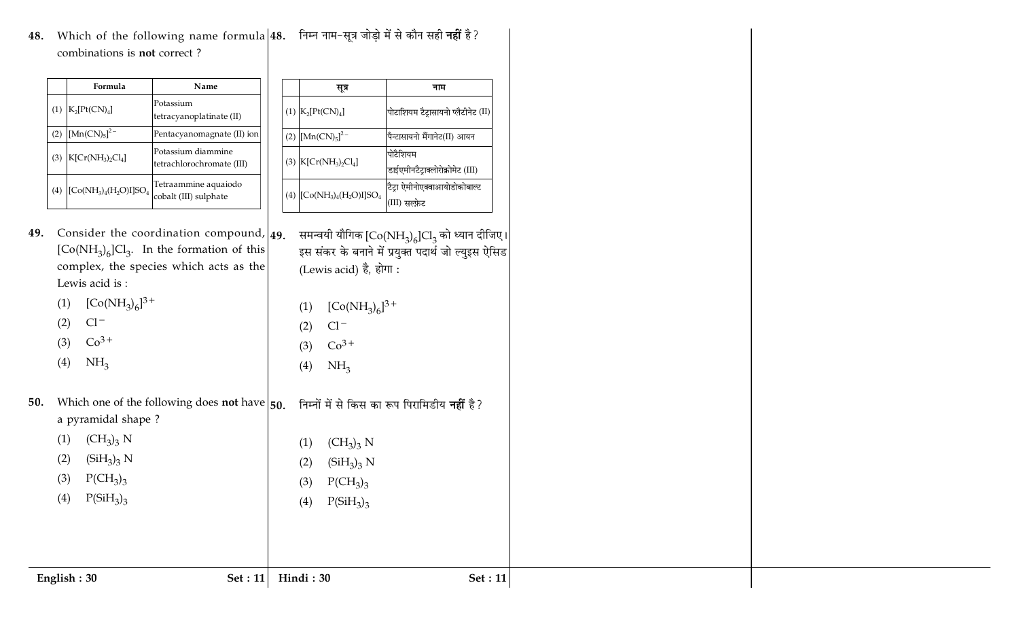48. Which of the following name formula $\vert$ 48. निम्न नाम-सूत्र जोड़ो में से कौन सही **नहीं** है? combinations is **not** correct?

|     | Formula                       | Name                                            |
|-----|-------------------------------|-------------------------------------------------|
| (1) | $K_2[Pt(CN)_4]$               | Potassium<br>tetracyanoplatinate (II)           |
| (2) | $[Mn(CN)_5]^{2-}$             | Pentacyanomagnate (II) ion                      |
| (3) | $K[Cr(NH3)2Cl4]$              | Potassium diammine<br>tetrachlorochromate (III) |
|     | (4) $[Co(NH_3)_4(H_2O)I]SO_4$ | Tetraammine aquaiodo<br>cobalt (III) sulphate   |

|                                |  | सूत्र                                                                                       | नाम                                                                                                     |
|--------------------------------|--|---------------------------------------------------------------------------------------------|---------------------------------------------------------------------------------------------------------|
|                                |  | (1) $K_2[Pt(CN)_4]$                                                                         | पोटाशियम टैट्रासायनो प्लैटीनेट (II)                                                                     |
| ) ion                          |  | (2) $[Mn(CN)_5]^{2-}$                                                                       | पैन्टासायनो मैंगानेट(II) आयन                                                                            |
| I)                             |  | (3) $K[Cr(NH3)2Cl4]$                                                                        | पोटैशियम<br>डाईएमीनटैट्राक्लोरोक्रोमेट (III)                                                            |
|                                |  | (4) $[Co(NH_3)_4(H_2O)I]SO_4$                                                               | टैट्रा ऐमीनोएक्वाआयोडोकोबाल्ट<br>(III) सल्फ़ेट                                                          |
| und, <b>49.</b><br>this<br>the |  | (Lewis acid) है, होगा:                                                                      | समन्वयी यौगिक $[Co(NH_3)_6]Cl_3$ को ध्यान दीजिए।<br>इस संकर के बनाने में प्रयुक्त पदार्थ जो ल्युइस ऐसिड |
|                                |  | (1) $[Co(NH_3)_6]^{3+}$<br>$(2)$ Cl <sup>-</sup><br>(3) $Co^{3+}$<br>(4)<br>NH <sub>3</sub> |                                                                                                         |
| have $\vert$ 50.               |  |                                                                                             | निम्नों में से किस का रूप पिरामिडीय <b>नहीं</b> है?                                                     |
|                                |  | $(1)$ $(CH_3)_3 N$<br>(2) $(SiH_3)_3 N$<br>(3) $P(CH_3)_3$<br>(4) $P(SiH_3)_3$              |                                                                                                         |
|                                |  |                                                                                             |                                                                                                         |

**49.** Consider the coordination compoun  $\left[\mathrm{Co(NH}_{3})_{6}\right]$ Cl<sub>3</sub>. In the formation of this complex, the species which acts as Lewis acid is:

|     | (1) $[Co(NH_3)_6]^{3+}$ |  |
|-----|-------------------------|--|
| (2) | $Cl^-$                  |  |
| (3) | $Co3+$                  |  |
| (4) | NH <sub>3</sub>         |  |

**50.** Which one of the following does **not** have a pyramidal shape? (1)  $(CH_3)_3 N$ 

11 Hin

| (2) | $(SiH_3)_3 N$ | (2) | (S |
|-----|---------------|-----|----|
| (3) | $P(CH_3)_3$   | (3) | Ρ  |
| (4) | $P(SiH_3)_3$  | (4) | Ρ  |

 $\mathbf{E}$  **p**  $\mathbf{E}$  **c**  $\mathbf{E}$  **c**  $\mathbf{E}$  : 1

| $H_3$ <sub>3</sub> |  |  |
|--------------------|--|--|
|                    |  |  |

**di**: 30 **Set**: 11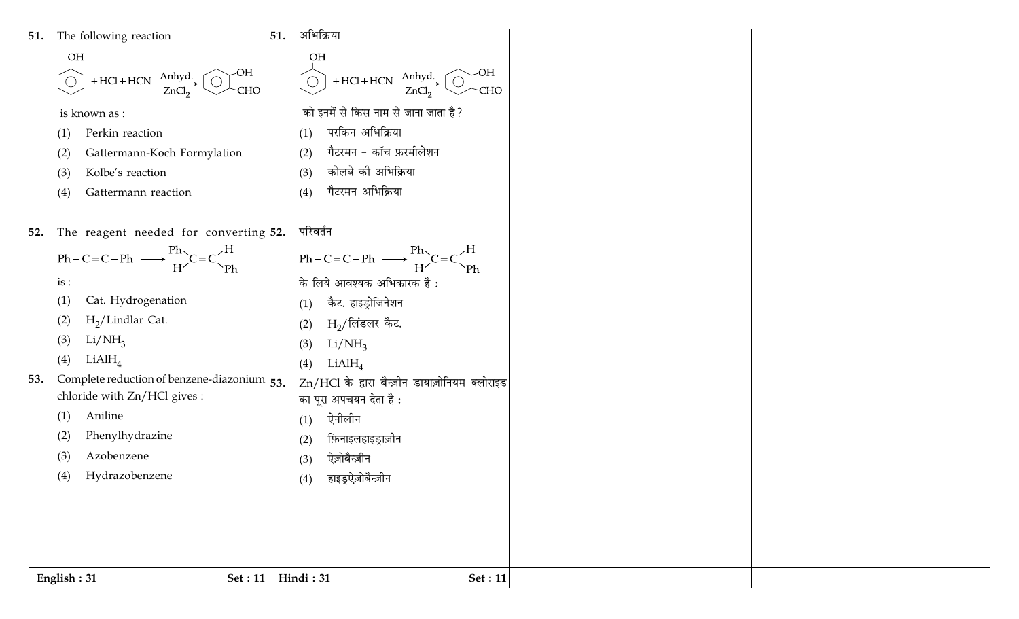51. The following reaction

$$
\bigcirc H
$$
  
 
$$
\bigcirc + HCl + HCN \xrightarrow{\text{Anhyd.}} \bigcirc H
$$
  
 
$$
ZnCl2
$$
 
$$
\bigcirc H
$$

 $|51.$  अभिक्रिया

 $(1)$ 

 $(2)$ 

 $(3)$ 

 $(4)$ 

**OH** 

 $\bigodot$  + HCl + HCN  $\frac{\text{Anhyd.}}{\text{ZnCl}_2}$   $\bigodot$  CHO

को इनमें से किस नाम से जाना जाता है?

गैटरमन - कॉच फ़रमीलेशन

परकिन अभिक्रिया

कोलबे की अभिक्रिया

गैटरमन अभिक्रिया

is known as :

- Perkin reaction  $(1)$
- Gattermann-Koch Formylation  $(2)$
- Kolbe's reaction  $(3)$
- Gattermann reaction  $(4)$
- परिवर्तन 52. The reagent needed for converting  $52$ .

 $Ph-C \equiv C - Ph \longrightarrow \frac{Ph}{H} \leftarrow C = C \leftarrow \frac{H}{P}$  $Ph - C \equiv C - Ph \longrightarrow \frac{Ph}{H} C = C \frac{H}{Ph}$ के लिये आवश्यक अभिकारक है:  $is:$  $(1)$ Cat. Hydrogenation कैट. हाइड़ोजिनेशन  $(1)$  $H<sub>2</sub>/Lindlar Cat.$  $(2)$  $\rm H_2$ /लिंडलर कैट.  $(2)$  $Li/NH_3$  $(3)$  $Li/NH_3$  $(3)$  $LiAlH<sub>4</sub>$  $(4)$  $LiAlH<sub>4</sub>$  $(4)$ 53. Complete reduction of benzene-diazonium  $|_{53}$ . Zn/HCl के द्वारा बैन्ज़ीन डायाज़ोनियम क्लोराइड chloride with Zn/HCl gives : का पुरा अपचयन देता है: Aniline  $(1)$ ऐनीलीन  $(1)$  $(2)$ Phenylhydrazine फ़िनाइलहाइड्राज़ीन  $(2)$ Azobenzene  $(3)$ ऐज़ोबैन्ज़ीन  $(3)$ Hydrazobenzene  $(4)$ हाइड्रऐज़ोबैन्ज़ीन  $(4)$ English: 31 Hindi: 31 Set: 11 Set :  $11$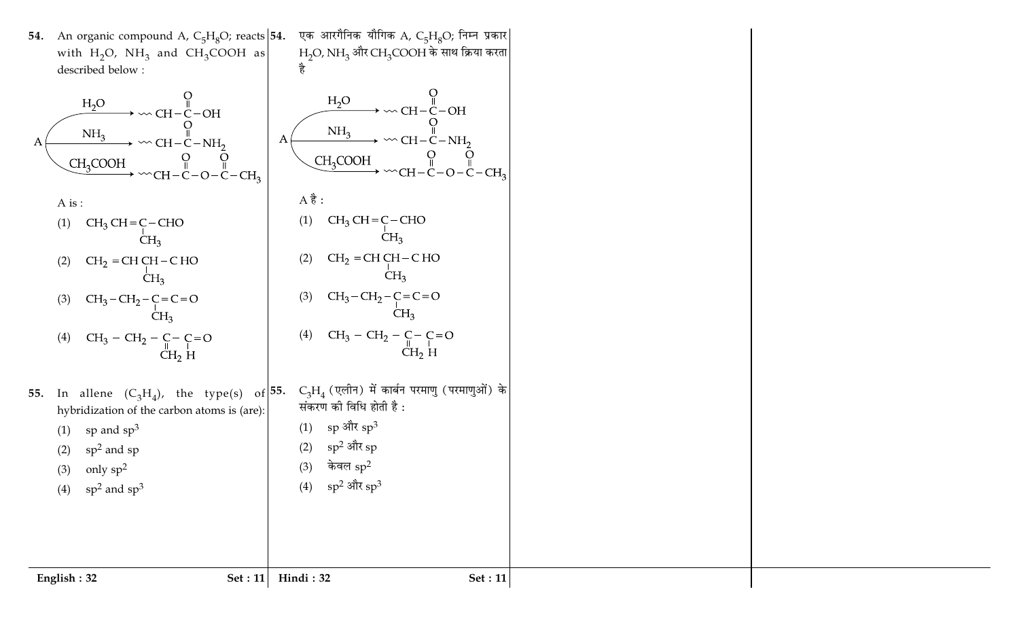54. An organic compound A,  $C_5H_8O$ ; reacts 54. एक आरगैनिक यौगिक A,  $\rm C_5H_8O$ ; निम्न प्रकार  $H<sub>2</sub>$ O, NH<sub>3</sub> और CH<sub>3</sub>COOH के साथ क्रिया करता with  $H_2O$ ,  $NH_3$  and  $CH_3COOH$  as है described below :  $H_2O$  $\rm H_2O$  $CH-C-OH$ -OH  $NH<sub>3</sub>$  $NH<sub>3</sub>$  $\boldsymbol{A}$  $CH-C-NH_2$  $-C-NH_2$ А CH<sub>3</sub>COOH CH<sub>3</sub>COOH  $C-CH<sub>2</sub>$  $CH-C-O-C-CH<sub>3</sub>$  $A \overset{\rightarrow}{6}$  : A is :  $CH<sub>3</sub>CH = C - CHO$  $(1)$ (1)  $CH_3 CH = C-CHO$  $CH<sub>3</sub>$  $CH<sub>3</sub>$  $CH<sub>2</sub> = CH CH - CHO$  $(2)$  $CH<sub>2</sub> = CH CH - CHO$  $(2)$  $CH<sub>3</sub>$  $CH<sub>3</sub>$  $CH<sub>3</sub>-CH<sub>2</sub>-C=C=O$  $CH<sub>3</sub>-CH<sub>2</sub>-C=C=O$  $(3)$  $(3)$  $CH<sub>3</sub>$  $CH<sub>3</sub>$  $\mathrm{CH}_3-\mathrm{CH}_2-\underset{\mathrm{CH}_2}{\mathrm{C}-}\underset{\mathrm{H}}{\mathrm{C}=0}$  $(4)$  $CH_3 - CH_2 - C - C = O$  $(4)$  $CH<sub>2</sub> H$  $C_3H_4$  (एलीन) में कार्बन परमाणु (परमाणुओं) के 55. In allene  $(C_3H_4)$ , the type(s) of  $55$ . संकरण की विधि होती है: hybridization of the carbon atoms is (are): (1) sp और  $sp^3$ sp and  $sp^3$  $(1)$  $sp^2$  और  $sp$  $sp<sup>2</sup>$  and sp  $(2)$  $(2)$ केवल  $\mathrm{sp}^2$  $(3)$ only  $sp^2$  $(3)$  $\mathrm{sp}^2$  और  $\mathrm{sp}^3$  $(4)$  $sp<sup>2</sup>$  and  $sp<sup>3</sup>$  $(4)$ English:  $32$ Set :  $11$ Hindi: 32 Set :  $11$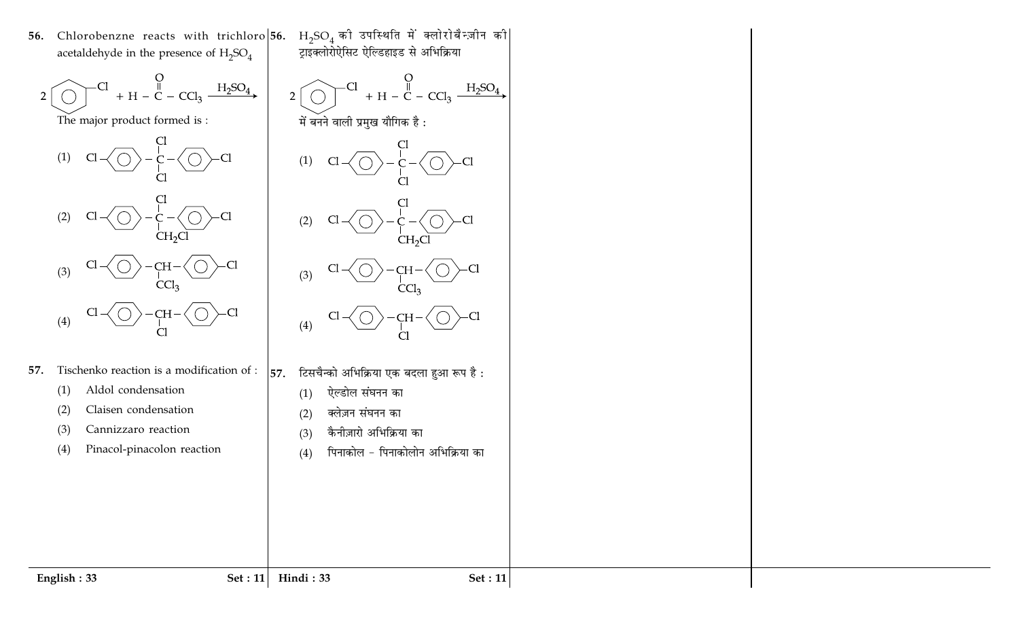56. Chlorobenzne reacts with trichloro 56. acetaldehyde in the presence of  $H_2SO_4$ 



Tischenko reaction is a modification of :  $\vert$  57. 57.

> Aldol condensation  $(1)$

Claisen condensation  $(2)$ 

Cannizzaro reaction  $(3)$ 

Pinacol-pinacolon reaction  $(4)$ 

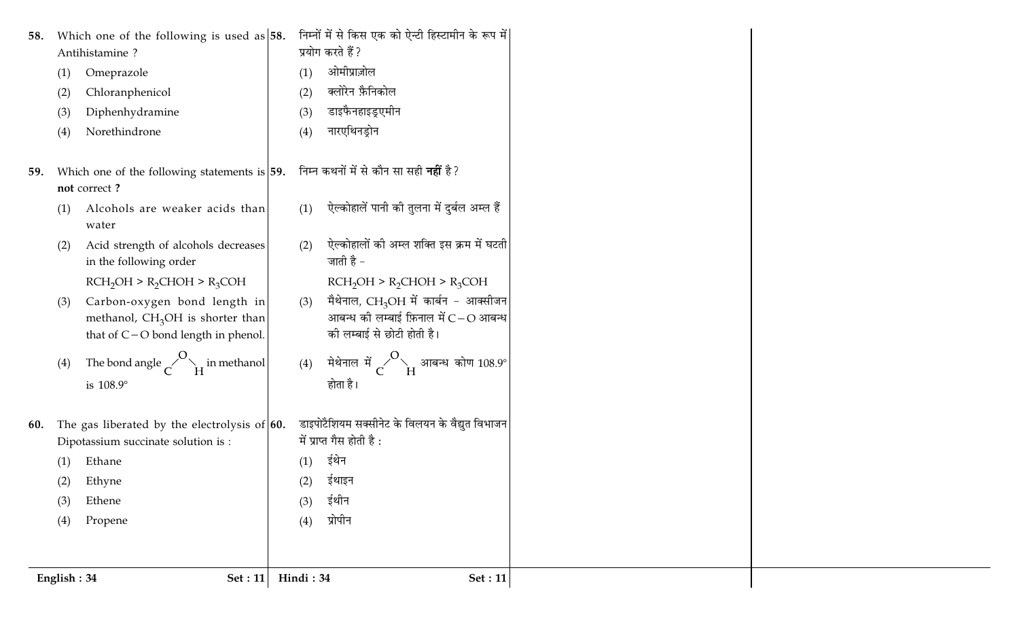| 58.         | Which one of the following is used as $ 58$ .                                                                 |            | निम्नों में से किस एक को ऐन्टी हिस्टामीन के रूप में                                                            |
|-------------|---------------------------------------------------------------------------------------------------------------|------------|----------------------------------------------------------------------------------------------------------------|
| (1)         | Antihistamine?<br>Omeprazole                                                                                  | (1)        | प्रयोग करते हैं ?<br>ओमीप्राज़ोल                                                                               |
| (2)         | Chloranphenicol                                                                                               | (2)        | क्लोरेन फ़ैनिकोल                                                                                               |
| (3)         | Diphenhydramine                                                                                               | (3)        | डाइफैनहाइड्रुएमीन                                                                                              |
| (4)         | Norethindrone                                                                                                 | (4)        | नारएथिनड्रोन                                                                                                   |
| 59.         | Which one of the following statements is $ 59$ .<br>not correct?                                              |            | निम्न कथनों में से कौन सा सही <b>नहीं</b> है?                                                                  |
| (1)         | Alcohols are weaker acids than<br>water                                                                       | (1)        | ऐल्कोहालें पानी की तुलना में दुर्बल अम्ल हैं                                                                   |
| (2)         | Acid strength of alcohols decreases<br>in the following order                                                 | (2)        | ऐल्कोहालों की अम्ल शक्ति इस क्रम में घटती<br>जाती है -                                                         |
|             | $RCH2OH > R2CHOH > R3COH$                                                                                     |            | $RCH_2OH > R_2CHOH > R_3COH$                                                                                   |
| (3)         | Carbon-oxygen bond length in<br>methanol, $CH3OH$ is shorter than<br>that of $C$ – $O$ bond length in phenol. | (3)        | मैथेनाल, $CH_3OH$ में कार्बन - आक्सीजन<br>आबन्ध की लम्बाई फ़िनाल में $C-O$ आबन्ध<br>की लम्बाई से छोटी होती है। |
| (4)         | The bond angle $\sim$ $\sim$ $\sim$ $\sim$ $\mu$ in methanol<br>is 108.9°                                     |            | (4) मेथेनाल में $\overline{C}^O$ े आबन्ध कोण 108.9°<br>होता है।                                                |
| 60.         | The gas liberated by the electrolysis of $60$ .                                                               |            | डाइपोटैशियम सक्सीनेट के विलयन के वैद्युत विभाजन                                                                |
|             | Dipotassium succinate solution is :                                                                           |            | में प्राप्त गैस होती है:                                                                                       |
| (1)<br>(2)  | Ethane<br>Ethyne                                                                                              | (1)<br>(2) | ईथेन<br>ईथाइन                                                                                                  |
| (3)         | Ethene                                                                                                        | (3)        | ईथीन                                                                                                           |
| (4)         | Propene                                                                                                       | (4)        | प्रोपीन                                                                                                        |
|             |                                                                                                               |            |                                                                                                                |
| English: 34 | Set : 11                                                                                                      | Hindi: 34  | Set: 11                                                                                                        |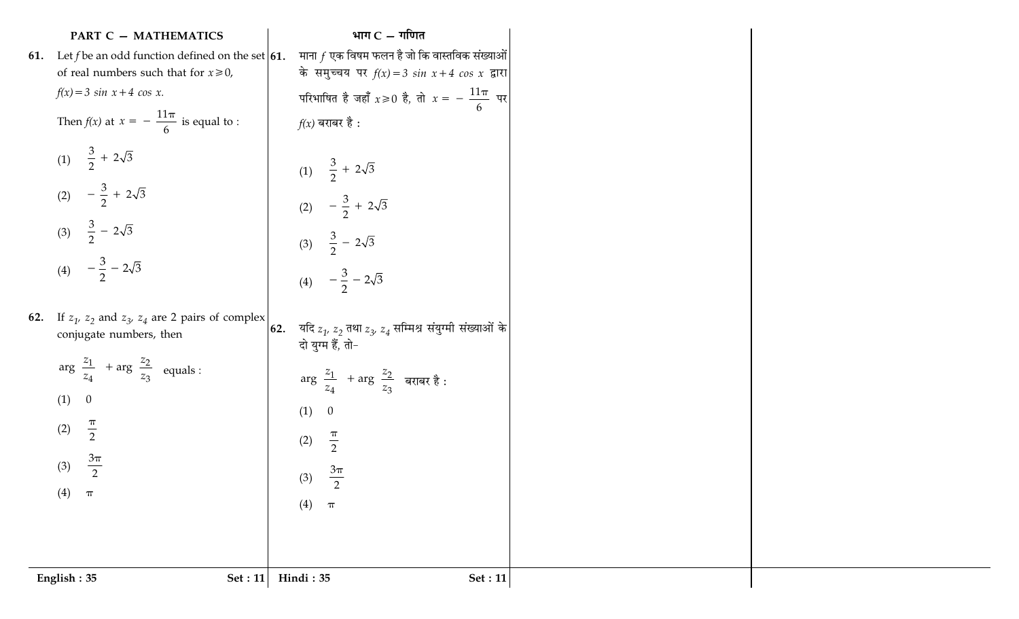| <b>PART C - MATHEMATICS</b>                                                                     |     | भाग $C - \eta$ णित                                                                                                                                     |
|-------------------------------------------------------------------------------------------------|-----|--------------------------------------------------------------------------------------------------------------------------------------------------------|
| 61. Let f be an odd function defined on the set $\vert 61$ .                                    |     | माना $f$ एक विषम फलन है जो कि वास्तविक संख्याओं                                                                                                        |
| of real numbers such that for $x \ge 0$ ,                                                       |     | के समुच्चय पर $f(x) = 3 \sin x + 4 \cos x$ द्वारा                                                                                                      |
| $f(x) = 3 \sin x + 4 \cos x.$                                                                   |     | परिभाषित है जहाँ $x \ge 0$ है, तो $x = -\frac{11\pi}{6}$ पर                                                                                            |
| Then $f(x)$ at $x = -\frac{11\pi}{6}$ is equal to :                                             |     | $f(x)$ बराबर है :                                                                                                                                      |
| (1) $\frac{3}{2} + 2\sqrt{3}$                                                                   |     | (1) $\frac{3}{2} + 2\sqrt{3}$                                                                                                                          |
| (2) $-\frac{3}{2} + 2\sqrt{3}$                                                                  |     | (2) $-\frac{3}{2} + 2\sqrt{3}$                                                                                                                         |
| (3) $\frac{3}{2}$ - 2 $\sqrt{3}$                                                                |     | (3) $\frac{3}{2} - 2\sqrt{3}$                                                                                                                          |
| (4) $-\frac{3}{2} - 2\sqrt{3}$                                                                  |     | (4) $-\frac{3}{2} - 2\sqrt{3}$                                                                                                                         |
| <b>62.</b> If $z_1$ , $z_2$ and $z_3$ , $z_4$ are 2 pairs of complex<br>conjugate numbers, then | 62. | यदि $z_1^{\phantom{\dag}},\,z_2^{\phantom{\dag}}$ तथा $z_3^{\phantom{\dag}},\,z_4^{\phantom{\dag}}$ सम्मिश्र संयुग्मी संख्याओं के<br>दो युग्म हैं, तो- |
| $arg\left(\frac{z_1}{z_4}\right) + arg\left(\frac{z_2}{z_3}\right)$ equals :                    |     | $\arg\left(\frac{z_1}{z_4}\right) + \arg\left(\frac{z_2}{z_3}\right)$ बराबर है :                                                                       |
| (1) 0                                                                                           |     | (1)<br>$\overline{0}$                                                                                                                                  |
| $\frac{\pi}{2}$<br>(2)                                                                          |     | $\frac{\pi}{2}$<br>(2)                                                                                                                                 |
| $rac{3\pi}{2}$                                                                                  |     |                                                                                                                                                        |
| (3)                                                                                             |     | $3\pi$<br>(3)<br>$\overline{2}$                                                                                                                        |
| (4)<br>$\boldsymbol{\pi}$                                                                       |     | (4)<br>$\boldsymbol{\pi}$                                                                                                                              |
|                                                                                                 |     |                                                                                                                                                        |
|                                                                                                 |     |                                                                                                                                                        |
| English: 35<br>Set : $11$                                                                       |     | Hindi: 35<br><b>Set</b> : 11                                                                                                                           |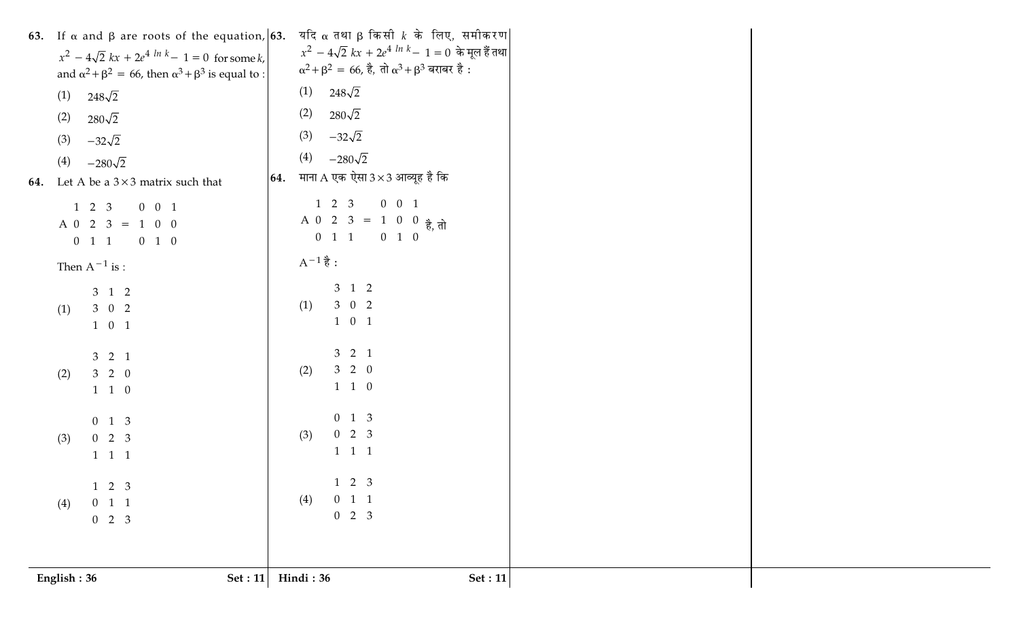| English: 36<br>Set : 11                                                                                                                  | Hindi: 36<br><b>Set: 11</b>                                                                                                                                             |  |
|------------------------------------------------------------------------------------------------------------------------------------------|-------------------------------------------------------------------------------------------------------------------------------------------------------------------------|--|
| $\begin{bmatrix} 1 & 2 & 3 \end{bmatrix}$<br>$0 \quad 1 \quad 1$<br>(4)<br>$\begin{bmatrix} 0 & 2 & 3 \end{bmatrix}$                     | $2 \quad 3$<br>$\mathbf{1}$<br>(4)<br>$\begin{vmatrix} 0 & 1 & 1 \end{vmatrix}$<br>$\begin{vmatrix} 0 & 2 & 3 \end{vmatrix}$                                            |  |
| $\begin{bmatrix} 0 & 1 & 3 \\ 0 & 2 & 3 \end{bmatrix}$<br>(3)<br>$1 \quad 1 \quad 1$                                                     | $\begin{bmatrix} 0 & 1 & 3 \\ 0 & 2 & 3 \\ 1 & 1 & 1 \end{bmatrix}$<br>(3)                                                                                              |  |
| $\begin{bmatrix} 3 & 2 & 1 \\ 3 & 2 & 0 \\ 1 & 1 & 0 \end{bmatrix}$<br>(2)                                                               | (2) $\begin{bmatrix} 3 & 2 & 1 \\ 3 & 2 & 0 \\ 1 & 1 & 0 \end{bmatrix}$                                                                                                 |  |
| (1) $\begin{bmatrix} 3 & 1 & 2 \\ 3 & 0 & 2 \\ 1 & 0 & 1 \end{bmatrix}$                                                                  | (1) $\begin{bmatrix} 3 & 1 & 2 \\ 3 & 0 & 2 \\ 1 & 0 & 1 \end{bmatrix}$                                                                                                 |  |
| Then $A^{-1}$ is :                                                                                                                       | $A^{-1}$ है :                                                                                                                                                           |  |
| $A\begin{bmatrix} 1 & 2 & 3 \\ 0 & 2 & 3 \\ 0 & 1 & 1 \end{bmatrix} = \begin{bmatrix} 0 & 0 & 1 \\ 1 & 0 & 0 \\ 0 & 1 & 0 \end{bmatrix}$ | $A\begin{bmatrix} 1 & 2 & 3 \\ 0 & 2 & 3 \\ 0 & 1 & 1 \end{bmatrix} = \begin{bmatrix} 0 & 0 & 1 \\ 1 & 0 & 0 \\ 0 & 1 & 0 \end{bmatrix}$ $\frac{1}{6}$ , $\frac{1}{10}$ |  |
| (4)<br>$-280\sqrt{2}$<br>64. Let A be a $3 \times 3$ matrix such that                                                                    | <b>64.</b> माना A एक ऐसा $3 \times 3$ आव्यूह है कि                                                                                                                      |  |
| (3)<br>$-32\sqrt{2}$                                                                                                                     | (3)<br>$-32\sqrt{2}$<br>(4)<br>$-280\sqrt{2}$                                                                                                                           |  |
| (2)<br>$280\sqrt{2}$                                                                                                                     | (2)<br>$280\sqrt{2}$                                                                                                                                                    |  |
| and $\alpha^2 + \beta^2 = 66$ , then $\alpha^3 + \beta^3$ is equal to :<br>$248\sqrt{2}$<br>(1)                                          | $(1)$ 248 $\sqrt{2}$                                                                                                                                                    |  |
| $x^{2} - 4\sqrt{2} kx + 2e^{4 \ln k} - 1 = 0$ for some k,                                                                                | $x^2 - 4\sqrt{2} kx + 2e^{4 \ln k} - 1 = 0$ के मूल हैं तथा<br>$\alpha^2 + \beta^2 = 66$ , है, तो $\alpha^3 + \beta^3$ बराबर है :                                        |  |
| 63. If $\alpha$ and $\beta$ are roots of the equation, 63.                                                                               | यदि α तथा β किसी $k$ के लिए, समीकरण                                                                                                                                     |  |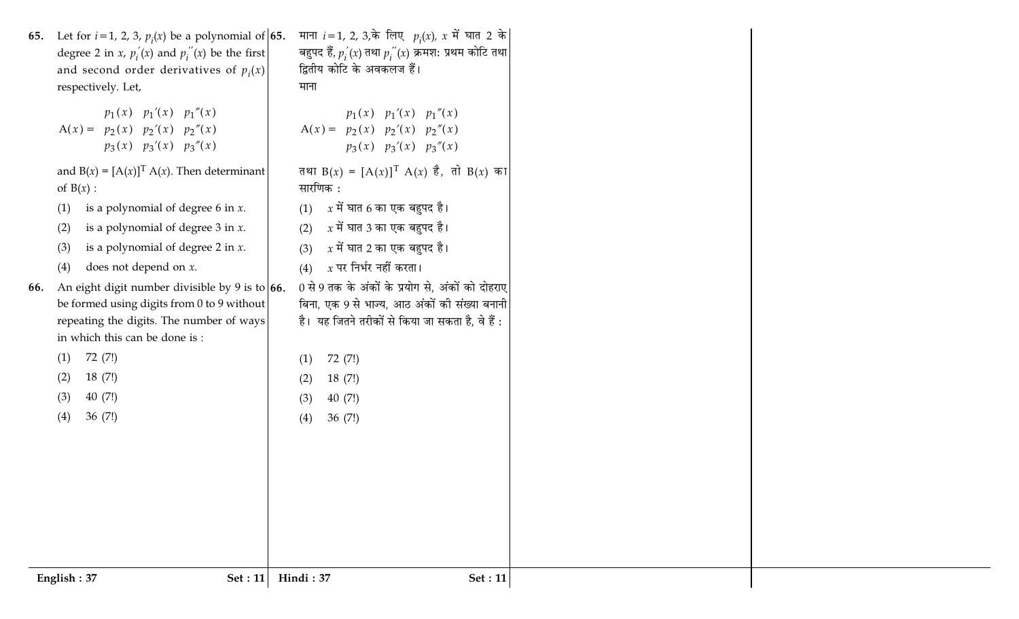| 65.<br>66. | Let for $i=1$ , 2, 3, $p_i(x)$ be a polynomial of 65.<br>degree 2 in <i>x</i> , $p'_i(x)$ and $p''_i(x)$ be the first<br>and second order derivatives of $p_i(x)$<br>respectively. Let,<br>$A(x) = \begin{bmatrix} p_1(x) & p_1'(x) & p_1''(x) \\ p_2(x) & p_2'(x) & p_2''(x) \end{bmatrix}$<br>$\left[ p_3(x) \quad p_3'(x) \quad p_3''(x) \right]$<br>and $B(x) = [A(x)]^T A(x)$ . Then determinant<br>of $B(x)$ :<br>is a polynomial of degree 6 in $x$ .<br>(1)<br>is a polynomial of degree $3$ in $x$ .<br>(2)<br>is a polynomial of degree 2 in $x$ .<br>(3)<br>does not depend on $x$ .<br>(4)<br>An eight digit number divisible by 9 is to $66$ .<br>be formed using digits from 0 to 9 without<br>repeating the digits. The number of ways<br>in which this can be done is:<br>72 (7!)<br>(1)<br>18(7!)<br>(2)<br>40 (7!)<br>(3) | माना <i>i</i> = 1, 2, 3,के लिए $p_i(x)$ , x में घात 2 के<br>बहुपद हैं, $p'_i(x)$ तथा $p''_i(x)$ क्रमश: प्रथम कोटि तथा<br>द्वितीय कोटि के अवकलज हैं।<br>माना<br>$\left[ p_1(x) \quad p_1'(x) \quad p_1''(x) \right]$<br>$A(x) =  p_2(x) p_2'(x) p_2''(x) $<br>$\left[p_3(x) \quad p_3'(x) \quad p_3''(x)\right]$<br>तथा $B(x) = [A(x)]^T A(x)$ है, तो $B(x)$ का<br>सारणिक :<br>$(1)$ x में घात 6 का एक बहुपद है।<br>(2) $x$ में घात 3 का एक बहुपद है।<br>$x$ में घात 2 का एक बहुपद है।<br>(3)<br>$x$ पर निर्भर नहीं करता।<br>(4)<br>0 से 9 तक के अंकों के प्रयोग से, अंकों को दोहराए<br>बिना, एक 9 से भाज्य, आठ अंकों की संख्या बनानी<br>है। यह जितने तरीकों से किया जा सकता है, वे हैं :<br>72 (7!)<br>(1)<br>(2)<br>18(7!)<br>(3)<br>40(7!) |
|------------|---------------------------------------------------------------------------------------------------------------------------------------------------------------------------------------------------------------------------------------------------------------------------------------------------------------------------------------------------------------------------------------------------------------------------------------------------------------------------------------------------------------------------------------------------------------------------------------------------------------------------------------------------------------------------------------------------------------------------------------------------------------------------------------------------------------------------------------------|----------------------------------------------------------------------------------------------------------------------------------------------------------------------------------------------------------------------------------------------------------------------------------------------------------------------------------------------------------------------------------------------------------------------------------------------------------------------------------------------------------------------------------------------------------------------------------------------------------------------------------------------------------------------------------------------------------------------------------------------|
| (4)        | 36 $(7!)$                                                                                                                                                                                                                                                                                                                                                                                                                                                                                                                                                                                                                                                                                                                                                                                                                                   | (4)<br>36(7!)                                                                                                                                                                                                                                                                                                                                                                                                                                                                                                                                                                                                                                                                                                                                |
|            | English: 37<br>Set: 11                                                                                                                                                                                                                                                                                                                                                                                                                                                                                                                                                                                                                                                                                                                                                                                                                      | Hindi: 37<br><b>Set</b> : 11                                                                                                                                                                                                                                                                                                                                                                                                                                                                                                                                                                                                                                                                                                                 |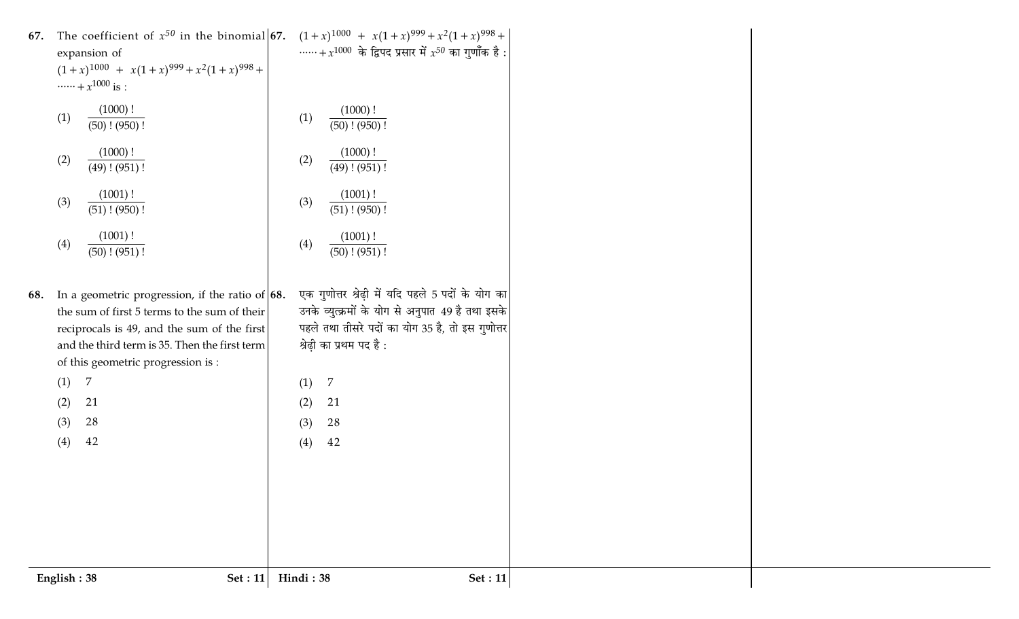| 67. | The coefficient of $x^{50}$ in the binomial <b>67.</b> $(1+x)^{1000} + x(1+x)^{999} + x^2(1+x)^{998} +$<br>expansion of<br>$(1+x)^{1000}$ + $x(1+x)^{999}$ + $x^2(1+x)^{998}$ +<br>$\cdots + x^{1000}$ is :<br>(1000)!<br>(1)<br>$(50)$ ! $(950)$ !<br>(1000)!<br>(2)<br>$(49)$ ! $(951)$ !<br>(1001)!<br>(3)<br>$(51)$ ! $(950)$ !<br>(1001)!<br>(4)<br>$(50)$ ! $(951)$ ! | + $x^{1000}$ के द्विपद प्रसार में $x^{50}$ का गुणाँक है:<br>(1000)!<br>(1)<br>$(50)$ ! $(950)$ !<br>(1000)!<br>(2)<br>$\overline{(49)!(951)!}$<br>(1001)!<br>(3)<br>$(51)$ ! $(950)$ !<br>(1001)!<br>(4)<br>$\overline{(50)!(951)!}$ |  |
|-----|-----------------------------------------------------------------------------------------------------------------------------------------------------------------------------------------------------------------------------------------------------------------------------------------------------------------------------------------------------------------------------|--------------------------------------------------------------------------------------------------------------------------------------------------------------------------------------------------------------------------------------|--|
| 68. | In a geometric progression, if the ratio of $\vert 68$ .<br>the sum of first 5 terms to the sum of their                                                                                                                                                                                                                                                                    | एक गुणोत्तर श्रेढ़ी में यदि पहले 5 पदों के योग का<br>उनके व्युत्क्रमों के योग से अनुपात 49 है तथा इसके                                                                                                                               |  |
|     | reciprocals is 49, and the sum of the first                                                                                                                                                                                                                                                                                                                                 | पहले तथा तीसरे पदों का योग 35 है, तो इस गुणोत्तर                                                                                                                                                                                     |  |
|     | and the third term is 35. Then the first term                                                                                                                                                                                                                                                                                                                               | श्रेढ़ी का प्रथम पद है :                                                                                                                                                                                                             |  |
|     | of this geometric progression is :                                                                                                                                                                                                                                                                                                                                          |                                                                                                                                                                                                                                      |  |
|     | 7<br>(1)                                                                                                                                                                                                                                                                                                                                                                    | 7<br>(1)                                                                                                                                                                                                                             |  |
|     | 21<br>(2)                                                                                                                                                                                                                                                                                                                                                                   | 21<br>(2)                                                                                                                                                                                                                            |  |
|     | 28<br>(3)                                                                                                                                                                                                                                                                                                                                                                   | 28<br>(3)                                                                                                                                                                                                                            |  |
|     | 42<br>(4)                                                                                                                                                                                                                                                                                                                                                                   | 42<br>(4)                                                                                                                                                                                                                            |  |
|     |                                                                                                                                                                                                                                                                                                                                                                             |                                                                                                                                                                                                                                      |  |
|     |                                                                                                                                                                                                                                                                                                                                                                             |                                                                                                                                                                                                                                      |  |
|     |                                                                                                                                                                                                                                                                                                                                                                             |                                                                                                                                                                                                                                      |  |
|     |                                                                                                                                                                                                                                                                                                                                                                             |                                                                                                                                                                                                                                      |  |
|     |                                                                                                                                                                                                                                                                                                                                                                             |                                                                                                                                                                                                                                      |  |
|     | English: 38<br>Set: 11                                                                                                                                                                                                                                                                                                                                                      | Hindi: 38<br><b>Set</b> : 11                                                                                                                                                                                                         |  |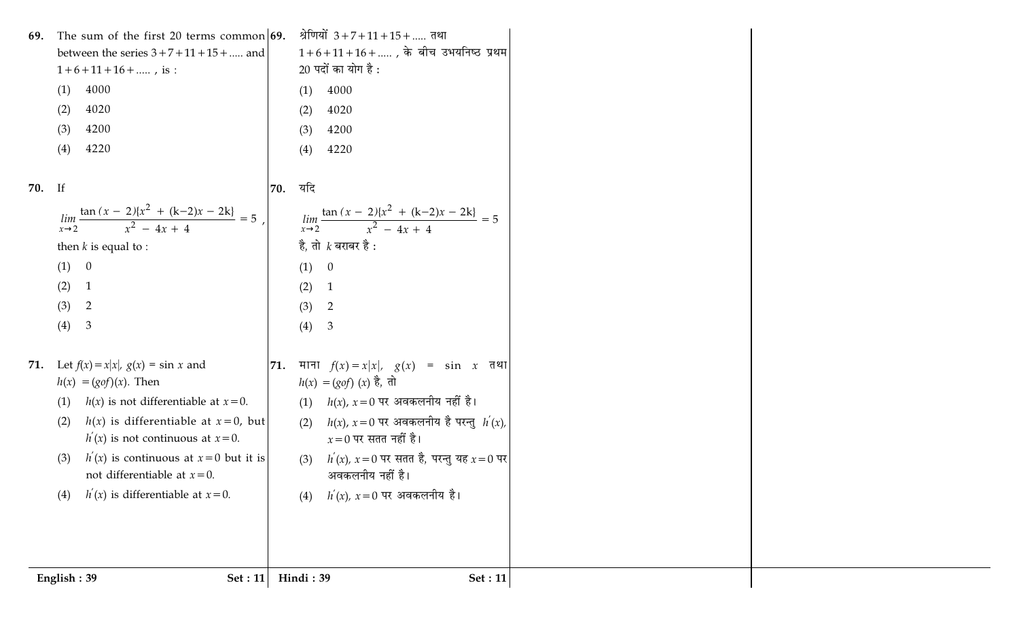|        | Set : $11$<br>English: 39                                                              |     | Hindi: 39<br>Set : 11                                                              |  |
|--------|----------------------------------------------------------------------------------------|-----|------------------------------------------------------------------------------------|--|
|        |                                                                                        |     |                                                                                    |  |
|        | $h'(x)$ is differentiable at $x=0$ .<br>(4)                                            |     | $h^{'}(x)$ , $x=0$ पर अवकलनीय है।<br>(4)                                           |  |
|        | not differentiable at $x=0$ .                                                          |     | अवकलनीय नहीं है।                                                                   |  |
|        | $h'(x)$ is continuous at $x=0$ but it is<br>(3)                                        |     | $h^{'}(x)$ , $x=0$ पर सतत है, परन्तु यह $x=0$ पर<br>(3)                            |  |
|        | $h(x)$ is differentiable at $x=0$ , but<br>(2)<br>$h'(x)$ is not continuous at $x=0$ . |     | $h(x)$ , $x = 0$ पर अवकलनीय है परन्तु $h^{'}(x)$ ,<br>(2)<br>$x=0$ पर सतत नहीं है। |  |
|        | $h(x)$ is not differentiable at $x=0$ .<br>(1)                                         |     | $h(x)$ , $x=0$ पर अवकलनीय नहीं है।<br>(1)                                          |  |
| 71.    | Let $f(x) = x x $ , $g(x) = \sin x$ and<br>$h(x) = (g \circ f)(x)$ . Then              | 71. | माना $f(x) = x x $ , $g(x) = \sin x$ तथा<br>$h(x) = (g \circ f)(x)$ है, तो         |  |
|        |                                                                                        |     |                                                                                    |  |
|        | (4)<br>$\mathfrak{Z}$                                                                  |     | (4)<br>$\mathfrak{Z}$                                                              |  |
|        | (3)<br>$\overline{2}$                                                                  |     | (3)<br>$\overline{2}$                                                              |  |
|        | (2)<br>$\mathbf{1}$                                                                    |     | (2)<br>$\overline{1}$                                                              |  |
|        | (1)<br>$\overline{0}$                                                                  |     | (1) 0                                                                              |  |
|        | then $k$ is equal to :                                                                 |     | है, तो $\,$ बराबर है :                                                             |  |
|        | $\lim_{x\to 2} \frac{\tan(x-2)\{x^2 + (k-2)x - 2k\}}{x^2 - 4x + 4} = 5$                |     | $\lim_{x\to 2} \frac{\tan(x-2)(x^2 + (k-2)x - 2k)}{x^2 - 4x + 4} = 5$              |  |
| 70. If |                                                                                        | 70. | यदि                                                                                |  |
|        | (4)<br>4220                                                                            |     | 4220<br>(4)                                                                        |  |
|        | (3)<br>4200                                                                            |     | (3)<br>4200                                                                        |  |
|        | 4020<br>(2)                                                                            |     | (2)<br>4020                                                                        |  |
|        | 4000<br>(1)                                                                            |     | 4000<br>(1)                                                                        |  |
|        | $1+6+11+16+$ , is :                                                                    |     | $20$ पदों का योग है:                                                               |  |
|        | between the series $3+7+11+15+$ and                                                    |     | $1+6+11+16+$ , के बीच उभयनिष्ठ प्रथम                                               |  |
| 69.    | The sum of the first 20 terms common $ 69$ .                                           |     | श्रेणियों $3+7+11+15+$ तथा                                                         |  |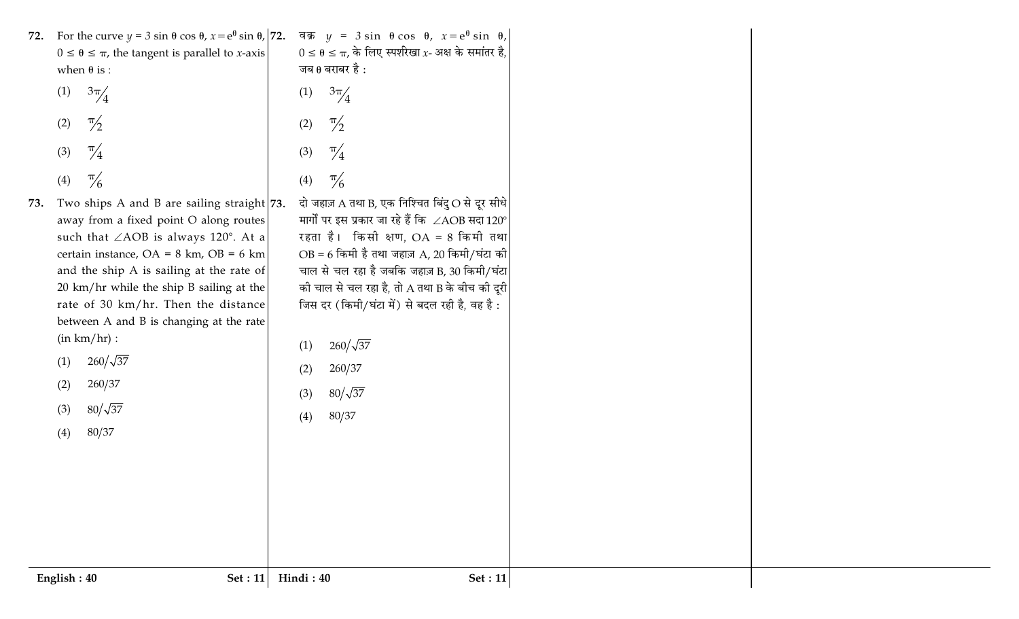| 72. For the curve $y = 3 \sin \theta \cos \theta$ , $x = e^{\theta} \sin \theta$ ,  72.<br>वक्र $y = 3 \sin \theta \cos \theta$ , $x = e^{\theta} \sin \theta$ ,<br>$0 \le \theta \le \pi$ , के लिए स्पर्शरेखा x- अक्ष के समांतर है,<br>$0 \le \theta \le \pi$ , the tangent is parallel to <i>x</i> -axis<br>जब $\theta$ बराबर है :<br>when $\theta$ is :<br>$\frac{3\pi}{4}$<br>(1)<br>$\frac{3\pi}{4}$<br>(1)<br>$\frac{\pi}{2}$<br>$\frac{\pi}{2}$<br>(2)<br>(2)<br>$\frac{\pi}{4}$<br>$\frac{\pi}{4}$<br>(3)<br>(3)<br>$\frac{\pi}{6}$<br>$\frac{\pi}{6}$<br>(4)<br>(4)<br>दो जहाज़ A तथा B, एक निश्चित बिंदु $\bigcirc$ से दूर सीधे<br>Two ships A and B are sailing straight 73.<br>73.<br>मार्गों पर इस प्रकार जा रहे हैं कि $\angle \mathrm{AOB}$ सदा $120^\circ$<br>away from a fixed point O along routes<br>रहता है। किसी क्षण, $OA = 8$ किमी तथा<br>such that $\angle AOB$ is always 120°. At a<br>$OB = 6$ किमी है तथा जहाज़ A, 20 किमी/घंटा की<br>certain instance, $OA = 8$ km, $OB = 6$ km<br>चाल से चल रहा है जबकि जहाज़ B, 30 किमी/घंटा<br>and the ship A is sailing at the rate of<br>की चाल से चल रहा है, तो A तथा B के बीच की दूरी<br>20 km/hr while the ship B sailing at the<br>जिस दर (किमी/घंटा में) से बदल रही है, वह है:<br>rate of 30 km/hr. Then the distance<br>between A and B is changing at the rate<br>(in km/hr):<br>$260/\sqrt{37}$<br>(1)<br>$260/\sqrt{37}$<br>(1)<br>260/37<br>(2)<br>260/37<br>(2)<br>$80/\sqrt{37}$<br>(3)<br>$80/\sqrt{37}$<br>(3)<br>80/37<br>(4)<br>80/37<br>(4) |
|-------------------------------------------------------------------------------------------------------------------------------------------------------------------------------------------------------------------------------------------------------------------------------------------------------------------------------------------------------------------------------------------------------------------------------------------------------------------------------------------------------------------------------------------------------------------------------------------------------------------------------------------------------------------------------------------------------------------------------------------------------------------------------------------------------------------------------------------------------------------------------------------------------------------------------------------------------------------------------------------------------------------------------------------------------------------------------------------------------------------------------------------------------------------------------------------------------------------------------------------------------------------------------------------------------------------------------------------------------------------------------------------------------------------------------------------------------------------------------------------------------------------------------|
| English: 40<br>Hindi: 40<br>Set: 11<br>Set: 11                                                                                                                                                                                                                                                                                                                                                                                                                                                                                                                                                                                                                                                                                                                                                                                                                                                                                                                                                                                                                                                                                                                                                                                                                                                                                                                                                                                                                                                                                |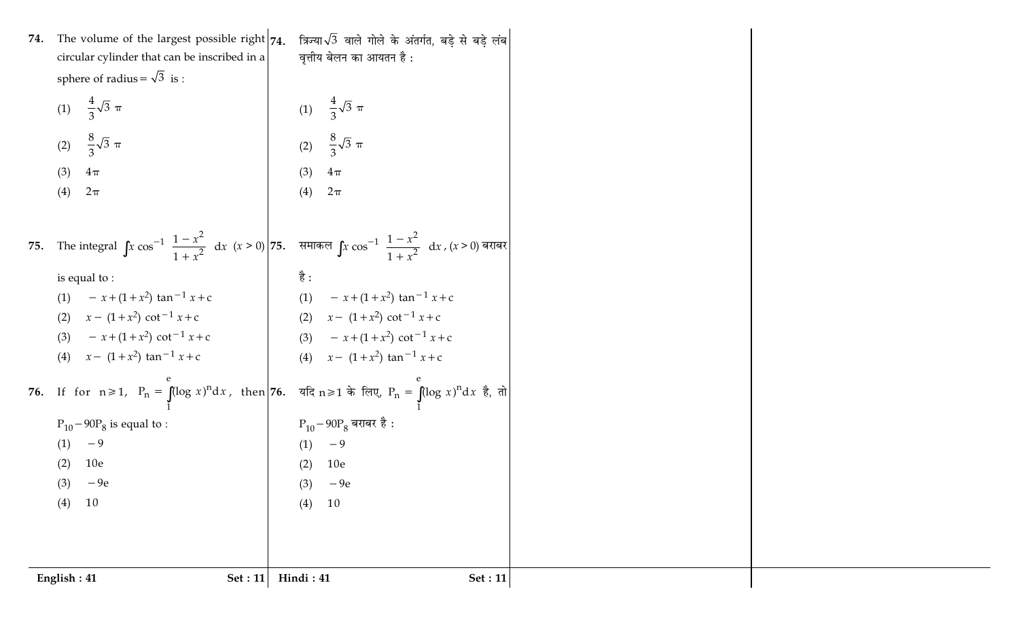| (1) $\frac{4}{3}\sqrt{3} \pi$<br>(2) $\frac{8}{3}\sqrt{3} \pi$<br>(2) $\frac{8}{3}\sqrt{3} \pi$<br>(3)<br>(3)<br>$4\pi$<br>$4\pi$<br>(4)<br>$2\pi$<br>(4)<br>$2\pi$<br>75. The integral $\int x \cos^{-1} \left( \frac{1-x^2}{1+x^2} \right) dx$ $(x > 0)$ 75. समाकल $\int x \cos^{-1} \left( \frac{1-x^2}{1+x^2} \right) dx$ , $(x > 0)$ बराबर<br>है :<br>is equal to:<br>(1) $-x+(1+x^2) \tan^{-1} x + c$<br>(1) $-x+(1+x^2) \tan^{-1} x + c$<br>(2) $x - (1 + x^2) \cot^{-1} x + c$<br>(2) $x - (1 + x^2) \cot^{-1} x + c$<br>$- x + (1 + x^2) \cot^{-1} x + c$<br>(3) $-x+(1+x^2) \cot^{-1} x + c$<br>(3)<br>(4) $x - (1 + x^2) \tan^{-1} x + c$<br>(4) $x - (1 + x^2) \tan^{-1} x + c$<br>76. If for n ≥ 1, $P_n = \int_1^e (\log x)^n dx$ , then $\left  76. \right $ यदि n ≥ 1 के लिए, $P_n = \int_1^e (\log x)^n dx$ है, तो<br>$\rm P_{10}$ – 90 $\rm P_8$ बराबर है :<br>$P_{10} - 90P_8$ is equal to :<br>$-9$<br>$-9$<br>(1)<br>(1)<br>10e<br>(2)<br>(2)<br>10 <sub>e</sub><br>$-9e$<br>$-9e$<br>(3)<br>(3)<br>10<br>10<br>(4)<br>(4) |
|-------------------------------------------------------------------------------------------------------------------------------------------------------------------------------------------------------------------------------------------------------------------------------------------------------------------------------------------------------------------------------------------------------------------------------------------------------------------------------------------------------------------------------------------------------------------------------------------------------------------------------------------------------------------------------------------------------------------------------------------------------------------------------------------------------------------------------------------------------------------------------------------------------------------------------------------------------------------------------------------------------------------------------------------------|
|                                                                                                                                                                                                                                                                                                                                                                                                                                                                                                                                                                                                                                                                                                                                                                                                                                                                                                                                                                                                                                                 |
|                                                                                                                                                                                                                                                                                                                                                                                                                                                                                                                                                                                                                                                                                                                                                                                                                                                                                                                                                                                                                                                 |
|                                                                                                                                                                                                                                                                                                                                                                                                                                                                                                                                                                                                                                                                                                                                                                                                                                                                                                                                                                                                                                                 |
|                                                                                                                                                                                                                                                                                                                                                                                                                                                                                                                                                                                                                                                                                                                                                                                                                                                                                                                                                                                                                                                 |
|                                                                                                                                                                                                                                                                                                                                                                                                                                                                                                                                                                                                                                                                                                                                                                                                                                                                                                                                                                                                                                                 |
|                                                                                                                                                                                                                                                                                                                                                                                                                                                                                                                                                                                                                                                                                                                                                                                                                                                                                                                                                                                                                                                 |
|                                                                                                                                                                                                                                                                                                                                                                                                                                                                                                                                                                                                                                                                                                                                                                                                                                                                                                                                                                                                                                                 |
|                                                                                                                                                                                                                                                                                                                                                                                                                                                                                                                                                                                                                                                                                                                                                                                                                                                                                                                                                                                                                                                 |
|                                                                                                                                                                                                                                                                                                                                                                                                                                                                                                                                                                                                                                                                                                                                                                                                                                                                                                                                                                                                                                                 |
|                                                                                                                                                                                                                                                                                                                                                                                                                                                                                                                                                                                                                                                                                                                                                                                                                                                                                                                                                                                                                                                 |
|                                                                                                                                                                                                                                                                                                                                                                                                                                                                                                                                                                                                                                                                                                                                                                                                                                                                                                                                                                                                                                                 |
|                                                                                                                                                                                                                                                                                                                                                                                                                                                                                                                                                                                                                                                                                                                                                                                                                                                                                                                                                                                                                                                 |
|                                                                                                                                                                                                                                                                                                                                                                                                                                                                                                                                                                                                                                                                                                                                                                                                                                                                                                                                                                                                                                                 |
|                                                                                                                                                                                                                                                                                                                                                                                                                                                                                                                                                                                                                                                                                                                                                                                                                                                                                                                                                                                                                                                 |
|                                                                                                                                                                                                                                                                                                                                                                                                                                                                                                                                                                                                                                                                                                                                                                                                                                                                                                                                                                                                                                                 |
|                                                                                                                                                                                                                                                                                                                                                                                                                                                                                                                                                                                                                                                                                                                                                                                                                                                                                                                                                                                                                                                 |
| (1) $\frac{4}{3}\sqrt{3} \pi$                                                                                                                                                                                                                                                                                                                                                                                                                                                                                                                                                                                                                                                                                                                                                                                                                                                                                                                                                                                                                   |
| sphere of radius = $\sqrt{3}$ is :                                                                                                                                                                                                                                                                                                                                                                                                                                                                                                                                                                                                                                                                                                                                                                                                                                                                                                                                                                                                              |
| The volume of the largest possible right $74$ .<br>त्रिज्या $\sqrt{3}$ वाले गोले के अंतर्गत, बड़े से बड़े लंब<br>वृत्तीय बेलन का आयतन है :<br>circular cylinder that can be inscribed in a                                                                                                                                                                                                                                                                                                                                                                                                                                                                                                                                                                                                                                                                                                                                                                                                                                                      |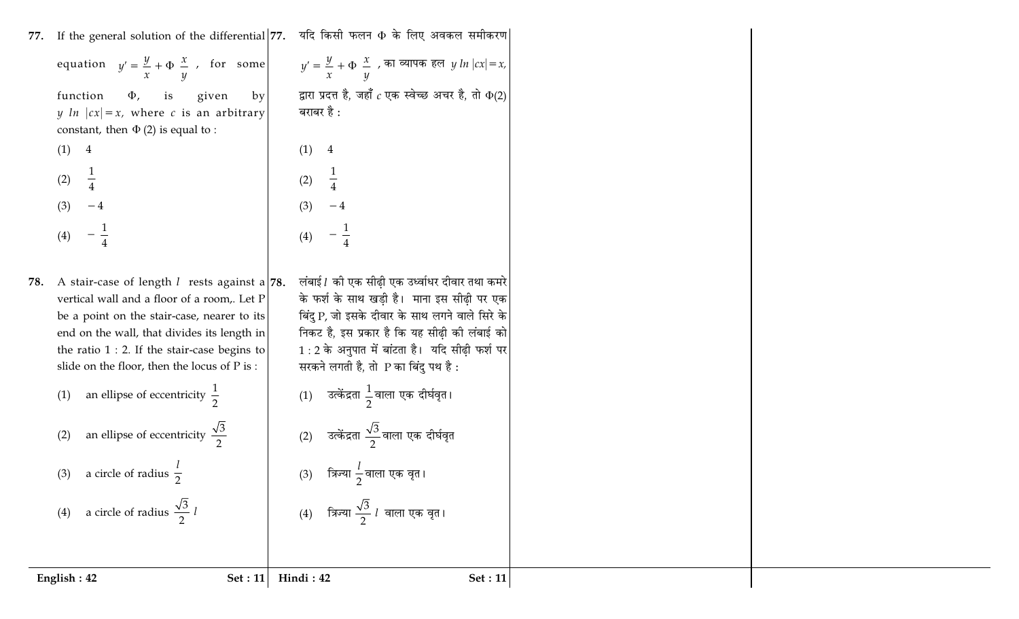| 77.                                                    |                                                                                                                                                                                                                                              | If the general solution of the differential 77. यदि किसी फलन + के लिए अवकल समीकरण                                                                                                                                                                                                              |  |
|--------------------------------------------------------|----------------------------------------------------------------------------------------------------------------------------------------------------------------------------------------------------------------------------------------------|------------------------------------------------------------------------------------------------------------------------------------------------------------------------------------------------------------------------------------------------------------------------------------------------|--|
|                                                        |                                                                                                                                                                                                                                              | equation $y' = \frac{y}{x} + \Phi\left(\frac{x}{y}\right)$ , for some $y' = \frac{y}{x} + \Phi\left(\frac{x}{y}\right)$ , $\overline{y}$ an extra $y \ln x  = x$ ,                                                                                                                             |  |
| function<br>$\Phi$ ,                                   | is<br>given<br>by <sub>l</sub>                                                                                                                                                                                                               | द्वारा प्रदत्त है, जहाँ $c$ एक स्वेच्छ अचर है, तो $\Phi(2)$                                                                                                                                                                                                                                    |  |
| constant, then $\Phi$ (2) is equal to :                | y $\ln  cx  = x$ , where c is an arbitrary                                                                                                                                                                                                   | बराबर है :                                                                                                                                                                                                                                                                                     |  |
| (1)<br>$\overline{4}$                                  |                                                                                                                                                                                                                                              | (1)<br>$\overline{4}$                                                                                                                                                                                                                                                                          |  |
| (2)                                                    |                                                                                                                                                                                                                                              | (2)                                                                                                                                                                                                                                                                                            |  |
| (3)                                                    |                                                                                                                                                                                                                                              | (3)                                                                                                                                                                                                                                                                                            |  |
| (4)                                                    |                                                                                                                                                                                                                                              |                                                                                                                                                                                                                                                                                                |  |
| 78.<br>slide on the floor, then the locus of P is :    | A stair-case of length $l$ rests against a 78.<br>vertical wall and a floor of a room,. Let P<br>be a point on the stair-case, nearer to its<br>end on the wall, that divides its length in<br>the ratio $1:2$ . If the stair-case begins to | लंबाई l की एक सीढ़ी एक उर्ध्वाधर दीवार तथा कमरे<br>के फर्श के साथ खड़ी है। माना इस सीढ़ी पर एक<br>बिंदु P, जो इसके दीवार के साथ लगने वाले सिरे के<br>निकट है, इस प्रकार है कि यह सीढ़ी की लंबाई को<br>$1:2$ के अनुपात में बांटता है। यदि सीढ़ी फर्श पर<br>सरकने लगती है, तो P का बिंदु पथ है : |  |
| an ellipse of eccentricity $\frac{1}{2}$<br>(1)        |                                                                                                                                                                                                                                              | (1) उत्केंद्रता $\frac{1}{2}$ वाला एक दीर्घवृत।                                                                                                                                                                                                                                                |  |
| an ellipse of eccentricity $\frac{\sqrt{3}}{2}$<br>(2) |                                                                                                                                                                                                                                              | (2) उत्केंद्रता $\frac{\sqrt{3}}{2}$ वाला एक दीर्घवृत                                                                                                                                                                                                                                          |  |
| (3) a circle of radius $\frac{1}{2}$                   |                                                                                                                                                                                                                                              | त्रिज्या $\frac{\iota}{2}$ वाला एक वृत।<br>(3)                                                                                                                                                                                                                                                 |  |
| a circle of radius $\frac{\sqrt{3}}{2}$ l<br>(4)       |                                                                                                                                                                                                                                              | त्रिज्या $\frac{\sqrt{3}}{2}$ $l$ वाला एक वृत।<br>(4)                                                                                                                                                                                                                                          |  |
|                                                        |                                                                                                                                                                                                                                              |                                                                                                                                                                                                                                                                                                |  |
| English: 42                                            | Set : $11$                                                                                                                                                                                                                                   | Hindi: 42<br><b>Set</b> : 11                                                                                                                                                                                                                                                                   |  |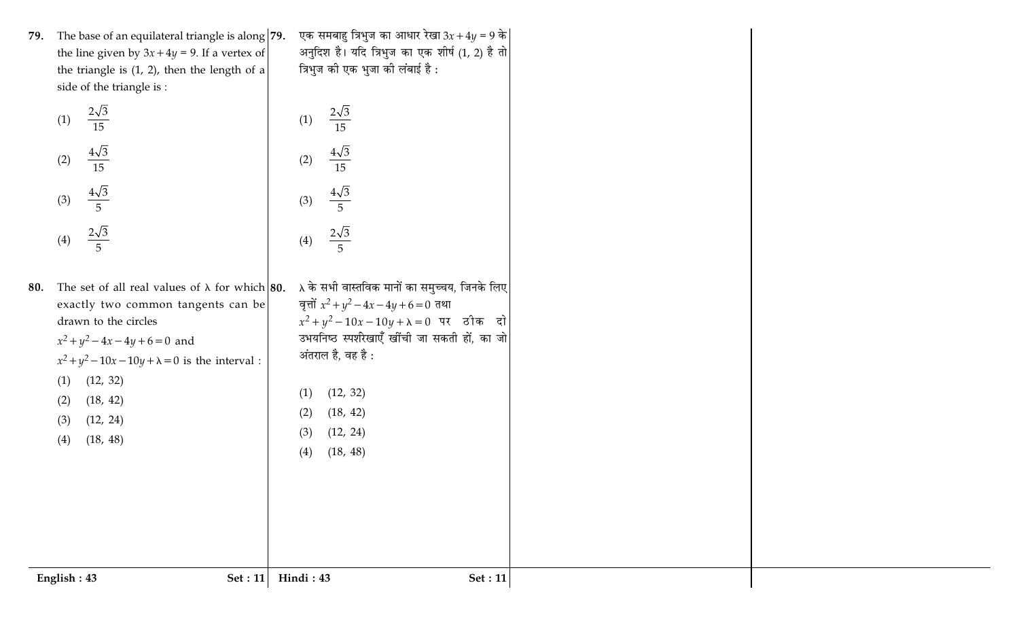| 79. The base of an equilateral triangle is along $ 79$ . |  |
|----------------------------------------------------------|--|
| the line given by $3x + 4y = 9$ . If a vertex of         |  |
| the triangle is $(1, 2)$ , then the length of a          |  |
| side of the triangle is :                                |  |
|                                                          |  |

|     | $2\sqrt{3}$<br>(1)<br>15                        |                                                       | (1)          |
|-----|-------------------------------------------------|-------------------------------------------------------|--------------|
|     | $\frac{4\sqrt{3}}{2}$<br>(2)<br>$\overline{15}$ |                                                       | (2)          |
|     | $4\sqrt{3}$<br>(3)<br>$\overline{5}$            |                                                       | (3)          |
|     | $\frac{2\sqrt{3}}{5}$<br>(4)                    |                                                       | (4)          |
| 80. |                                                 | The set of all real values of $\lambda$ for which 80. | $\lambda$ वे |

| (3)                                                                                                                                                                                                                                                                                                | (3)                                                                                                                                                                                                                                                                                                         |
|----------------------------------------------------------------------------------------------------------------------------------------------------------------------------------------------------------------------------------------------------------------------------------------------------|-------------------------------------------------------------------------------------------------------------------------------------------------------------------------------------------------------------------------------------------------------------------------------------------------------------|
| $\frac{2\sqrt{3}}{5}$<br>(4)                                                                                                                                                                                                                                                                       | $\frac{2\sqrt{3}}{5}$<br>(4)                                                                                                                                                                                                                                                                                |
| The set of all real values of $\lambda$ for which 80.<br>exactly two common tangents can be<br>drawn to the circles<br>$x^2 + y^2 - 4x - 4y + 6 = 0$ and<br>$x^2 + y^2 - 10x - 10y + \lambda = 0$ is the interval :<br>(1)<br>(12, 32)<br>$(2)$ $(18, 42)$<br>$(3)$ $(12, 24)$<br>$(4)$ $(18, 48)$ | $\lambda$ के सभी वास्तविक मानों का समुच्चय, जिनके लिए<br>वृत्तों $x^2 + y^2 - 4x - 4y + 6 = 0$ तथा<br>$x^2 + y^2 - 10x - 10y + \lambda = 0$ पर ठीक दो<br>उभयनिष्ठ स्पर्शरेखाएँ खींची जा सकती हों, का जो<br>अंतराल है, वह है :<br>(12, 32)<br>(1)<br>$(2)$ $(18, 42)$<br>$(3)$ $(12, 24)$<br>(18, 48)<br>(4) |
|                                                                                                                                                                                                                                                                                                    |                                                                                                                                                                                                                                                                                                             |

 $\frac{2\sqrt{3}}{15}$ 

 $\frac{4\sqrt{3}}{15}$ 

| एक समबाहु त्रिभुज का आधार रेखा 3x + 4y = 9 के   |
|-------------------------------------------------|
| अनुदिश है। यदि त्रिभुज का एक शीर्ष (1, 2) है तो |
| त्रिभुज की एक भुजा की लंबाई है :                |

दो जो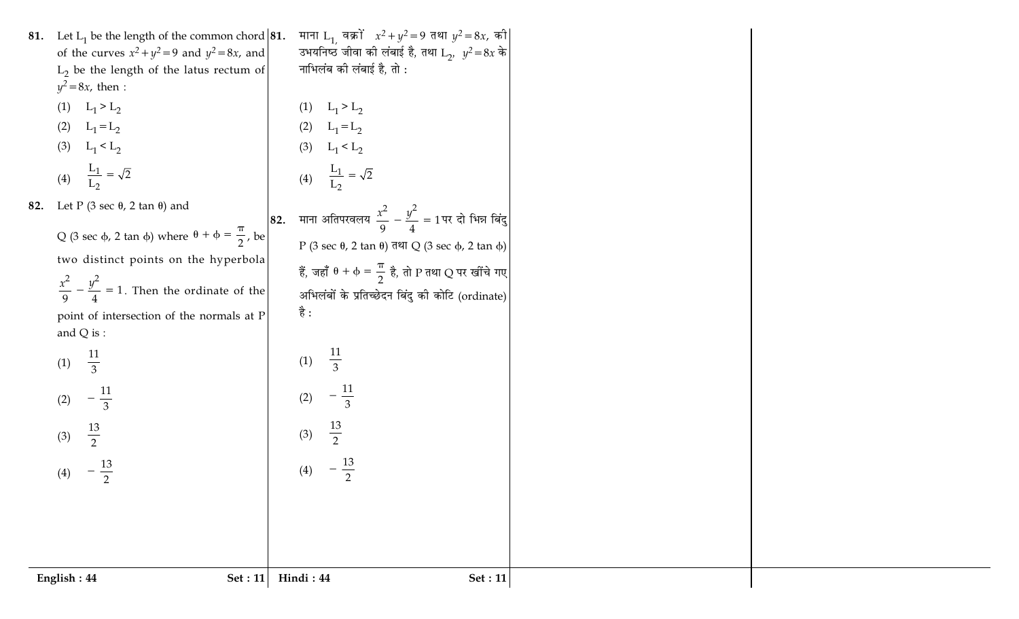- 81. Let  $L_1$  be the length of the common chord 81. of the curves  $x^2 + y^2 = 9$  and  $y^2 = 8x$ , and  $L<sub>2</sub>$  be the length of the latus rectum of  $y^2=8x$ , then :
	- (1)  $L_1 > L_2$
	- $L_1 = L_2$  $(2)$ (3)  $L_1 < L_2$
	- (4)  $\frac{L_1}{L_2} = \sqrt{2}$

 $-\frac{11}{3}$ 

 $\frac{13}{2}$ 

 $-\frac{13}{2}$ 

 $(2)$ 

 $(3)$ 

 $(4)$ 

- 82. Let P (3 sec  $\theta$ , 2 tan  $\theta$ ) and Q (3 sec  $\phi$ , 2 tan  $\phi$ ) where  $\theta + \phi = \frac{\pi}{2}$ , be two distinct points on the hyperbola  $rac{x^2}{9} - \frac{y^2}{4} = 1$ . Then the ordinate of the point of intersection of the normals at P and  $Q$  is : (1)  $\frac{11}{3}$
- (1)  $L_1 > L_2$ 
	- (2)  $L_1 = L_2$ <br>
	(3)  $L_1 < L_2$ <br>
	(4)  $\frac{L_1}{L_2} = \sqrt{2}$ 82. माना अतिपरवलय  $\frac{x^2}{9} - \frac{y^2}{4} = 1$ पर दो भिन्न बिंदु P (3 sec  $\theta$ , 2 tan  $\theta$ ) तथा Q (3 sec  $\phi$ , 2 tan  $\phi$ ) हैं, जहाँ  $\theta + \phi = \frac{\pi}{2}$  है, तो P तथा Q पर खींचे गए

माना L<sub>1,</sub> वक्रों  $x^2 + y^2 = 9$  तथा  $y^2 = 8x$ , की

उभयनिष्ठं जीवा की लंबाई है, तथा  $L_2$ ,  $y^2 = 8x$  के

नाभिलंब की लंबाई है, तो :

 $\frac{11}{3}$ 

 $-\frac{11}{3}$ 

 $\frac{13}{2}$ 

 $-\frac{13}{2}$ 

 $(1)$ 

 $(2)$ 

 $(3)$ 

 $(4)$ 

अभिलंबों के प्रतिच्छेदन बिंदु की कोटि (ordinate) है :

$$
English: 44
$$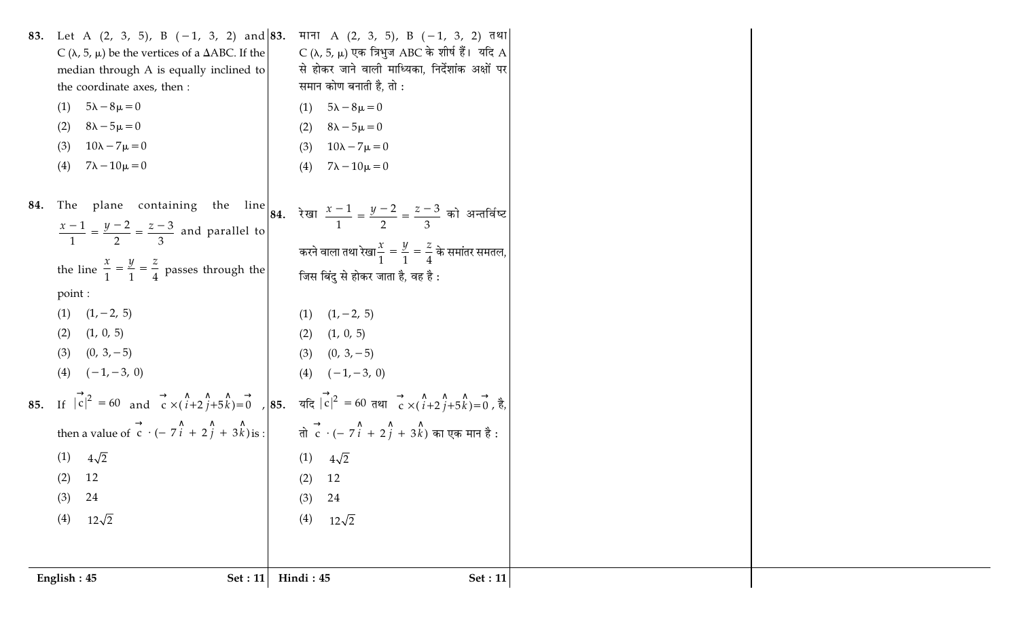| English: 45<br>Set : $11$                                             | Hindi: 45<br>Set : $11$                                                                                                                                                           |
|-----------------------------------------------------------------------|-----------------------------------------------------------------------------------------------------------------------------------------------------------------------------------|
|                                                                       |                                                                                                                                                                                   |
|                                                                       |                                                                                                                                                                                   |
| $12\sqrt{2}$<br>(4)                                                   | $12\sqrt{2}$<br>(4)                                                                                                                                                               |
| 24<br>(3)                                                             | (3)<br>24                                                                                                                                                                         |
| $(2)$ 12                                                              | $(2)$ 12                                                                                                                                                                          |
| $4\sqrt{2}$<br>(1)                                                    | $(1)$ $4\sqrt{2}$                                                                                                                                                                 |
|                                                                       | then a value of $\overrightarrow{c} \cdot (-7\hat{i} + 2\hat{j} + 3\hat{k})$ is: $\overrightarrow{d}$ $\overrightarrow{c} \cdot (-7\hat{i} + 2\hat{j} + 3\hat{k})$ का एक मान है:  |
|                                                                       | 85. If $ \vec{c} ^2 = 60$ and $\vec{c} \times (\hat{i}+2\hat{j}+5\hat{k}) = 0$ , 85. $\vec{a}(\vec{c})^2 = 60$ and $\vec{c} \times (\hat{i}+2\hat{j}+5\hat{k}) = 0$ , $\vec{e}$ , |
| $(4)$ $(-1, -3, 0)$                                                   | $(4)$ $(-1, -3, 0)$                                                                                                                                                               |
| $(0, 3, -5)$<br>(3)                                                   | $(3)$ $(0, 3, -5)$                                                                                                                                                                |
| (1, 0, 5)<br>(2)                                                      | (1, 0, 5)<br>(2)                                                                                                                                                                  |
| $(1)$ $(1, -2, 5)$                                                    | $(1)$ $(1, -2, 5)$                                                                                                                                                                |
| point :                                                               |                                                                                                                                                                                   |
| the line $\frac{x}{1} = \frac{y}{1} = \frac{z}{4}$ passes through the | जिस बिंदु से होकर जाता है, वह है :                                                                                                                                                |
|                                                                       | करने वाला तथा रेखा $\frac{x}{1} = \frac{y}{1} = \frac{z}{4}$ के समांतर समतल,                                                                                                      |
| $\frac{x-1}{1} = \frac{y-2}{2} = \frac{z-3}{3}$ and parallel to       |                                                                                                                                                                                   |
|                                                                       | 84. The plane containing the line 84. रेखा $\frac{x-1}{1} = \frac{y-2}{2} = \frac{z-3}{3}$ को अन्तर्विष्ट                                                                         |
|                                                                       |                                                                                                                                                                                   |
| $10\lambda - 7\mu = 0$<br>(3)<br>$7\lambda - 10\mu = 0$<br>(4)        | $10\lambda - 7\mu = 0$<br>(3)<br>$7\lambda - 10\mu = 0$<br>(4)                                                                                                                    |
| $8\lambda - 5\mu = 0$<br>(2)                                          | $8\lambda - 5\mu = 0$<br>(2)                                                                                                                                                      |
| $5\lambda - 8\mu = 0$<br>(1)                                          | $5\lambda - 8\mu = 0$<br>(1)                                                                                                                                                      |
| the coordinate axes, then :                                           | समान कोण बनाती है, तो :                                                                                                                                                           |
| median through A is equally inclined to                               | से होकर जाने वाली माध्यिका, निर्देशांक अक्षों पर                                                                                                                                  |
| C ( $\lambda$ , 5, $\mu$ ) be the vertices of a $\Delta$ ABC. If the  | 83. Let A $(2, 3, 5)$ , B $(-1, 3, 2)$ and $(83, 77)$ A $(2, 3, 5)$ , B $(-1, 3, 2)$ $(78)$<br>C ( $\lambda$ , 5, $\mu$ ) एक त्रिभुज ABC के शीर्ष हैं। यदि A                      |
|                                                                       |                                                                                                                                                                                   |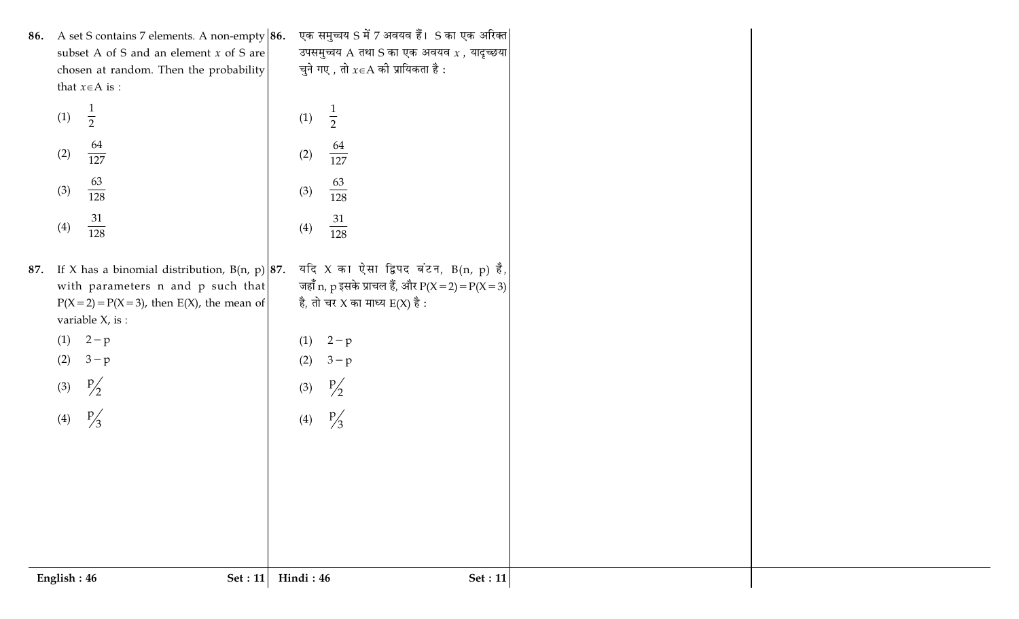| English: 46 | Set : 11                                                          | Hindi: 46               | <b>Set: 11</b>                                    |
|-------------|-------------------------------------------------------------------|-------------------------|---------------------------------------------------|
|             |                                                                   |                         |                                                   |
|             |                                                                   |                         |                                                   |
|             |                                                                   |                         |                                                   |
|             |                                                                   |                         |                                                   |
|             |                                                                   |                         |                                                   |
| (4)         | $\frac{p}{3}$                                                     | $\frac{p}{3}$<br>(4)    |                                                   |
| (3)         | $\frac{p}{2}$                                                     | $\frac{p}{2}$<br>(3)    |                                                   |
| (2)         | $3-p$                                                             | (2)<br>$3-p$            |                                                   |
|             | $(1)$ 2-p                                                         | $2-p$<br>(1)            |                                                   |
|             | $P(X=2) = P(X=3)$ , then E(X), the mean of<br>variable $X$ , is : |                         | है, तो चर X का माध्य $E(X)$ है :                  |
|             | with parameters n and p such that                                 |                         | जहाँ n, p इसके प्राचल हैं, और P(X = 2) = P(X = 3) |
|             | 87. If X has a binomial distribution, $B(n, p)$ 87.               |                         | यदि X का ऐसा द्विपद बंटन, $B(n, p)$ है,           |
| (4)         | 31<br>$\overline{128}$                                            | $\frac{31}{128}$<br>(4) |                                                   |
| (3)         | $\overline{128}$                                                  | (3)                     |                                                   |
|             | 63                                                                | $\frac{63}{128}$        |                                                   |
| (2)         | 64<br>$\overline{127}$                                            | $\frac{64}{127}$<br>(2) |                                                   |
| (1)         | $\overline{2}$                                                    | (1)<br>$\overline{2}$   |                                                   |
|             | that $x \in A$ is :                                               |                         |                                                   |
|             | chosen at random. Then the probability                            |                         | चुने गए , तो $x{\in}A$ की प्रायिकता है :          |
|             | subset A of S and an element $x$ of S are                         |                         | उपसमुच्चय A तथा S का एक अवयव $x$ , यादृच्छया      |
|             | 86. A set S contains 7 elements. A non-empty 86.                  |                         | एक समुच्चय S में 7 अवयव हैं। S का एक अरिक्त       |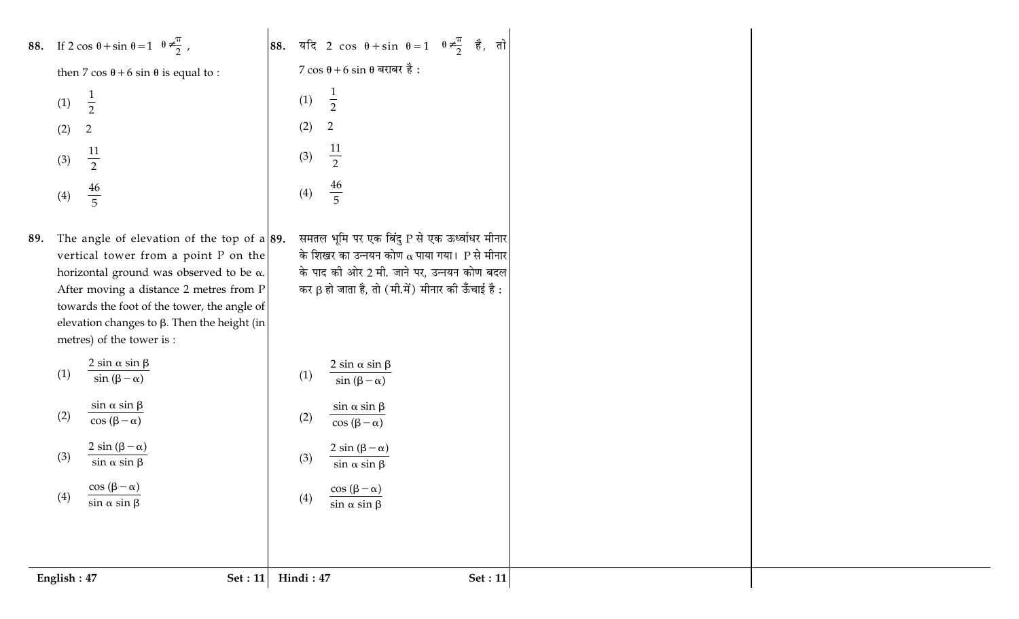**88.** If  $2 \cos \theta + \sin \theta = 1 \left( \theta \neq \frac{\pi}{2} \right)$ 

then 7 cos  $\theta$  + 6 sin  $\theta$  is equal to

 $\frac{1}{2}$  $(1)$  $(2)$  $\overline{2}$  $\frac{11}{2}$  $(3)$  $\frac{46}{5}$  $(4)$ 

89. The angle of elevation of the vertical tower from a point horizontal ground was observed After moving a distance 2 metre towards the foot of the tower, the elevation changes to  $\beta$ . Then the metres) of the tower is :

> $2 \sin \alpha \sin \beta$  $(1)$  $\sin(\beta-\alpha)$

 $\sin \alpha \sin \beta$  $(2)$  $\cos(\beta-\alpha)$  $2 \sin (\beta - \alpha)$ 

(3) 
$$
\frac{2 \sin(\beta - \alpha)}{\sin \alpha \sin \beta}
$$

(4) 
$$
\frac{\cos (\beta - \alpha)}{\sin \alpha \sin \beta}
$$

English: 47

88. 
$$
\vec{a} = \vec{a}
$$
 2 cos θ + sin θ = 1  $(\theta \neq \frac{\pi}{2})$   $\vec{e}$ ,  
\n7 cos θ + 6 sin θ = 1  $(\theta \neq \frac{\pi}{2})$   $\vec{e}$ ,  
\n(1)  $\frac{1}{2}$   
\n(2) 2  
\n(3)  $\frac{11}{2}$   
\n(4)  $\frac{46}{5}$   
\ntop on the  $\vec{a}$  = 89.  $\vec{a}$  = 74.  $\vec{a}$  = 74.  $\vec{a}$  = 34.  $\vec{a}$  = 74.  $\vec{a}$  = 74.  $\vec{a}$  = 74.  $\vec{a}$  = 74.  $\vec{a}$  = 74.  $\vec{a}$  = 74.  $\vec{a}$  = 74.  $\vec{a}$  = 74.  $\vec{a}$  = 74.  $\vec{a}$  = 74.  $\vec{a}$  = 74.  $\vec{a}$  = 74.  $\vec{a}$  = 74.  $\vec{a}$  = 74.  $\vec{a}$  = 74.  $\vec{a}$  = 74.  $\vec{a}$  = 74.  $\vec{a}$  = 74.  $\vec{a}$  = 74.  $\vec{a}$  = 74.  $\vec{a}$  = 74.  $\vec{a}$  = 74.  $\vec{a}$  = 74.  $\vec{a}$  = 74.  $\vec{a}$  = 74.  $\vec{a}$  = 74.  $\vec{a}$  = 74.  $\vec{a}$  = 74.  $\vec{a}$  = 74.  $\vec{a}$  = 74.  $\vec{a}$  = 74.  $\vec{a}$  = 74.  $\vec{a}$  = 74.  $\vec{a}$  = 74.  $\vec{a}$  = 74.  $\vec{a}$  = 74.  $\vec{a}$  = 74.  $\vec{a}$  = 74.  $\vec{a}$ 

एक बिंदु P से एक ऊर्ध्वाधर मीनार  
नयन कोण α पाया गया। P से मीनार  
2 मी. जाने पर, उन्नयन कोण बदल  
; तो (मी.में) मीनार की ऊँचाई है :  

$$
\frac{\sin \beta}{-\alpha}
$$
  

$$
\frac{\sin \beta}{-\alpha}
$$

Set :  $11$ 

तो

 $(4)$ 

Hindi: 47

Set :  $11$ 

 $\cos(\beta-\alpha)$  $\sin \alpha \sin \beta$